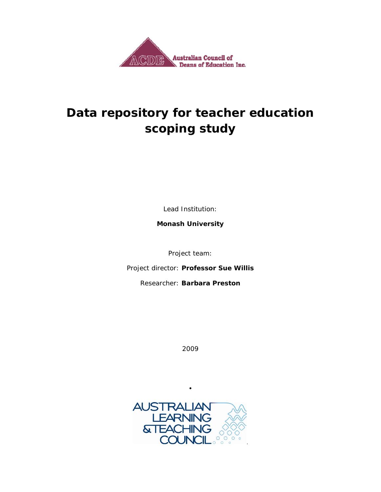

### **Data repository for teacher education scoping study**

Lead Institution:

**Monash University** 

Project team:

*Project director:* **Professor Sue Willis**

*Researcher:* **Barbara Preston** 

2009



•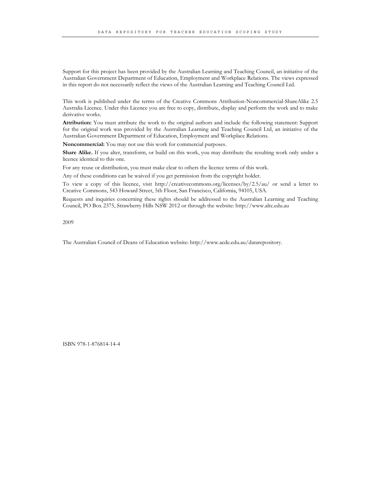Support for this project has been provided by the Australian Learning and Teaching Council, an initiative of the Australian Government Department of Education, Employment and Workplace Relations. The views expressed in this report do not necessarily reflect the views of the Australian Learning and Teaching Council Ltd.

This work is published under the terms of the Creative Commons Attribution-Noncommercial-ShareAlike 2.5 Australia Licence. Under this Licence you are free to copy, distribute, display and perform the work and to make derivative works.

**Attribution:** You must attribute the work to the original authors and include the following statement: Support for the original work was provided by the Australian Learning and Teaching Council Ltd, an initiative of the Australian Government Department of Education, Employment and Workplace Relations.

**Noncommercial:** You may not use this work for commercial purposes.

**Share Alike.** If you alter, transform, or build on this work, you may distribute the resulting work only under a licence identical to this one.

For any reuse or distribution, you must make clear to others the licence terms of this work.

Any of these conditions can be waived if you get permission from the copyright holder.

To view a copy of this licence, visit http://creativecommons.org/licenses/by/2.5/au/ or send a letter to Creative Commons, 543 Howard Street, 5th Floor, San Francisco, California, 94105, USA.

Requests and inquiries concerning these rights should be addressed to the Australian Learning and Teaching Council, PO Box 2375, Strawberry Hills NSW 2012 or through the website: http://www.altc.edu.au

2009

The Australian Council of Deans of Education website: http://www.acde.edu.au/datarepository.

ISBN 978-1-876814-14-4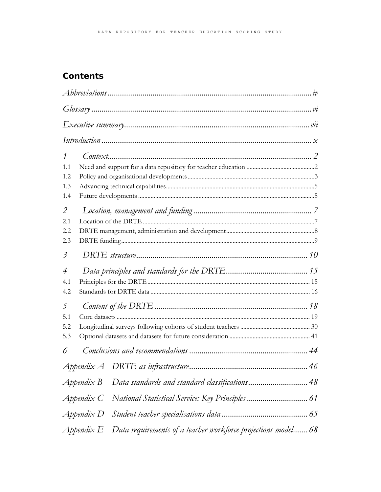#### **Contents**

|         |                        | $Abbreviations \dots 1 v$                                     |  |
|---------|------------------------|---------------------------------------------------------------|--|
|         |                        |                                                               |  |
|         |                        |                                                               |  |
|         |                        |                                                               |  |
| 1       |                        |                                                               |  |
| 1.1     |                        |                                                               |  |
| 1.2     |                        |                                                               |  |
| 1.3     |                        |                                                               |  |
| 1.4     |                        |                                                               |  |
| 2       |                        |                                                               |  |
| 2.1     |                        |                                                               |  |
| 2.2     |                        |                                                               |  |
| 2.3     |                        |                                                               |  |
| $\beta$ |                        |                                                               |  |
| 4       |                        |                                                               |  |
| 4.1     |                        |                                                               |  |
| 4.2     |                        |                                                               |  |
| 5       |                        |                                                               |  |
| 5.1     |                        |                                                               |  |
| 5.2     |                        |                                                               |  |
| 5.3     |                        |                                                               |  |
| 6       |                        |                                                               |  |
|         |                        |                                                               |  |
|         | $\triangle$ Appendix B | Data standards and standard classifications 48                |  |
|         | $A$ ppendix $C$        |                                                               |  |
|         | $A$ ppendix $D$        |                                                               |  |
|         | Appendix E             | Data requirements of a teacher workforce projections model 68 |  |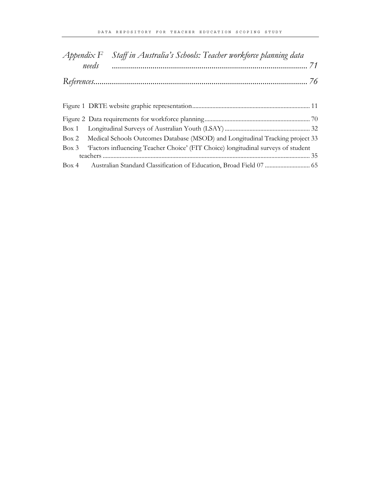|  | Appendix F Staff in Australia's Schools: Teacher workforce planning data               |  |  |  |
|--|----------------------------------------------------------------------------------------|--|--|--|
|  | needs                                                                                  |  |  |  |
|  |                                                                                        |  |  |  |
|  |                                                                                        |  |  |  |
|  |                                                                                        |  |  |  |
|  |                                                                                        |  |  |  |
|  |                                                                                        |  |  |  |
|  | Box 2 Medical Schools Outcomes Database (MSOD) and Longitudinal Tracking project 33    |  |  |  |
|  | Box 3 Factors influencing Teacher Choice' (FIT Choice) longitudinal surveys of student |  |  |  |
|  |                                                                                        |  |  |  |
|  | Box 4 Australian Standard Classification of Education, Broad Field 07  65              |  |  |  |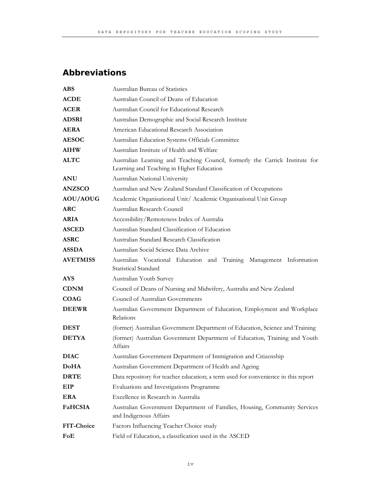#### **Abbreviations**

| <b>ABS</b>      | Australian Bureau of Statistics                                                                                           |
|-----------------|---------------------------------------------------------------------------------------------------------------------------|
| <b>ACDE</b>     | Australian Council of Deans of Education                                                                                  |
| <b>ACER</b>     | Australian Council for Educational Research                                                                               |
| <b>ADSRI</b>    | Australian Demographic and Social Research Institute                                                                      |
| <b>AERA</b>     | American Educational Research Association                                                                                 |
| <b>AESOC</b>    | Australian Education Systems Officials Committee                                                                          |
| <b>AIHW</b>     | Australian Institute of Health and Welfare                                                                                |
| <b>ALTC</b>     | Australian Learning and Teaching Council, formerly the Carrick Institute for<br>Learning and Teaching in Higher Education |
| <b>ANU</b>      | Australian National University                                                                                            |
| <b>ANZSCO</b>   | Australian and New Zealand Standard Classification of Occupations                                                         |
| AOU/AOUG        | Academic Organisational Unit/ Academic Organisational Unit Group                                                          |
| <b>ARC</b>      | Australian Research Council                                                                                               |
| <b>ARIA</b>     | Accessibility/Remoteness Index of Australia                                                                               |
| <b>ASCED</b>    | Australian Standard Classification of Education                                                                           |
| <b>ASRC</b>     | Australian Standard Research Classification                                                                               |
| <b>ASSDA</b>    | Australian Social Science Data Archive                                                                                    |
| <b>AVETMISS</b> | Australian Vocational Education and Training Management Information<br>Statistical Standard                               |
| <b>AYS</b>      | Australian Youth Survey                                                                                                   |
| <b>CDNM</b>     | Council of Deans of Nursing and Midwifery, Australia and New Zealand                                                      |
| <b>COAG</b>     | Council of Australian Governments                                                                                         |
| <b>DEEWR</b>    | Australian Government Department of Education, Employment and Workplace<br>Relations                                      |
| <b>DEST</b>     | (former) Australian Government Department of Education, Science and Training                                              |
| <b>DETYA</b>    | (former) Australian Government Department of Education, Training and Youth<br>Affairs                                     |
| <b>DIAC</b>     | Australian Government Department of Immigration and Citizenship                                                           |
| <b>DoHA</b>     | Australian Government Department of Health and Ageing                                                                     |
| <b>DRTE</b>     | Data repository for teacher education; a term used for convenience in this report                                         |
| EIP             | Evaluations and Investigations Programme                                                                                  |
| ERA             | Excellence in Research in Australia                                                                                       |
| <b>FaHCSIA</b>  | Australian Government Department of Families, Housing, Community Services<br>and Indigenous Affairs                       |
| FIT-Choice      | Factors Influencing Teacher Choice study                                                                                  |
| FoE             | Field of Education, a classification used in the ASCED                                                                    |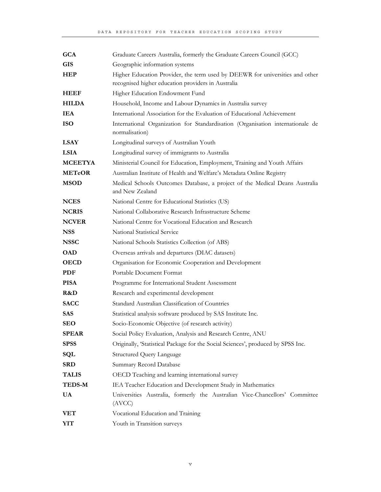| <b>GCA</b>     | Graduate Careers Australia, formerly the Graduate Careers Council (GCC)                                                            |
|----------------|------------------------------------------------------------------------------------------------------------------------------------|
| <b>GIS</b>     | Geographic information systems                                                                                                     |
| <b>HEP</b>     | Higher Education Provider, the term used by DEEWR for universities and other<br>recognised higher education providers in Australia |
| <b>HEEF</b>    | Higher Education Endowment Fund                                                                                                    |
| <b>HILDA</b>   | Household, Income and Labour Dynamics in Australia survey                                                                          |
| <b>IEA</b>     | International Association for the Evaluation of Educational Achievement                                                            |
| <b>ISO</b>     | International Organization for Standardisation (Organisation internationale de<br>normalisation)                                   |
| <b>LSAY</b>    | Longitudinal surveys of Australian Youth                                                                                           |
| <b>LSIA</b>    | Longitudinal survey of immigrants to Australia                                                                                     |
| <b>MCEETYA</b> | Ministerial Council for Education, Employment, Training and Youth Affairs                                                          |
| <b>METeOR</b>  | Australian Institute of Health and Welfare's Metadata Online Registry                                                              |
| <b>MSOD</b>    | Medical Schools Outcomes Database, a project of the Medical Deans Australia<br>and New Zealand                                     |
| <b>NCES</b>    | National Centre for Educational Statistics (US)                                                                                    |
| <b>NCRIS</b>   | National Collaborative Research Infrastructure Scheme                                                                              |
| <b>NCVER</b>   | National Centre for Vocational Education and Research                                                                              |
| <b>NSS</b>     | National Statistical Service                                                                                                       |
| <b>NSSC</b>    | National Schools Statistics Collection (of ABS)                                                                                    |
| <b>OAD</b>     | Overseas arrivals and departures (DIAC datasets)                                                                                   |
| <b>OECD</b>    | Organisation for Economic Cooperation and Development                                                                              |
| <b>PDF</b>     | Portable Document Format                                                                                                           |
| <b>PISA</b>    | Programme for International Student Assessment                                                                                     |
| R&D            | Research and experimental development                                                                                              |
| <b>SACC</b>    | Standard Australian Classification of Countries                                                                                    |
| <b>SAS</b>     | Statistical analysis software produced by SAS Institute Inc.                                                                       |
| <b>SEO</b>     | Socio-Economic Objective (of research activity)                                                                                    |
| <b>SPEAR</b>   | Social Policy Evaluation, Analysis and Research Centre, ANU                                                                        |
| <b>SPSS</b>    | Originally, 'Statistical Package for the Social Sciences', produced by SPSS Inc.                                                   |
| SQL            | <b>Structured Query Language</b>                                                                                                   |
| <b>SRD</b>     | Summary Record Database                                                                                                            |
| <b>TALIS</b>   | OECD Teaching and learning international survey                                                                                    |
| <b>TEDS-M</b>  | IEA Teacher Education and Development Study in Mathematics                                                                         |
| <b>UA</b>      | Universities Australia, formerly the Australian Vice-Chancellors' Committee<br>(AVCC)                                              |
| <b>VET</b>     | Vocational Education and Training                                                                                                  |
| YIT            | Youth in Transition surveys                                                                                                        |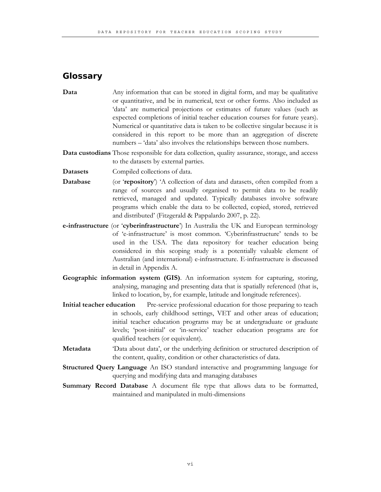#### **Glossary**

**Data** Any information that can be stored in digital form, and may be qualitative or quantitative, and be in numerical, text or other forms. Also included as 'data' are numerical projections or estimates of future values (such as expected completions of initial teacher education courses for future years). Numerical or quantitative data is taken to be collective singular because it is considered in this report to be more than an aggregation of discrete numbers – 'data' also involves the relationships between those numbers.

**Data custodians** Those responsible for data collection, quality assurance, storage, and access to the datasets by external parties.

- **Datasets** Compiled collections of data.
- **Database** (or '**repository**') 'A collection of data and datasets, often compiled from a range of sources and usually organised to permit data to be readily retrieved, managed and updated. Typically databases involve software programs which enable the data to be collected, copied, stored, retrieved and distributed' (Fitzgerald & Pappalardo 2007, p. 22).
- **e-infrastructure** (or '**cyberinfrastructure**') In Australia the UK and European terminology of 'e-infrastructure' is most common. 'Cyberinfrastructure' tends to be used in the USA. The data repository for teacher education being considered in this scoping study is a potentially valuable element of Australian (and international) e-infrastructure. E-infrastructure is discussed in detail in Appendix A.
- **Geographic information system (GIS)**. An information system for capturing, storing, analysing, managing and presenting data that is spatially referenced (that is, linked to location, by, for example, latitude and longitude references).
- **Initial teacher education** Pre-service professional education for those preparing to teach in schools, early childhood settings, VET and other areas of education; initial teacher education programs may be at undergraduate or graduate levels; 'post-initial' or 'in-service' teacher education programs are for qualified teachers (or equivalent).
- **Metadata** 'Data about data', or the underlying definition or structured description of the content, quality, condition or other characteristics of data.
- **Structured Query Language** An ISO standard interactive and programming language for querying and modifying data and managing databases
- **Summary Record Database** A document file type that allows data to be formatted, maintained and manipulated in multi-dimensions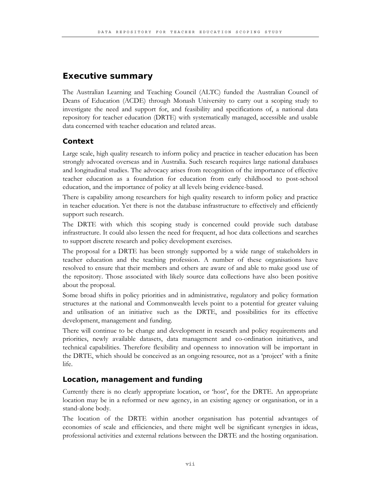#### **Executive summary**

The Australian Learning and Teaching Council (ALTC) funded the Australian Council of Deans of Education (ACDE) through Monash University to carry out a scoping study to investigate the need and support for, and feasibility and specifications of, a national data repository for teacher education (DRTE) with systematically managed, accessible and usable data concerned with teacher education and related areas.

#### **Context**

Large scale, high quality research to inform policy and practice in teacher education has been strongly advocated overseas and in Australia. Such research requires large national databases and longitudinal studies. The advocacy arises from recognition of the importance of effective teacher education as a foundation for education from early childhood to post-school education, and the importance of policy at all levels being evidence-based.

There is capability among researchers for high quality research to inform policy and practice in teacher education. Yet there is not the database infrastructure to effectively and efficiently support such research.

The DRTE with which this scoping study is concerned could provide such database infrastructure. It could also lessen the need for frequent, ad hoc data collections and searches to support discrete research and policy development exercises.

The proposal for a DRTE has been strongly supported by a wide range of stakeholders in teacher education and the teaching profession. A number of these organisations have resolved to ensure that their members and others are aware of and able to make good use of the repository. Those associated with likely source data collections have also been positive about the proposal.

Some broad shifts in policy priorities and in administrative, regulatory and policy formation structures at the national and Commonwealth levels point to a potential for greater valuing and utilisation of an initiative such as the DRTE, and possibilities for its effective development, management and funding.

There will continue to be change and development in research and policy requirements and priorities, newly available datasets, data management and co-ordination initiatives, and technical capabilities. Therefore flexibility and openness to innovation will be important in the DRTE, which should be conceived as an ongoing resource, not as a 'project' with a finite life.

#### **Location, management and funding**

Currently there is no clearly appropriate location, or 'host', for the DRTE. An appropriate location may be in a reformed or new agency, in an existing agency or organisation, or in a stand-alone body.

The location of the DRTE within another organisation has potential advantages of economies of scale and efficiencies, and there might well be significant synergies in ideas, professional activities and external relations between the DRTE and the hosting organisation.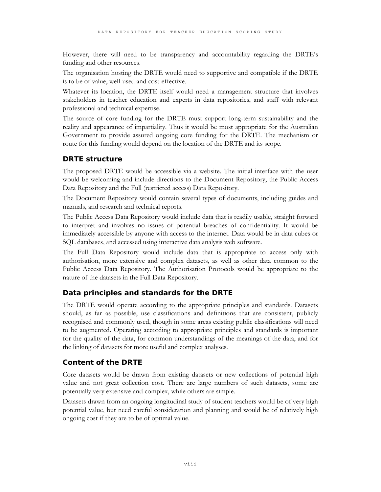However, there will need to be transparency and accountability regarding the DRTE's funding and other resources.

The organisation hosting the DRTE would need to supportive and compatible if the DRTE is to be of value, well-used and cost-effective.

Whatever its location, the DRTE itself would need a management structure that involves stakeholders in teacher education and experts in data repositories, and staff with relevant professional and technical expertise.

The source of core funding for the DRTE must support long-term sustainability and the reality and appearance of impartiality. Thus it would be most appropriate for the Australian Government to provide assured ongoing core funding for the DRTE. The mechanism or route for this funding would depend on the location of the DRTE and its scope.

#### **DRTE structure**

The proposed DRTE would be accessible via a website. The initial interface with the user would be welcoming and include directions to the Document Repository, the Public Access Data Repository and the Full (restricted access) Data Repository.

The Document Repository would contain several types of documents, including guides and manuals, and research and technical reports.

The Public Access Data Repository would include data that is readily usable, straight forward to interpret and involves no issues of potential breaches of confidentiality. It would be immediately accessible by anyone with access to the internet. Data would be in data cubes or SQL databases, and accessed using interactive data analysis web software.

The Full Data Repository would include data that is appropriate to access only with authorisation, more extensive and complex datasets, as well as other data common to the Public Access Data Repository. The Authorisation Protocols would be appropriate to the nature of the datasets in the Full Data Repository.

#### **Data principles and standards for the DRTE**

The DRTE would operate according to the appropriate principles and standards. Datasets should, as far as possible, use classifications and definitions that are consistent, publicly recognised and commonly used, though in some areas existing public classifications will need to be augmented. Operating according to appropriate principles and standards is important for the quality of the data, for common understandings of the meanings of the data, and for the linking of datasets for more useful and complex analyses.

#### **Content of the DRTE**

Core datasets would be drawn from existing datasets or new collections of potential high value and not great collection cost. There are large numbers of such datasets, some are potentially very extensive and complex, while others are simple.

Datasets drawn from an ongoing longitudinal study of student teachers would be of very high potential value, but need careful consideration and planning and would be of relatively high ongoing cost if they are to be of optimal value.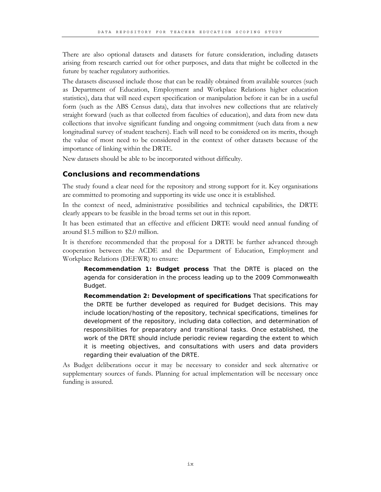There are also optional datasets and datasets for future consideration, including datasets arising from research carried out for other purposes, and data that might be collected in the future by teacher regulatory authorities.

The datasets discussed include those that can be readily obtained from available sources (such as Department of Education, Employment and Workplace Relations higher education statistics), data that will need expert specification or manipulation before it can be in a useful form (such as the ABS Census data), data that involves new collections that are relatively straight forward (such as that collected from faculties of education), and data from new data collections that involve significant funding and ongoing commitment (such data from a new longitudinal survey of student teachers). Each will need to be considered on its merits, though the value of most need to be considered in the context of other datasets because of the importance of linking within the DRTE.

New datasets should be able to be incorporated without difficulty.

#### **Conclusions and recommendations**

The study found a clear need for the repository and strong support for it. Key organisations are committed to promoting and supporting its wide use once it is established.

In the context of need, administrative possibilities and technical capabilities, the DRTE clearly appears to be feasible in the broad terms set out in this report.

It has been estimated that an effective and efficient DRTE would need annual funding of around \$1.5 million to \$2.0 million.

It is therefore recommended that the proposal for a DRTE be further advanced through cooperation between the ACDE and the Department of Education, Employment and Workplace Relations (DEEWR) to ensure:

**Recommendation 1: Budget process** That the DRTE is placed on the agenda for consideration in the process leading up to the 2009 Commonwealth Budget.

**Recommendation 2: Development of specifications** That specifications for the DRTE be further developed as required for Budget decisions. This may include location/hosting of the repository, technical specifications, timelines for development of the repository, including data collection, and determination of responsibilities for preparatory and transitional tasks. Once established, the work of the DRTE should include periodic review regarding the extent to which it is meeting objectives, and consultations with users and data providers regarding their evaluation of the DRTE.

As Budget deliberations occur it may be necessary to consider and seek alternative or supplementary sources of funds. Planning for actual implementation will be necessary once funding is assured.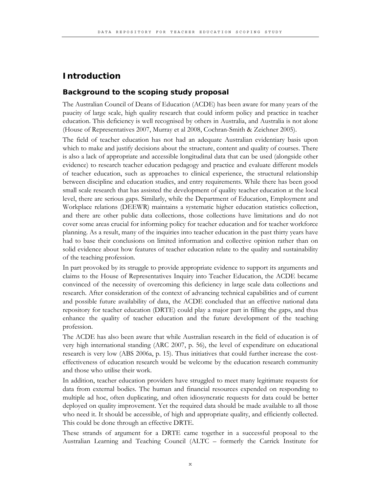#### **Introduction**

#### **Background to the scoping study proposal**

The Australian Council of Deans of Education (ACDE) has been aware for many years of the paucity of large scale, high quality research that could inform policy and practice in teacher education. This deficiency is well recognised by others in Australia, and Australia is not alone (House of Representatives 2007, Murray et al 2008, Cochran-Smith & Zeichner 2005).

The field of teacher education has not had an adequate Australian evidentiary basis upon which to make and justify decisions about the structure, content and quality of courses. There is also a lack of appropriate and accessible longitudinal data that can be used (alongside other evidence) to research teacher education pedagogy and practice and evaluate different models of teacher education, such as approaches to clinical experience, the structural relationship between discipline and education studies, and entry requirements. While there has been good small scale research that has assisted the development of quality teacher education at the local level, there are serious gaps. Similarly, while the Department of Education, Employment and Workplace relations (DEEWR) maintains a systematic higher education statistics collection, and there are other public data collections, those collections have limitations and do not cover some areas crucial for informing policy for teacher education and for teacher workforce planning. As a result, many of the inquiries into teacher education in the past thirty years have had to base their conclusions on limited information and collective opinion rather than on solid evidence about how features of teacher education relate to the quality and sustainability of the teaching profession.

In part provoked by its struggle to provide appropriate evidence to support its arguments and claims to the House of Representatives Inquiry into Teacher Education, the ACDE became convinced of the necessity of overcoming this deficiency in large scale data collections and research. After consideration of the context of advancing technical capabilities and of current and possible future availability of data, the ACDE concluded that an effective national data repository for teacher education (DRTE) could play a major part in filling the gaps, and thus enhance the quality of teacher education and the future development of the teaching profession.

The ACDE has also been aware that while Australian research in the field of education is of very high international standing (ARC 2007, p. 56), the level of expenditure on educational research is very low (ABS 2006a, p. 15). Thus initiatives that could further increase the costeffectiveness of education research would be welcome by the education research community and those who utilise their work.

In addition, teacher education providers have struggled to meet many legitimate requests for data from external bodies. The human and financial resources expended on responding to multiple ad hoc, often duplicating, and often idiosyncratic requests for data could be better deployed on quality improvement. Yet the required data should be made available to all those who need it. It should be accessible, of high and appropriate quality, and efficiently collected. This could be done through an effective DRTE.

These strands of argument for a DRTE came together in a successful proposal to the Australian Learning and Teaching Council (ALTC – formerly the Carrick Institute for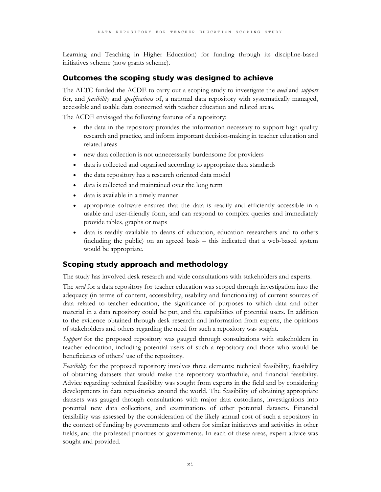Learning and Teaching in Higher Education) for funding through its discipline-based initiatives scheme (now grants scheme).

#### **Outcomes the scoping study was designed to achieve**

The ALTC funded the ACDE to carry out a scoping study to investigate the *need* and *support* for, and *feasibility* and *specifications* of, a national data repository with systematically managed, accessible and usable data concerned with teacher education and related areas.

The ACDE envisaged the following features of a repository:

- the data in the repository provides the information necessary to support high quality research and practice, and inform important decision-making in teacher education and related areas
- new data collection is not unnecessarily burdensome for providers
- data is collected and organised according to appropriate data standards
- the data repository has a research oriented data model
- data is collected and maintained over the long term
- data is available in a timely manner
- appropriate software ensures that the data is readily and efficiently accessible in a usable and user-friendly form, and can respond to complex queries and immediately provide tables, graphs or maps
- data is readily available to deans of education, education researchers and to others (including the public) on an agreed basis – this indicated that a web-based system would be appropriate.

#### **Scoping study approach and methodology**

The study has involved desk research and wide consultations with stakeholders and experts.

The *need* for a data repository for teacher education was scoped through investigation into the adequacy (in terms of content, accessibility, usability and functionality) of current sources of data related to teacher education, the significance of purposes to which data and other material in a data repository could be put, and the capabilities of potential users. In addition to the evidence obtained through desk research and information from experts, the opinions of stakeholders and others regarding the need for such a repository was sought.

*Support* for the proposed repository was gauged through consultations with stakeholders in teacher education, including potential users of such a repository and those who would be beneficiaries of others' use of the repository.

*Feasibility* for the proposed repository involves three elements: technical feasibility, feasibility of obtaining datasets that would make the repository worthwhile, and financial feasibility. Advice regarding technical feasibility was sought from experts in the field and by considering developments in data repositories around the world. The feasibility of obtaining appropriate datasets was gauged through consultations with major data custodians, investigations into potential new data collections, and examinations of other potential datasets. Financial feasibility was assessed by the consideration of the likely annual cost of such a repository in the context of funding by governments and others for similar initiatives and activities in other fields, and the professed priorities of governments. In each of these areas, expert advice was sought and provided.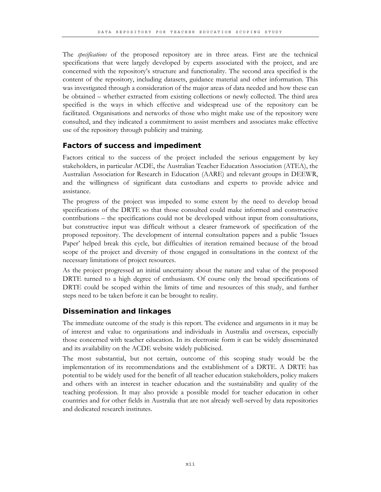The *specifications* of the proposed repository are in three areas. First are the technical specifications that were largely developed by experts associated with the project, and are concerned with the repository's structure and functionality. The second area specified is the content of the repository, including datasets, guidance material and other information. This was investigated through a consideration of the major areas of data needed and how these can be obtained – whether extracted from existing collections or newly collected. The third area specified is the ways in which effective and widespread use of the repository can be facilitated. Organisations and networks of those who might make use of the repository were consulted, and they indicated a commitment to assist members and associates make effective use of the repository through publicity and training.

#### **Factors of success and impediment**

Factors critical to the success of the project included the serious engagement by key stakeholders, in particular ACDE, the Australian Teacher Education Association (ATEA), the Australian Association for Research in Education (AARE) and relevant groups in DEEWR, and the willingness of significant data custodians and experts to provide advice and assistance.

The progress of the project was impeded to some extent by the need to develop broad specifications of the DRTE so that those consulted could make informed and constructive contributions – the specifications could not be developed without input from consultations, but constructive input was difficult without a clearer framework of specification of the proposed repository. The development of internal consultation papers and a public 'Issues Paper' helped break this cycle, but difficulties of iteration remained because of the broad scope of the project and diversity of those engaged in consultations in the context of the necessary limitations of project resources.

As the project progressed an initial uncertainty about the nature and value of the proposed DRTE turned to a high degree of enthusiasm. Of course only the broad specifications of DRTE could be scoped within the limits of time and resources of this study, and further steps need to be taken before it can be brought to reality.

#### **Dissemination and linkages**

The immediate outcome of the study is this report. The evidence and arguments in it may be of interest and value to organisations and individuals in Australia and overseas, especially those concerned with teacher education. In its electronic form it can be widely disseminated and its availability on the ACDE website widely publicised.

The most substantial, but not certain, outcome of this scoping study would be the implementation of its recommendations and the establishment of a DRTE. A DRTE has potential to be widely used for the benefit of all teacher education stakeholders, policy makers and others with an interest in teacher education and the sustainability and quality of the teaching profession. It may also provide a possible model for teacher education in other countries and for other fields in Australia that are not already well-served by data repositories and dedicated research institutes.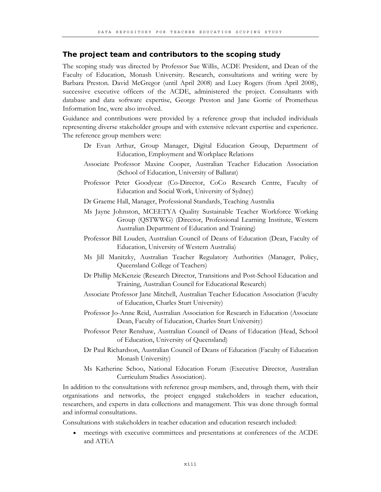#### **The project team and contributors to the scoping study**

The scoping study was directed by Professor Sue Willis, ACDE President, and Dean of the Faculty of Education, Monash University. Research, consultations and writing were by Barbara Preston. David McGregor (until April 2008) and Lucy Rogers (from April 2008), successive executive officers of the ACDE, administered the project. Consultants with database and data software expertise, George Preston and Jane Gorrie of Prometheus Information Inc, were also involved.

Guidance and contributions were provided by a reference group that included individuals representing diverse stakeholder groups and with extensive relevant expertise and experience. The reference group members were:

- Dr Evan Arthur, Group Manager, Digital Education Group, Department of Education, Employment and Workplace Relations
- Associate Professor Maxine Cooper, Australian Teacher Education Association (School of Education, University of Ballarat)
- Professor Peter Goodyear (Co-Director, CoCo Research Centre, Faculty of Education and Social Work, University of Sydney)
- Dr Graeme Hall, Manager, Professional Standards, Teaching Australia
- Ms Jayne Johnston, MCEETYA Quality Sustainable Teacher Workforce Working Group (QSTWWG) (Director, Professional Learning Institute, Western Australian Department of Education and Training)
- Professor Bill Louden, Australian Council of Deans of Education (Dean, Faculty of Education, University of Western Australia)
- Ms Jill Manitzky, Australian Teacher Regulatory Authorities (Manager, Policy, Queensland College of Teachers)
- Dr Phillip McKenzie (Research Director, Transitions and Post-School Education and Training, Australian Council for Educational Research)
- Associate Professor Jane Mitchell, Australian Teacher Education Association (Faculty of Education, Charles Sturt University)
- Professor Jo-Anne Reid, Australian Association for Research in Education (Associate Dean, Faculty of Education, Charles Sturt University)
- Professor Peter Renshaw, Australian Council of Deans of Education (Head, School of Education, University of Queensland)
- Dr Paul Richardson, Australian Council of Deans of Education (Faculty of Education Monash University)
- Ms Katherine Schoo, National Education Forum (Executive Director, Australian Curriculum Studies Association).

In addition to the consultations with reference group members, and, through them, with their organisations and networks, the project engaged stakeholders in teacher education, researchers, and experts in data collections and management. This was done through formal and informal consultations.

Consultations with stakeholders in teacher education and education research included:

• meetings with executive committees and presentations at conferences of the ACDE and ATEA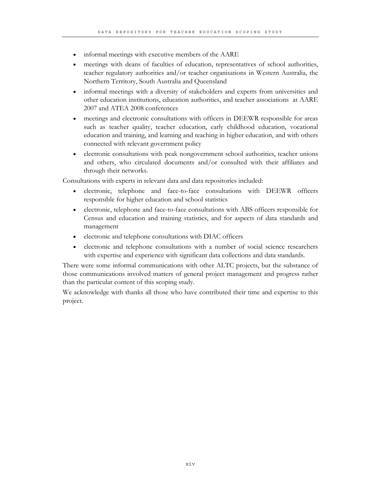- informal meetings with executive members of the AARE
- meetings with deans of faculties of education, representatives of school authorities, teacher regulatory authorities and/or teacher organisations in Western Australia, the Northern Territory, South Australia and Queensland
- informal meetings with a diversity of stakeholders and experts from universities and other education institutions, education authorities, and teacher associations at AARE 2007 and ATEA 2008 conferences
- meetings and electronic consultations with officers in DEEWR responsible for areas such as teacher quality, teacher education, early childhood education, vocational education and training, and learning and teaching in higher education, and with others connected with relevant government policy
- electronic consultations with peak nongovernment school authorities, teacher unions and others, who circulated documents and/or consulted with their affiliates and through their networks.

Consultations with experts in relevant data and data repositories included:

- electronic, telephone and face-to-face consultations with DEEWR officers responsible for higher education and school statistics
- electronic, telephone and face-to-face consultations with ABS officers responsible for Census and education and training statistics, and for aspects of data standards and management
- electronic and telephone consultations with DIAC officers
- electronic and telephone consultations with a number of social science researchers with expertise and experience with significant data collections and data standards.

There were some informal communications with other ALTC projects, but the substance of those communications involved matters of general project management and progress rather than the particular content of this scoping study.

We acknowledge with thanks all those who have contributed their time and expertise to this project.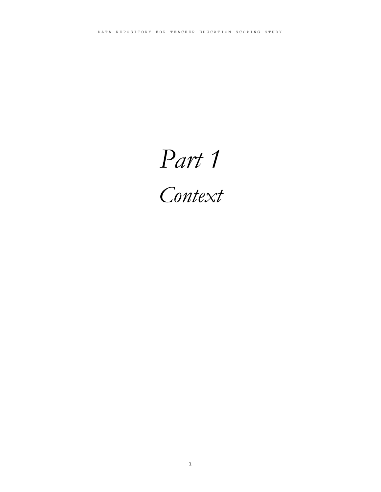# *Part 1*

*Context*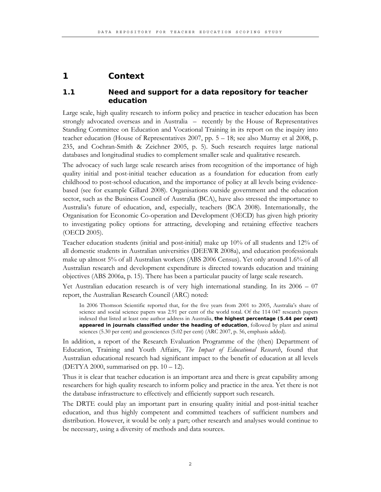#### **1 Context**

#### **1.1 Need and support for a data repository for teacher education**

Large scale, high quality research to inform policy and practice in teacher education has been strongly advocated overseas and in Australia – recently by the House of Representatives Standing Committee on Education and Vocational Training in its report on the inquiry into teacher education (House of Representatives 2007, pp. 5 – 18; see also Murray et al 2008, p. 235, and Cochran-Smith & Zeichner 2005, p. 5). Such research requires large national databases and longitudinal studies to complement smaller scale and qualitative research.

The advocacy of such large scale research arises from recognition of the importance of high quality initial and post-initial teacher education as a foundation for education from early childhood to post-school education, and the importance of policy at all levels being evidencebased (see for example Gillard 2008). Organisations outside government and the education sector, such as the Business Council of Australia (BCA), have also stressed the importance to Australia's future of education, and, especially, teachers (BCA 2008). Internationally, the Organisation for Economic Co-operation and Development (OECD) has given high priority to investigating policy options for attracting, developing and retaining effective teachers (OECD 2005).

Teacher education students (initial and post-initial) make up 10% of all students and 12% of all domestic students in Australian universities (DEEWR 2008a), and education professionals make up almost 5% of all Australian workers (ABS 2006 Census). Yet only around 1.6% of all Australian research and development expenditure is directed towards education and training objectives (ABS 2006a, p. 15). There has been a particular paucity of large scale research.

Yet Australian education research is of very high international standing. In its 2006 – 07 report, the Australian Research Council (ARC) noted:

In 2006 Thomson Scientific reported that, for the five years from 2001 to 2005, Australia's share of science and social science papers was 2.91 per cent of the world total. Of the 114 047 research papers indexed that listed at least one author address in Australia, **the highest percentage (5.44 per cent) appeared in journals classified under the heading of education**, followed by plant and animal sciences (5.30 per cent) and geosciences (5.02 per cent) (ARC 2007, p. 56, emphasis added).

In addition, a report of the Research Evaluation Programme of the (then) Department of Education, Training and Youth Affairs, *The Impact of Educational Research*, found that Australian educational research had significant impact to the benefit of education at all levels (DETYA 2000, summarised on pp.  $10 - 12$ ).

Thus it is clear that teacher education is an important area and there is great capability among researchers for high quality research to inform policy and practice in the area. Yet there is not the database infrastructure to effectively and efficiently support such research.

The DRTE could play an important part in ensuring quality initial and post-initial teacher education, and thus highly competent and committed teachers of sufficient numbers and distribution. However, it would be only a part; other research and analyses would continue to be necessary, using a diversity of methods and data sources.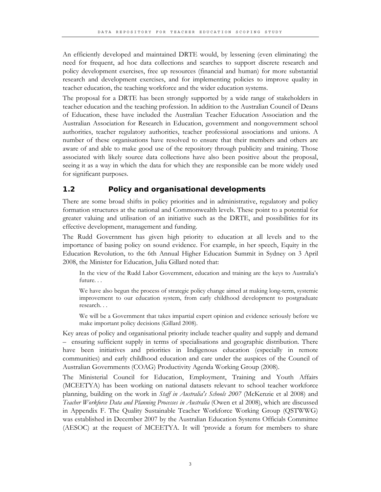An efficiently developed and maintained DRTE would, by lessening (even eliminating) the need for frequent, ad hoc data collections and searches to support discrete research and policy development exercises, free up resources (financial and human) for more substantial research and development exercises, and for implementing policies to improve quality in teacher education, the teaching workforce and the wider education systems.

The proposal for a DRTE has been strongly supported by a wide range of stakeholders in teacher education and the teaching profession. In addition to the Australian Council of Deans of Education, these have included the Australian Teacher Education Association and the Australian Association for Research in Education, government and nongovernment school authorities, teacher regulatory authorities, teacher professional associations and unions. A number of these organisations have resolved to ensure that their members and others are aware of and able to make good use of the repository through publicity and training. Those associated with likely source data collections have also been positive about the proposal, seeing it as a way in which the data for which they are responsible can be more widely used for significant purposes.

#### **1.2 Policy and organisational developments**

There are some broad shifts in policy priorities and in administrative, regulatory and policy formation structures at the national and Commonwealth levels. These point to a potential for greater valuing and utilisation of an initiative such as the DRTE, and possibilities for its effective development, management and funding.

The Rudd Government has given high priority to education at all levels and to the importance of basing policy on sound evidence. For example, in her speech, Equity in the Education Revolution, to the 6th Annual Higher Education Summit in Sydney on 3 April 2008, the Minister for Education, Julia Gillard noted that:

In the view of the Rudd Labor Government, education and training are the keys to Australia's future. . .

We have also begun the process of strategic policy change aimed at making long-term, systemic improvement to our education system, from early childhood development to postgraduate research. . .

We will be a Government that takes impartial expert opinion and evidence seriously before we make important policy decisions (Gillard 2008).

Key areas of policy and organisational priority include teacher quality and supply and demand – ensuring sufficient supply in terms of specialisations and geographic distribution. There have been initiatives and priorities in Indigenous education (especially in remote communities) and early childhood education and care under the auspices of the Council of Australian Governments (COAG) Productivity Agenda Working Group (2008).

The Ministerial Council for Education, Employment, Training and Youth Affairs (MCEETYA) has been working on national datasets relevant to school teacher workforce planning, building on the work in *Staff in Australia's Schools 2007* (McKenzie et al 2008) and *Teacher Workforce Data and Planning Processes in Australia* (Owen et al 2008), which are discussed in Appendix F. The Quality Sustainable Teacher Workforce Working Group (QSTWWG) was established in December 2007 by the Australian Education Systems Officials Committee (AESOC) at the request of MCEETYA. It will 'provide a forum for members to share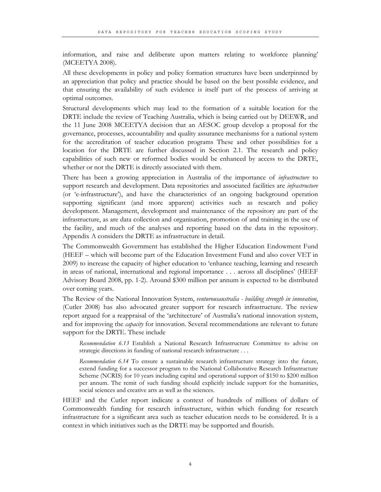information, and raise and deliberate upon matters relating to workforce planning' (MCEETYA 2008).

All these developments in policy and policy formation structures have been underpinned by an appreciation that policy and practice should be based on the best possible evidence, and that ensuring the availability of such evidence is itself part of the process of arriving at optimal outcomes.

Structural developments which may lead to the formation of a suitable location for the DRTE include the review of Teaching Australia, which is being carried out by DEEWR, and the 11 June 2008 MCEETYA decision that an AESOC group develop a proposal for the governance, processes, accountability and quality assurance mechanisms for a national system for the accreditation of teacher education programs These and other possibilities for a location for the DRTE are further discussed in Section 2.1. The research and policy capabilities of such new or reformed bodies would be enhanced by access to the DRTE, whether or not the DRTE is directly associated with them.

There has been a growing appreciation in Australia of the importance of *infrastructure* to support research and development. Data repositories and associated facilities are *infrastructure* (or 'e-infrastructure'), and have the characteristics of an ongoing background operation supporting significant (and more apparent) activities such as research and policy development. Management, development and maintenance of the repository are part of the infrastructure, as are data collection and organisation, promotion of and training in the use of the facility, and much of the analyses and reporting based on the data in the repository. Appendix A considers the DRTE as infrastructure in detail.

The Commonwealth Government has established the Higher Education Endowment Fund (HEEF – which will become part of the Education Investment Fund and also cover VET in 2009) to increase the capacity of higher education to 'enhance teaching, learning and research in areas of national, international and regional importance . . . across all disciplines' (HEEF Advisory Board 2008, pp. 1-2). Around \$300 million per annum is expected to be distributed over coming years.

The Review of the National Innovation System, *venturousaustralia - building strength in innovation*, (Cutler 2008) has also advocated greater support for research infrastructure. The review report argued for a reappraisal of the 'architecture' of Australia's national innovation system, and for improving the *capacity* for innovation. Several recommendations are relevant to future support for the DRTE. These include

*Recommendation 6.13* Establish a National Research Infrastructure Committee to advise on strategic directions in funding of national research infrastructure . . .

*Recommendation 6.14* To ensure a sustainable research infrastructure strategy into the future, extend funding for a successor program to the National Collaborative Research Infrastructure Scheme (NCRIS) for 10 years including capital and operational support of \$150 to \$200 million per annum. The remit of such funding should explicitly include support for the humanities, social sciences and creative arts as well as the sciences.

HEEF and the Cutler report indicate a context of hundreds of millions of dollars of Commonwealth funding for research infrastructure, within which funding for research infrastructure for a significant area such as teacher education needs to be considered. It is a context in which initiatives such as the DRTE may be supported and flourish.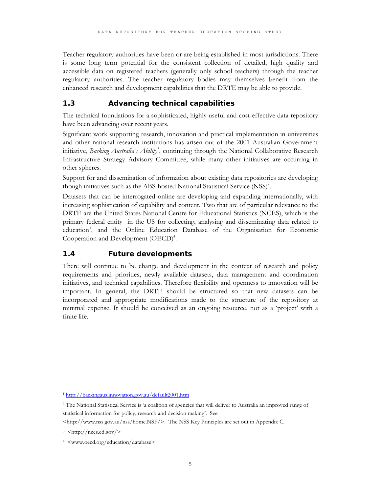Teacher regulatory authorities have been or are being established in most jurisdictions. There is some long term potential for the consistent collection of detailed, high quality and accessible data on registered teachers (generally only school teachers) through the teacher regulatory authorities. The teacher regulatory bodies may themselves benefit from the enhanced research and development capabilities that the DRTE may be able to provide.

#### **1.3 Advancing technical capabilities**

The technical foundations for a sophisticated, highly useful and cost-effective data repository have been advancing over recent years.

Significant work supporting research, innovation and practical implementation in universities and other national research institutions has arisen out of the 2001 Australian Government initiative, *Backing Australia's Ability<sup>1</sup>*, continuing through the National Collaborative Research Infrastructure Strategy Advisory Committee, while many other initiatives are occurring in other spheres.

Support for and dissemination of information about existing data repositories are developing though initiatives such as the ABS-hosted National Statistical Service (NSS)<sup>2</sup>.

Datasets that can be interrogated online are developing and expanding internationally, with increasing sophistication of capability and content. Two that are of particular relevance to the DRTE are the United States National Centre for Educational Statistics (NCES), which is the primary federal entity in the US for collecting, analysing and disseminating data related to education<sup>3</sup>, and the Online Education Database of the Organisation for Economic Cooperation and Development (OECD)<sup>4</sup>.

#### **1.4 Future developments**

There will continue to be change and development in the context of research and policy requirements and priorities, newly available datasets, data management and coordination initiatives, and technical capabilities. Therefore flexibility and openness to innovation will be important. In general, the DRTE should be structured so that new datasets can be incorporated and appropriate modifications made to the structure of the repository at minimal expense. It should be conceived as an ongoing resource, not as a 'project' with a finite life.

l

<sup>1</sup> http://backingaus.innovation.gov.au/default2001.htm

<sup>2</sup> The National Statistical Service is 'a coalition of agencies that will deliver to Australia an improved range of statistical information for policy, research and decision making'. See

<sup>&</sup>lt;http://www.nss.gov.au/nss/home.NSF/>. The NSS Key Principles are set out in Appendix C.

<sup>3 &</sup>lt;http://nces.ed.gov/>

<sup>4 &</sup>lt;www.oecd.org/education/database>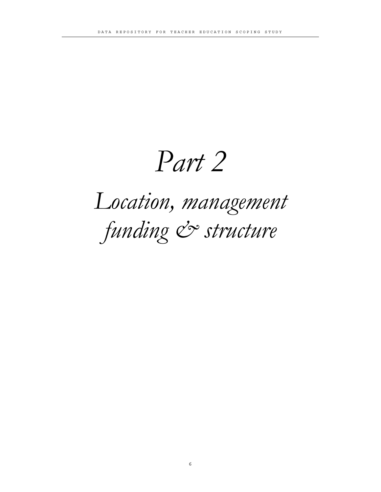## *Part 2*

## *Location, management*  funding & structure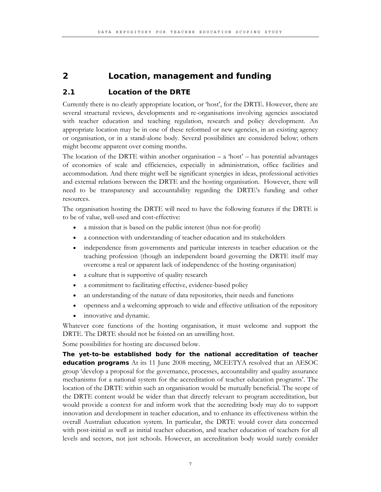#### **2 Location, management and funding**

#### **2.1 Location of the DRTE**

Currently there is no clearly appropriate location, or 'host', for the DRTE. However, there are several structural reviews, developments and re-organisations involving agencies associated with teacher education and teaching regulation, research and policy development. An appropriate location may be in one of these reformed or new agencies, in an existing agency or organisation, or in a stand-alone body. Several possibilities are considered below; others might become apparent over coming months.

The location of the DRTE within another organisation  $- a$  'host'  $- b$  has potential advantages of economies of scale and efficiencies, especially in administration, office facilities and accommodation. And there might well be significant synergies in ideas, professional activities and external relations between the DRTE and the hosting organisation. However, there will need to be transparency and accountability regarding the DRTE's funding and other resources.

The organisation hosting the DRTE will need to have the following features if the DRTE is to be of value, well-used and cost-effective:

- a mission that is based on the public interest (thus not-for-profit)
- a connection with understanding of teacher education and its stakeholders
- independence from governments and particular interests in teacher education or the teaching profession (though an independent board governing the DRTE itself may overcome a real or apparent lack of independence of the hosting organisation)
- a culture that is supportive of quality research
- a commitment to facilitating effective, evidence-based policy
- an understanding of the nature of data repositories, their needs and functions
- openness and a welcoming approach to wide and effective utilisation of the repository
- innovative and dynamic.

Whatever core functions of the hosting organisation, it must welcome and support the DRTE. The DRTE should not be foisted on an unwilling host.

Some possibilities for hosting are discussed below.

**The yet-to-be established body for the national accreditation of teacher education programs** At its 11 June 2008 meeting, MCEETYA resolved that an AESOC group 'develop a proposal for the governance, processes, accountability and quality assurance mechanisms for a national system for the accreditation of teacher education programs'. The location of the DRTE within such an organisation would be mutually beneficial. The scope of the DRTE content would be wider than that directly relevant to program accreditation, but would provide a context for and inform work that the accrediting body may do to support innovation and development in teacher education, and to enhance its effectiveness within the overall Australian education system. In particular, the DRTE would cover data concerned with post-initial as well as initial teacher education, and teacher education of teachers for all levels and sectors, not just schools. However, an accreditation body would surely consider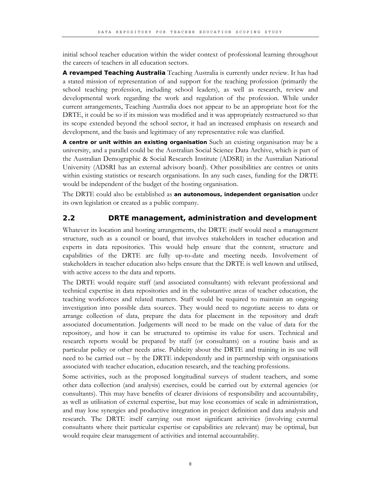initial school teacher education within the wider context of professional learning throughout the careers of teachers in all education sectors.

**A revamped Teaching Australia** Teaching Australia is currently under review. It has had a stated mission of representation of and support for the teaching profession (primarily the school teaching profession, including school leaders), as well as research, review and developmental work regarding the work and regulation of the profession. While under current arrangements, Teaching Australia does not appear to be an appropriate host for the DRTE, it could be so if its mission was modified and it was appropriately restructured so that its scope extended beyond the school sector, it had an increased emphasis on research and development, and the basis and legitimacy of any representative role was clarified.

**A centre or unit within an existing organisation** Such an existing organisation may be a university, and a parallel could be the Australian Social Science Data Archive, which is part of the Australian Demographic & Social Research Institute (ADSRI) in the Australian National University (ADSRI has an external advisory board). Other possibilities are centres or units within existing statistics or research organisations. In any such cases, funding for the DRTE would be independent of the budget of the hosting organisation.

The DRTE could also be established as **an autonomous, independent organisation** under its own legislation or created as a public company.

#### **2.2 DRTE management, administration and development**

Whatever its location and hosting arrangements, the DRTE itself would need a management structure, such as a council or board, that involves stakeholders in teacher education and experts in data repositories. This would help ensure that the content, structure and capabilities of the DRTE are fully up-to-date and meeting needs. Involvement of stakeholders in teacher education also helps ensure that the DRTE is well known and utilised, with active access to the data and reports.

The DRTE would require staff (and associated consultants) with relevant professional and technical expertise in data repositories and in the substantive areas of teacher education, the teaching workforces and related matters. Staff would be required to maintain an ongoing investigation into possible data sources. They would need to negotiate access to data or arrange collection of data, prepare the data for placement in the repository and draft associated documentation. Judgements will need to be made on the value of data for the repository, and how it can be structured to optimise its value for users. Technical and research reports would be prepared by staff (or consultants) on a routine basis and as particular policy or other needs arise. Publicity about the DRTE and training in its use will need to be carried out – by the DRTE independently and in partnership with organisations associated with teacher education, education research, and the teaching professions.

Some activities, such as the proposed longitudinal surveys of student teachers, and some other data collection (and analysis) exercises, could be carried out by external agencies (or consultants). This may have benefits of clearer divisions of responsibility and accountability, as well as utilisation of external expertise, but may lose economies of scale in administration, and may lose synergies and productive integration in project definition and data analysis and research. The DRTE itself carrying out most significant activities (involving external consultants where their particular expertise or capabilities are relevant) may be optimal, but would require clear management of activities and internal accountability.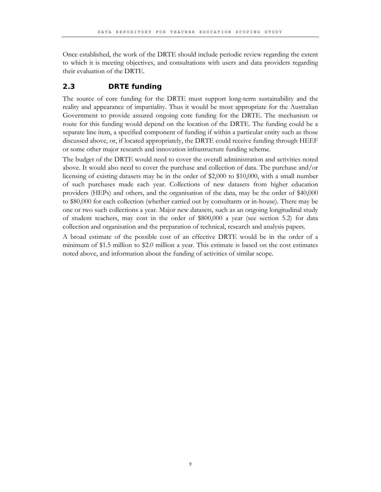Once established, the work of the DRTE should include periodic review regarding the extent to which it is meeting objectives, and consultations with users and data providers regarding their evaluation of the DRTE.

#### **2.3 DRTE funding**

The source of core funding for the DRTE must support long-term sustainability and the reality and appearance of impartiality. Thus it would be most appropriate for the Australian Government to provide assured ongoing core funding for the DRTE. The mechanism or route for this funding would depend on the location of the DRTE. The funding could be a separate line item, a specified component of funding if within a particular entity such as those discussed above, or, if located appropriately, the DRTE could receive funding through HEEF or some other major research and innovation infrastructure funding scheme.

The budget of the DRTE would need to cover the overall administration and activities noted above. It would also need to cover the purchase and collection of data. The purchase and/or licensing of existing datasets may be in the order of \$2,000 to \$10,000, with a small number of such purchases made each year. Collections of new datasets from higher education providers (HEPs) and others, and the organisation of the data, may be the order of \$40,000 to \$80,000 for each collection (whether carried out by consultants or in-house). There may be one or two such collections a year. Major new datasets, such as an ongoing longitudinal study of student teachers, may cost in the order of \$800,000 a year (see section 5.2) for data collection and organisation and the preparation of technical, research and analysis papers.

A broad estimate of the possible cost of an effective DRTE would be in the order of a minimum of \$1.5 million to \$2.0 million a year. This estimate is based on the cost estimates noted above, and information about the funding of activities of similar scope.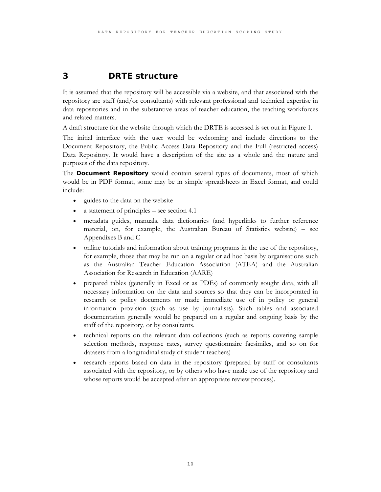#### **3 DRTE structure**

It is assumed that the repository will be accessible via a website, and that associated with the repository are staff (and/or consultants) with relevant professional and technical expertise in data repositories and in the substantive areas of teacher education, the teaching workforces and related matters.

A draft structure for the website through which the DRTE is accessed is set out in Figure 1.

The initial interface with the user would be welcoming and include directions to the Document Repository, the Public Access Data Repository and the Full (restricted access) Data Repository. It would have a description of the site as a whole and the nature and purposes of the data repository.

The **Document Repository** would contain several types of documents, most of which would be in PDF format, some may be in simple spreadsheets in Excel format, and could include:

- guides to the data on the website
- a statement of principles see section 4.1
- metadata guides, manuals, data dictionaries (and hyperlinks to further reference material, on, for example, the Australian Bureau of Statistics website) – see Appendixes B and C
- online tutorials and information about training programs in the use of the repository, for example, those that may be run on a regular or ad hoc basis by organisations such as the Australian Teacher Education Association (ATEA) and the Australian Association for Research in Education (AARE)
- prepared tables (generally in Excel or as PDFs) of commonly sought data, with all necessary information on the data and sources so that they can be incorporated in research or policy documents or made immediate use of in policy or general information provision (such as use by journalists). Such tables and associated documentation generally would be prepared on a regular and ongoing basis by the staff of the repository, or by consultants.
- technical reports on the relevant data collections (such as reports covering sample selection methods, response rates, survey questionnaire facsimiles, and so on for datasets from a longitudinal study of student teachers)
- research reports based on data in the repository (prepared by staff or consultants associated with the repository, or by others who have made use of the repository and whose reports would be accepted after an appropriate review process).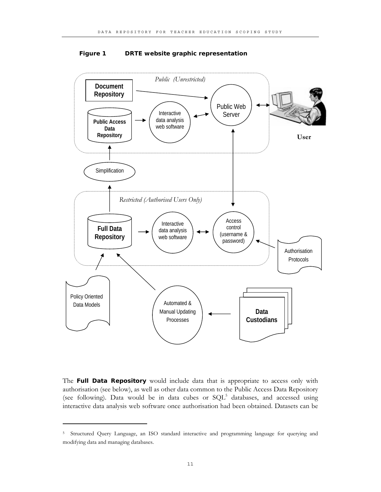

#### **Figure 1 DRTE website graphic representation**

The **Full Data Repository** would include data that is appropriate to access only with authorisation (see below), as well as other data common to the Public Access Data Repository (see following). Data would be in data cubes or  $SQL^5$  databases, and accessed using interactive data analysis web software once authorisation had been obtained. Datasets can be

 $\ddot{ }$ 

<sup>5</sup> Structured Query Language, an ISO standard interactive and programming language for querying and modifying data and managing databases.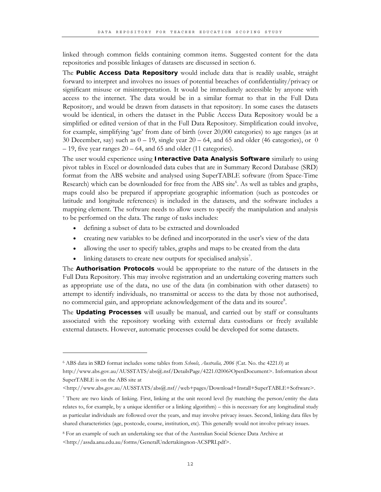linked through common fields containing common items. Suggested content for the data repositories and possible linkages of datasets are discussed in section 6.

The **Public Access Data Repository** would include data that is readily usable, straight forward to interpret and involves no issues of potential breaches of confidentiality/privacy or significant misuse or misinterpretation. It would be immediately accessible by anyone with access to the internet. The data would be in a similar format to that in the Full Data Repository, and would be drawn from datasets in that repository. In some cases the datasets would be identical, in others the dataset in the Public Access Data Repository would be a simplified or edited version of that in the Full Data Repository. Simplification could involve, for example, simplifying 'age' from date of birth (over 20,000 categories) to age ranges (as at 30 December, say) such as  $0 - 19$ , single year  $20 - 64$ , and 65 and older (46 categories), or 0  $-19$ , five year ranges  $20 - 64$ , and 65 and older (11 categories).

The user would experience using **Interactive Data Analysis Software** similarly to using pivot tables in Excel or downloaded data cubes that are in Summary Record Database (SRD) format from the ABS website and analysed using SuperTABLE software (from Space-Time Research) which can be downloaded for free from the ABS site<sup>6</sup>. As well as tables and graphs, maps could also be prepared if appropriate geographic information (such as postcodes or latitude and longitude references) is included in the datasets, and the software includes a mapping element. The software needs to allow users to specify the manipulation and analysis to be performed on the data. The range of tasks includes:

- defining a subset of data to be extracted and downloaded
- creating new variables to be defined and incorporated in the user's view of the data
- allowing the user to specify tables, graphs and maps to be created from the data
- linking datasets to create new outputs for specialised analysis<sup>7</sup>.

The **Authorisation Protocols** would be appropriate to the nature of the datasets in the Full Data Repository. This may involve registration and an undertaking covering matters such as appropriate use of the data, no use of the data (in combination with other datasets) to attempt to identify individuals, no transmittal or access to the data by those not authorised, no commercial gain, and appropriate acknowledgement of the data and its source<sup>8</sup>.

The **Updating Processes** will usually be manual, and carried out by staff or consultants associated with the repository working with external data custodians or freely available external datasets. However, automatic processes could be developed for some datasets.

 $\ddot{ }$ 

<sup>6</sup> ABS data in SRD format includes some tables from *Schools, Australia, 2006* (Cat. No. the 4221.0) at

http://www.abs.gov.au/AUSSTATS/abs@.nsf/DetailsPage/4221.02006?OpenDocument>. Information about SuperTABLE is on the ABS site at

<sup>&</sup>lt;http://www.abs.gov.au/AUSSTATS/abs@.nsf//web+pages/Download+Install+SuperTABLE+Software>.

<sup>7</sup> There are two kinds of linking. First, linking at the unit record level (by matching the person/entity the data relates to, for example, by a unique identifier or a linking algorithm) – this is necessary for any longitudinal study as particular individuals are followed over the years, and may involve privacy issues. Second, linking data files by shared characteristics (age, postcode, course, institution, etc). This generally would not involve privacy issues.

<sup>8</sup> For an example of such an undertaking see that of the Australian Social Science Data Archive at <http://assda.anu.edu.au/forms/GeneralUndertakingnon-ACSPRI.pdf>.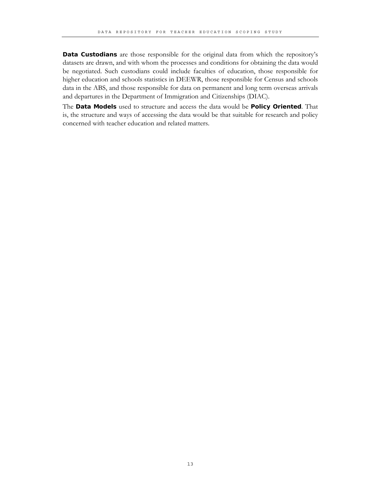**Data Custodians** are those responsible for the original data from which the repository's datasets are drawn, and with whom the processes and conditions for obtaining the data would be negotiated. Such custodians could include faculties of education, those responsible for higher education and schools statistics in DEEWR, those responsible for Census and schools data in the ABS, and those responsible for data on permanent and long term overseas arrivals and departures in the Department of Immigration and Citizenships (DIAC).

The **Data Models** used to structure and access the data would be **Policy Oriented**. That is, the structure and ways of accessing the data would be that suitable for research and policy concerned with teacher education and related matters.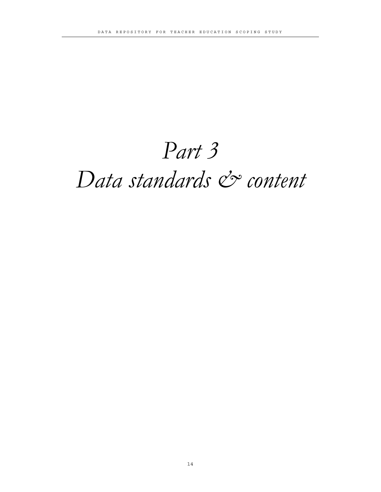### *Part 3*

### Data standards & content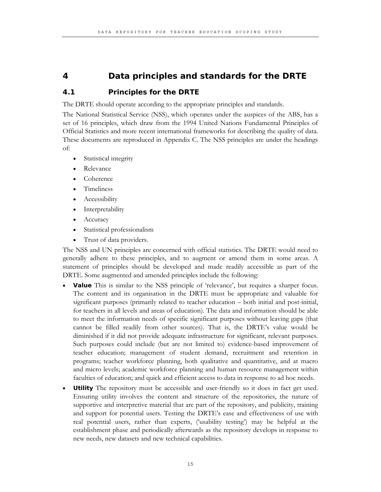#### **4 Data principles and standards for the DRTE**

#### **4.1 Principles for the DRTE**

The DRTE should operate according to the appropriate principles and standards.

The National Statistical Service (NSS), which operates under the auspices of the ABS, has a set of 16 principles, which draw from the 1994 United Nations Fundamental Principles of Official Statistics and more recent international frameworks for describing the quality of data. These documents are reproduced in Appendix C. The NSS principles are under the headings of:

- Statistical integrity
- Relevance
- Coherence
- Timeliness
- Accessibility
- **Interpretability**
- **Accuracy**
- Statistical professionalism
- Trust of data providers.

The NSS and UN principles are concerned with official statistics. The DRTE would need to generally adhere to these principles, and to augment or amend them in some areas. A statement of principles should be developed and made readily accessible as part of the DRTE. Some augmented and amended principles include the following:

- **Value** This is similar to the NSS principle of 'relevance', but requires a sharper focus. The content and its organisation in the DRTE must be appropriate and valuable for significant purposes (primarily related to teacher education – both initial and post-initial, for teachers in all levels and areas of education). The data and information should be able to meet the information needs of specific significant purposes without leaving gaps (that cannot be filled readily from other sources). That is, the DRTE's value would be diminished if it did not provide adequate infrastructure for significant, relevant purposes. Such purposes could include (but are not limited to) evidence-based improvement of teacher education; management of student demand, recruitment and retention in programs; teacher workforce planning, both qualitative and quantitative, and at macro and micro levels; academic workforce planning and human resource management within faculties of education; and quick and efficient access to data in response to ad hoc needs.
- **Utility** The repository must be accessible and user-friendly so it does in fact get used. Ensuring utility involves the content and structure of the repositories, the nature of supportive and interpretive material that are part of the repository, and publicity, training and support for potential users. Testing the DRTE's ease and effectiveness of use with real potential users, rather than experts, ('usability testing') may be helpful at the establishment phase and periodically afterwards as the repository develops in response to new needs, new datasets and new technical capabilities.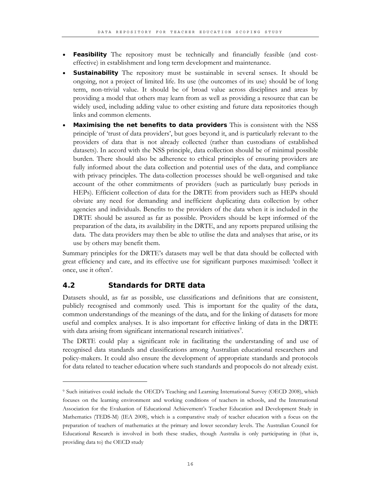- **Feasibility** The repository must be technically and financially feasible (and costeffective) in establishment and long term development and maintenance.
- **Sustainability** The repository must be sustainable in several senses. It should be ongoing, not a project of limited life. Its use (the outcomes of its use) should be of long term, non-trivial value. It should be of broad value across disciplines and areas by providing a model that others may learn from as well as providing a resource that can be widely used, including adding value to other existing and future data repositories though links and common elements.
- **Maximising the net benefits to data providers** This is consistent with the NSS principle of 'trust of data providers', but goes beyond it, and is particularly relevant to the providers of data that is not already collected (rather than custodians of established datasets). In accord with the NSS principle, data collection should be of minimal possible burden. There should also be adherence to ethical principles of ensuring providers are fully informed about the data collection and potential uses of the data, and compliance with privacy principles. The data-collection processes should be well-organised and take account of the other commitments of providers (such as particularly busy periods in HEPs). Efficient collection of data for the DRTE from providers such as HEPs should obviate any need for demanding and inefficient duplicating data collection by other agencies and individuals. Benefits to the providers of the data when it is included in the DRTE should be assured as far as possible. Providers should be kept informed of the preparation of the data, its availability in the DRTE, and any reports prepared utilising the data. The data providers may then be able to utilise the data and analyses that arise, or its use by others may benefit them.

Summary principles for the DRTE's datasets may well be that data should be collected with great efficiency and care, and its effective use for significant purposes maximised: 'collect it once, use it often'.

#### **4.2 Standards for DRTE data**

 $\ddot{ }$ 

Datasets should, as far as possible, use classifications and definitions that are consistent, publicly recognised and commonly used. This is important for the quality of the data, common understandings of the meanings of the data, and for the linking of datasets for more useful and complex analyses. It is also important for effective linking of data in the DRTE with data arising from significant international research initiatives<sup>9</sup>.

The DRTE could play a significant role in facilitating the understanding of and use of recognised data standards and classifications among Australian educational researchers and policy-makers. It could also ensure the development of appropriate standards and protocols for data related to teacher education where such standards and propocols do not already exist.

<sup>9</sup> Such initiatives could include the OECD's Teaching and Learning International Survey (OECD 2008), which focuses on the learning environment and working conditions of teachers in schools, and the International Association for the Evaluation of Educational Achievement's Teacher Education and Development Study in Mathematics (TEDS-M) (IEA 2008), which is a comparative study of teacher education with a focus on the preparation of teachers of mathematics at the primary and lower secondary levels. The Australian Council for Educational Research is involved in both these studies, though Australia is only participating in (that is, providing data to) the OECD study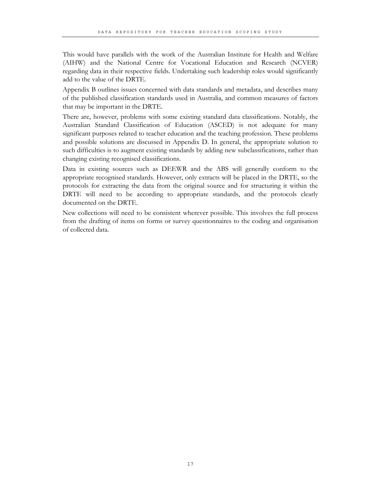This would have parallels with the work of the Australian Institute for Health and Welfare (AIHW) and the National Centre for Vocational Education and Research (NCVER) regarding data in their respective fields. Undertaking such leadership roles would significantly add to the value of the DRTE.

Appendix B outlines issues concerned with data standards and metadata, and describes many of the published classification standards used in Australia, and common measures of factors that may be important in the DRTE.

There are, however, problems with some existing standard data classifications. Notably, the Australian Standard Classification of Education (ASCED) is not adequate for many significant purposes related to teacher education and the teaching profession. These problems and possible solutions are discussed in Appendix D. In general, the appropriate solution to such difficulties is to augment existing standards by adding new subclassifications, rather than changing existing recognised classifications.

Data in existing sources such as DEEWR and the ABS will generally conform to the appropriate recognised standards. However, only extracts will be placed in the DRTE, so the protocols for extracting the data from the original source and for structuring it within the DRTE will need to be according to appropriate standards, and the protocols clearly documented on the DRTE.

New collections will need to be consistent wherever possible. This involves the full process from the drafting of items on forms or survey questionnaires to the coding and organisation of collected data.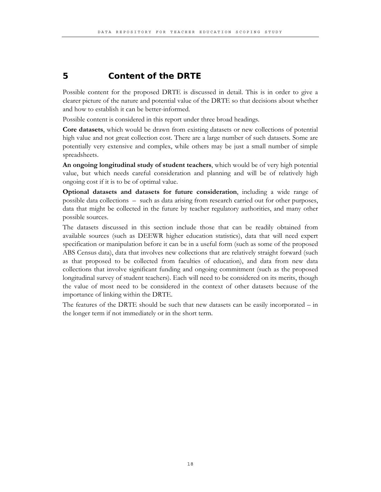#### **5 Content of the DRTE**

Possible content for the proposed DRTE is discussed in detail. This is in order to give a clearer picture of the nature and potential value of the DRTE so that decisions about whether and how to establish it can be better-informed.

Possible content is considered in this report under three broad headings.

**Core datasets**, which would be drawn from existing datasets or new collections of potential high value and not great collection cost. There are a large number of such datasets. Some are potentially very extensive and complex, while others may be just a small number of simple spreadsheets.

**An ongoing longitudinal study of student teachers**, which would be of very high potential value, but which needs careful consideration and planning and will be of relatively high ongoing cost if it is to be of optimal value.

**Optional datasets and datasets for future consideration**, including a wide range of possible data collections – such as data arising from research carried out for other purposes, data that might be collected in the future by teacher regulatory authorities, and many other possible sources.

The datasets discussed in this section include those that can be readily obtained from available sources (such as DEEWR higher education statistics), data that will need expert specification or manipulation before it can be in a useful form (such as some of the proposed ABS Census data), data that involves new collections that are relatively straight forward (such as that proposed to be collected from faculties of education), and data from new data collections that involve significant funding and ongoing commitment (such as the proposed longitudinal survey of student teachers). Each will need to be considered on its merits, though the value of most need to be considered in the context of other datasets because of the importance of linking within the DRTE.

The features of the DRTE should be such that new datasets can be easily incorporated – in the longer term if not immediately or in the short term.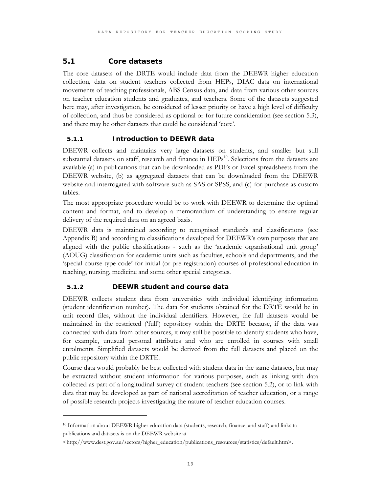#### **5.1 Core datasets**

The core datasets of the DRTE would include data from the DEEWR higher education collection, data on student teachers collected from HEPs, DIAC data on international movements of teaching professionals, ABS Census data, and data from various other sources on teacher education students and graduates, and teachers. Some of the datasets suggested here may, after investigation, be considered of lesser priority or have a high level of difficulty of collection, and thus be considered as optional or for future consideration (see section 5.3), and there may be other datasets that could be considered 'core'.

#### **5.1.1 Introduction to DEEWR data**

DEEWR collects and maintains very large datasets on students, and smaller but still substantial datasets on staff, research and finance in HEPs<sup>10</sup>. Selections from the datasets are available (a) in publications that can be downloaded as PDFs or Excel spreadsheets from the DEEWR website, (b) as aggregated datasets that can be downloaded from the DEEWR website and interrogated with software such as SAS or SPSS, and (c) for purchase as custom tables.

The most appropriate procedure would be to work with DEEWR to determine the optimal content and format, and to develop a memorandum of understanding to ensure regular delivery of the required data on an agreed basis.

DEEWR data is maintained according to recognised standards and classifications (see Appendix B) and according to classifications developed for DEEWR's own purposes that are aligned with the public classifications - such as the 'academic organisational unit group' (AOUG) classification for academic units such as faculties, schools and departments, and the 'special course type code' for initial (or pre-registration) courses of professional education in teaching, nursing, medicine and some other special categories.

#### **5.1.2 DEEWR student and course data**

 $\overline{a}$ 

DEEWR collects student data from universities with individual identifying information (student identification number). The data for students obtained for the DRTE would be in unit record files, without the individual identifiers. However, the full datasets would be maintained in the restricted ('full') repository within the DRTE because, if the data was connected with data from other sources, it may still be possible to identify students who have, for example, unusual personal attributes and who are enrolled in courses with small enrolments. Simplified datasets would be derived from the full datasets and placed on the public repository within the DRTE.

Course data would probably be best collected with student data in the same datasets, but may be extracted without student information for various purposes, such as linking with data collected as part of a longitudinal survey of student teachers (see section 5.2), or to link with data that may be developed as part of national accreditation of teacher education, or a range of possible research projects investigating the nature of teacher education courses.

<sup>10</sup> Information about DEEWR higher education data (students, research, finance, and staff) and links to publications and datasets is on the DEEWR website at

<sup>&</sup>lt;http://www.dest.gov.au/sectors/higher\_education/publications\_resources/statistics/default.htm>.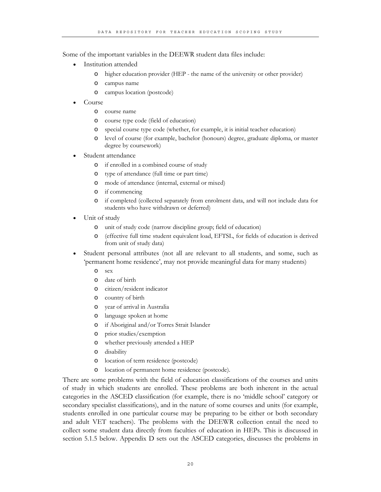Some of the important variables in the DEEWR student data files include:

- Institution attended
	- o higher education provider (HEP the name of the university or other provider)
	- o campus name
	- o campus location (postcode)
- Course
	- o course name
	- o course type code (field of education)
	- o special course type code (whether, for example, it is initial teacher education)
	- o level of course (for example, bachelor (honours) degree, graduate diploma, or master degree by coursework)
- Student attendance
	- o if enrolled in a combined course of study
	- o type of attendance (full time or part time)
	- o mode of attendance (internal, external or mixed)
	- o if commencing
	- o if completed (collected separately from enrolment data, and will not include data for students who have withdrawn or deferred)
- Unit of study
	- o unit of study code (narrow discipline group; field of education)
	- o (effective full time student equivalent load, EFTSL, for fields of education is derived from unit of study data)
- Student personal attributes (not all are relevant to all students, and some, such as 'permanent home residence', may not provide meaningful data for many students)
	- o sex
	- o date of birth
	- o citizen/resident indicator
	- o country of birth
	- o year of arrival in Australia
	- o language spoken at home
	- o if Aboriginal and/or Torres Strait Islander
	- o prior studies/exemption
	- o whether previously attended a HEP
	- o disability
	- o location of term residence (postcode)
	- o location of permanent home residence (postcode).

There are some problems with the field of education classifications of the courses and units of study in which students are enrolled. These problems are both inherent in the actual categories in the ASCED classification (for example, there is no 'middle school' category or secondary specialist classifications), and in the nature of some courses and units (for example, students enrolled in one particular course may be preparing to be either or both secondary and adult VET teachers). The problems with the DEEWR collection entail the need to collect some student data directly from faculties of education in HEPs. This is discussed in section 5.1.5 below. Appendix D sets out the ASCED categories, discusses the problems in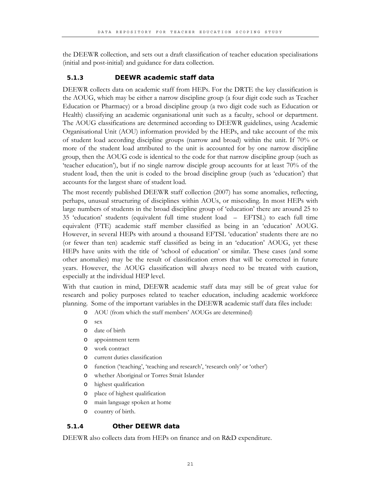the DEEWR collection, and sets out a draft classification of teacher education specialisations (initial and post-initial) and guidance for data collection.

#### **5.1.3 DEEWR academic staff data**

DEEWR collects data on academic staff from HEPs. For the DRTE the key classification is the AOUG, which may be either a narrow discipline group (a four digit code such as Teacher Education or Pharmacy) or a broad discipline group (a two digit code such as Education or Health) classifying an academic organisational unit such as a faculty, school or department. The AOUG classifications are determined according to DEEWR guidelines, using Academic Organisational Unit (AOU) information provided by the HEPs, and take account of the mix of student load according discipline groups (narrow and broad) within the unit. If 70% or more of the student load attributed to the unit is accounted for by one narrow discipline group, then the AOUG code is identical to the code for that narrow discipline group (such as 'teacher education'), but if no single narrow disciple group accounts for at least 70% of the student load, then the unit is coded to the broad discipline group (such as 'education') that accounts for the largest share of student load.

The most recently published DEEWR staff collection (2007) has some anomalies, reflecting, perhaps, unusual structuring of disciplines within AOUs, or miscoding. In most HEPs with large numbers of students in the broad discipline group of 'education' there are around 25 to 35 'education' students (equivalent full time student load – EFTSL) to each full time equivalent (FTE) academic staff member classified as being in an 'education' AOUG. However, in several HEPs with around a thousand EFTSL 'education' students there are no (or fewer than ten) academic staff classified as being in an 'education' AOUG, yet these HEPs have units with the title of 'school of education' or similar. These cases (and some other anomalies) may be the result of classification errors that will be corrected in future years. However, the AOUG classification will always need to be treated with caution, especially at the individual HEP level.

With that caution in mind, DEEWR academic staff data may still be of great value for research and policy purposes related to teacher education, including academic workforce planning. Some of the important variables in the DEEWR academic staff data files include:

- o AOU (from which the staff members' AOUGs are determined)
- o sex
- o date of birth
- o appointment term
- o work contract
- o current duties classification
- o function ('teaching', 'teaching and research', 'research only' or 'other')
- o whether Aboriginal or Torres Strait Islander
- o highest qualification
- o place of highest qualification
- o main language spoken at home
- o country of birth.

#### **5.1.4 Other DEEWR data**

DEEWR also collects data from HEPs on finance and on R&D expenditure.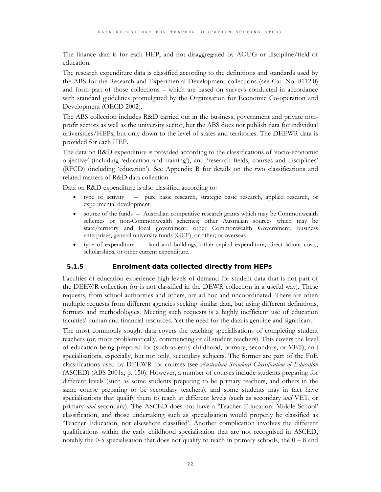The finance data is for each HEP, and not disaggregated by AOUG or discipline/field of education.

The research expenditure data is classified according to the definitions and standards used by the ABS for the Research and Experimental Development collections (see Cat. No. 8112.0) and form part of those collections – which are based on surveys conducted in accordance with standard guidelines promulgated by the Organisation for Economic Co-operation and Development (OECD 2002).

The ABS collection includes R&D carried out in the business, government and private nonprofit sectors as well as the university sector, but the ABS does not publish data for individual universities/HEPs, but only down to the level of states and territories. The DEEWR data is provided for each HEP.

The data on R&D expenditure is provided according to the classifications of 'socio-economic objective' (including 'education and training'), and 'research fields, courses and disciplines' (RFCD) (including 'education'). See Appendix B for details on the two classifications and related matters of R&D data collection.

Data on R&D expenditure is also classified according to:

- type of activity pure basic research, strategic basic research, applied research, or experimental development
- source of the funds Australian competitive research grants which may be Commonwealth schemes or non-Commonwealth schemes; other Australian sources which may be state/territory and local government, other Commonwealth Government, business enterprises, general university funds (GUF), or other; or overseas
- type of expenditure land and buildings, other capital expenditure, direct labour costs, scholarships, or other current expenditure.

#### **5.1.5 Enrolment data collected directly from HEPs**

Faculties of education experience high levels of demand for student data that is not part of the DEEWR collection (or is not classified in the DEWR collection in a useful way). These requests, from school authorities and others, are ad hoc and uncoordinated. There are often multiple requests from different agencies seeking similar data, but using different definitions, formats and methodologies. Meeting such requests is a highly inefficient use of education faculties' human and financial resources. Yet the need for the data is genuine and significant.

The most commonly sought data covers the teaching specialisations of completing student teachers (or, more problematically, commencing or all student teachers). This covers the level of education being prepared for (such as early childhood, primary, secondary, or VET), and specialisations, especially, but not only, secondary subjects. The former are part of the FoE classifications used by DEEWR for courses (see *Australian Standard Classification of Education* (ASCED) (ABS 2001a, p. 150). However, a number of courses include students preparing for different levels (such as some students preparing to be primary teachers, and others in the same course preparing to be secondary teachers), and some students may in fact have specialisations that qualify them to teach at different levels (such as secondary *and* VET, or primary *and* secondary). The ASCED does not have a 'Teacher Education: Middle School' classification, and those undertaking such as specialisation would properly be classified as 'Teacher Education, not elsewhere classified'. Another complication involves the different qualifications within the early childhood specialisation that are not recognised in ASCED, notably the 0-5 specialisation that does not qualify to teach in primary schools, the  $0 - 8$  and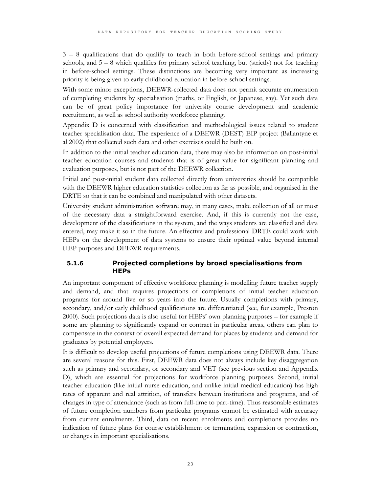3 – 8 qualifications that do qualify to teach in both before-school settings and primary schools, and  $5 - 8$  which qualifies for primary school teaching, but (strictly) not for teaching in before-school settings. These distinctions are becoming very important as increasing priority is being given to early childhood education in before-school settings.

With some minor exceptions, DEEWR-collected data does not permit accurate enumeration of completing students by specialisation (maths, or English, or Japanese, say). Yet such data can be of great policy importance for university course development and academic recruitment, as well as school authority workforce planning.

Appendix D is concerned with classification and methodological issues related to student teacher specialisation data. The experience of a DEEWR (DEST) EIP project (Ballantyne et al 2002) that collected such data and other exercises could be built on.

In addition to the initial teacher education data, there may also be information on post-initial teacher education courses and students that is of great value for significant planning and evaluation purposes, but is not part of the DEEWR collection.

Initial and post-initial student data collected directly from universities should be compatible with the DEEWR higher education statistics collection as far as possible, and organised in the DRTE so that it can be combined and manipulated with other datasets.

University student administration software may, in many cases, make collection of all or most of the necessary data a straightforward exercise. And, if this is currently not the case, development of the classifications in the system, and the ways students are classified and data entered, may make it so in the future. An effective and professional DRTE could work with HEPs on the development of data systems to ensure their optimal value beyond internal HEP purposes and DEEWR requirements.

# **5.1.6 Projected completions by broad specialisations from HEPs**

An important component of effective workforce planning is modelling future teacher supply and demand, and that requires projections of completions of initial teacher education programs for around five or so years into the future. Usually completions with primary, secondary, and/or early childhood qualifications are differentiated (see, for example, Preston 2000). Such projections data is also useful for HEPs' own planning purposes – for example if some are planning to significantly expand or contract in particular areas, others can plan to compensate in the context of overall expected demand for places by students and demand for graduates by potential employers.

It is difficult to develop useful projections of future completions using DEEWR data. There are several reasons for this. First, DEEWR data does not always include key disaggregation such as primary and secondary, or secondary and VET (see previous section and Appendix D), which are essential for projections for workforce planning purposes. Second, initial teacher education (like initial nurse education, and unlike initial medical education) has high rates of apparent and real attrition, of transfers between institutions and programs, and of changes in type of attendance (such as from full-time to part-time). Thus reasonable estimates of future completion numbers from particular programs cannot be estimated with accuracy from current enrolments. Third, data on recent enrolments and completions provides no indication of future plans for course establishment or termination, expansion or contraction, or changes in important specialisations.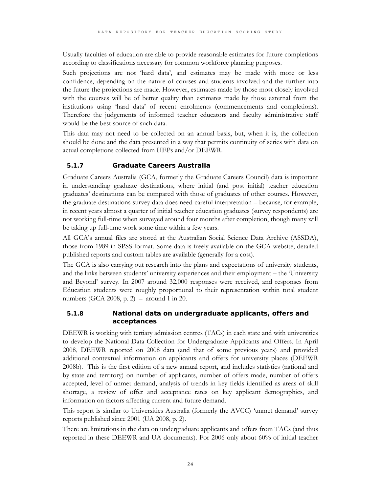Usually faculties of education are able to provide reasonable estimates for future completions according to classifications necessary for common workforce planning purposes.

Such projections are not 'hard data', and estimates may be made with more or less confidence, depending on the nature of courses and students involved and the further into the future the projections are made. However, estimates made by those most closely involved with the courses will be of better quality than estimates made by those external from the institutions using 'hard data' of recent enrolments (commencements and completions). Therefore the judgements of informed teacher educators and faculty administrative staff would be the best source of such data.

This data may not need to be collected on an annual basis, but, when it is, the collection should be done and the data presented in a way that permits continuity of series with data on actual completions collected from HEPs and/or DEEWR.

# **5.1.7 Graduate Careers Australia**

Graduate Careers Australia (GCA, formerly the Graduate Careers Council) data is important in understanding graduate destinations, where initial (and post initial) teacher education graduates' destinations can be compared with those of graduates of other courses. However, the graduate destinations survey data does need careful interpretation – because, for example, in recent years almost a quarter of initial teacher education graduates (survey respondents) are not working full-time when surveyed around four months after completion, though many will be taking up full-time work some time within a few years.

All GCA's annual files are stored at the Australian Social Science Data Archive (ASSDA), those from 1989 in SPSS format. Some data is freely available on the GCA website; detailed published reports and custom tables are available (generally for a cost).

The GCA is also carrying out research into the plans and expectations of university students, and the links between students' university experiences and their employment – the 'University and Beyond' survey. In 2007 around 32,000 responses were received, and responses from Education students were roughly proportional to their representation within total student numbers (GCA 2008, p. 2) – around 1 in 20.

# **5.1.8 National data on undergraduate applicants, offers and acceptances**

DEEWR is working with tertiary admission centres (TACs) in each state and with universities to develop the National Data Collection for Undergraduate Applicants and Offers. In April 2008, DEEWR reported on 2008 data (and that of some previous years) and provided additional contextual information on applicants and offers for university places (DEEWR 2008b). This is the first edition of a new annual report, and includes statistics (national and by state and territory) on number of applicants, number of offers made, number of offers accepted, level of unmet demand, analysis of trends in key fields identified as areas of skill shortage, a review of offer and acceptance rates on key applicant demographics, and information on factors affecting current and future demand.

This report is similar to Universities Australia (formerly the AVCC) 'unmet demand' survey reports published since 2001 (UA 2008, p. 2).

There are limitations in the data on undergraduate applicants and offers from TACs (and thus reported in these DEEWR and UA documents). For 2006 only about 60% of initial teacher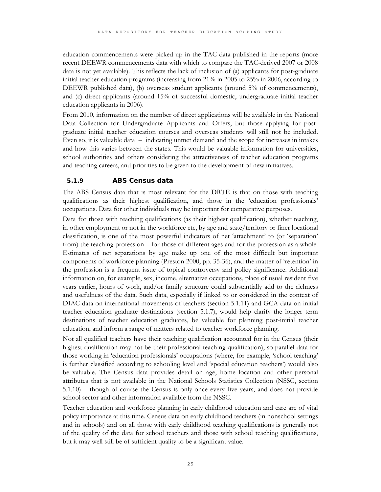education commencements were picked up in the TAC data published in the reports (more recent DEEWR commencements data with which to compare the TAC-derived 2007 or 2008 data is not yet available). This reflects the lack of inclusion of (a) applicants for post-graduate initial teacher education programs (increasing from 21% in 2005 to 25% in 2006, according to DEEWR published data), (b) overseas student applicants (around 5% of commencements), and (c) direct applicants (around 15% of successful domestic, undergraduate initial teacher education applicants in 2006).

From 2010, information on the number of direct applications will be available in the National Data Collection for Undergraduate Applicants and Offers, but those applying for postgraduate initial teacher education courses and overseas students will still not be included. Even so, it is valuable data – indicating unmet demand and the scope for increases in intakes and how this varies between the states. This would be valuable information for universities, school authorities and others considering the attractiveness of teacher education programs and teaching careers, and priorities to be given to the development of new initiatives.

#### **5.1.9 ABS Census data**

The ABS Census data that is most relevant for the DRTE is that on those with teaching qualifications as their highest qualification, and those in the 'education professionals' occupations. Data for other individuals may be important for comparative purposes.

Data for those with teaching qualifications (as their highest qualification), whether teaching, in other employment or not in the workforce etc, by age and state/territory or finer locational classification, is one of the most powerful indicators of net 'attachment' to (or 'separation' from) the teaching profession – for those of different ages and for the profession as a whole. Estimates of net separations by age make up one of the most difficult but important components of workforce planning (Preston 2000, pp. 35-36), and the matter of 'retention' in the profession is a frequent issue of topical controversy and policy significance. Additional information on, for example, sex, income, alternative occupations, place of usual resident five years earlier, hours of work, and/or family structure could substantially add to the richness and usefulness of the data. Such data, especially if linked to or considered in the context of DIAC data on international movements of teachers (section 5.1.11) and GCA data on initial teacher education graduate destinations (section 5.1.7), would help clarify the longer term destinations of teacher education graduates, be valuable for planning post-initial teacher education, and inform a range of matters related to teacher workforce planning.

Not all qualified teachers have their teaching qualification accounted for in the Census (their highest qualification may not be their professional teaching qualification), so parallel data for those working in 'education professionals' occupations (where, for example, 'school teaching' is further classified according to schooling level and 'special education teachers') would also be valuable. The Census data provides detail on age, home location and other personal attributes that is not available in the National Schools Statistics Collection (NSSC, section 5.1.10) – though of course the Census is only once every five years, and does not provide school sector and other information available from the NSSC.

Teacher education and workforce planning in early childhood education and care are of vital policy importance at this time. Census data on early childhood teachers (in nonschool settings and in schools) and on all those with early childhood teaching qualifications is generally not of the quality of the data for school teachers and those with school teaching qualifications, but it may well still be of sufficient quality to be a significant value.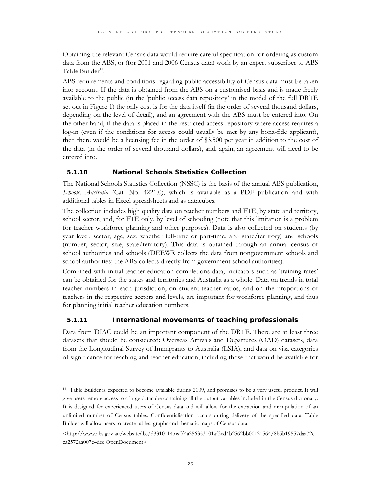Obtaining the relevant Census data would require careful specification for ordering as custom data from the ABS, or (for 2001 and 2006 Census data) work by an expert subscriber to ABS Table Builder $11$ .

ABS requirements and conditions regarding public accessibility of Census data must be taken into account. If the data is obtained from the ABS on a customised basis and is made freely available to the public (in the 'public access data repository' in the model of the full DRTE set out in Figure 1) the only cost is for the data itself (in the order of several thousand dollars, depending on the level of detail), and an agreement with the ABS must be entered into. On the other hand, if the data is placed in the restricted access repository where access requires a log-in (even if the conditions for access could usually be met by any bona-fide applicant), then there would be a licensing fee in the order of \$3,500 per year in addition to the cost of the data (in the order of several thousand dollars), and, again, an agreement will need to be entered into.

# **5.1.10 National Schools Statistics Collection**

The National Schools Statistics Collection (NSSC) is the basis of the annual ABS publication, *Schools, Australia* (Cat. No. 4221.0), which is available as a PDF publication and with additional tables in Excel spreadsheets and as datacubes.

The collection includes high quality data on teacher numbers and FTE, by state and territory, school sector, and, for FTE only, by level of schooling (note that this limitation is a problem for teacher workforce planning and other purposes). Data is also collected on students (by year level, sector, age, sex, whether full-time or part-time, and state/territory) and schools (number, sector, size, state/territory). This data is obtained through an annual census of school authorities and schools (DEEWR collects the data from nongovernment schools and school authorities; the ABS collects directly from government school authorities).

Combined with initial teacher education completions data, indicators such as 'training rates' can be obtained for the states and territories and Australia as a whole. Data on trends in total teacher numbers in each jurisdiction, on student-teacher ratios, and on the proportions of teachers in the respective sectors and levels, are important for workforce planning, and thus for planning initial teacher education numbers.

# **5.1.11 International movements of teaching professionals**

 $\overline{a}$ 

Data from DIAC could be an important component of the DRTE. There are at least three datasets that should be considered: Overseas Arrivals and Departures (OAD) datasets, data from the Longitudinal Survey of Immigrants to Australia (LSIA), and data on visa categories of significance for teaching and teacher education, including those that would be available for

<sup>&</sup>lt;sup>11</sup> Table Builder is expected to become available during 2009, and promises to be a very useful product. It will give users remote access to a large datacube containing all the output variables included in the Census dictionary. It is designed for experienced users of Census data and will allow for the extraction and manipulation of an unlimited number of Census tables. Confidentialisation occurs during delivery of the specified data. Table Builder will allow users to create tables, graphs and thematic maps of Census data.

<sup>&</sup>lt;http://www.abs.gov.au/websitedbs/d3310114.nsf/4a256353001af3ed4b2562bb00121564/8b5b19557daa72c1 ca2572aa007e4dee!OpenDocument>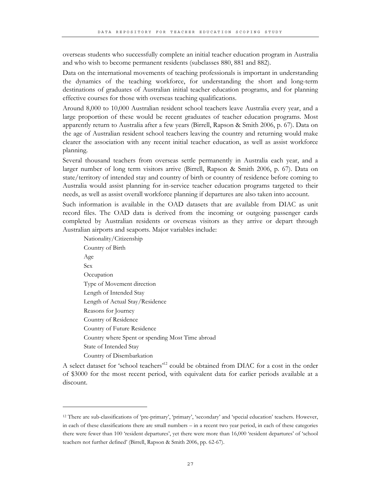overseas students who successfully complete an initial teacher education program in Australia and who wish to become permanent residents (subclasses 880, 881 and 882).

Data on the international movements of teaching professionals is important in understanding the dynamics of the teaching workforce, for understanding the short and long-term destinations of graduates of Australian initial teacher education programs, and for planning effective courses for those with overseas teaching qualifications.

Around 8,000 to 10,000 Australian resident school teachers leave Australia every year, and a large proportion of these would be recent graduates of teacher education programs. Most apparently return to Australia after a few years (Birrell, Rapson & Smith 2006, p. 67). Data on the age of Australian resident school teachers leaving the country and returning would make clearer the association with any recent initial teacher education, as well as assist workforce planning.

Several thousand teachers from overseas settle permanently in Australia each year, and a larger number of long term visitors arrive (Birrell, Rapson & Smith 2006, p. 67). Data on state/territory of intended stay and country of birth or country of residence before coming to Australia would assist planning for in-service teacher education programs targeted to their needs, as well as assist overall workforce planning if departures are also taken into account.

Such information is available in the OAD datasets that are available from DIAC as unit record files. The OAD data is derived from the incoming or outgoing passenger cards completed by Australian residents or overseas visitors as they arrive or depart through Australian airports and seaports. Major variables include:

Nationality/Citizenship Country of Birth Age Sex **Occupation** Type of Movement direction Length of Intended Stay Length of Actual Stay/Residence Reasons for Journey Country of Residence Country of Future Residence Country where Spent or spending Most Time abroad State of Intended Stay Country of Disembarkation

 $\overline{a}$ 

A select dataset for 'school teachers'<sup>12</sup> could be obtained from DIAC for a cost in the order of \$3000 for the most recent period, with equivalent data for earlier periods available at a discount.

<sup>12</sup> There are sub-classifications of 'pre-primary', 'primary', 'secondary' and 'special education' teachers. However, in each of these classifications there are small numbers – in a recent two year period, in each of these categories there were fewer than 100 'resident departures', yet there were more than 16,000 'resident departures' of 'school teachers not further defined' (Birrell, Rapson & Smith 2006, pp. 62-67).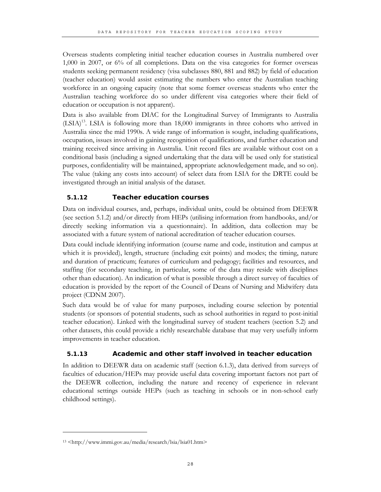Overseas students completing initial teacher education courses in Australia numbered over 1,000 in 2007, or 6% of all completions. Data on the visa categories for former overseas students seeking permanent residency (visa subclasses 880, 881 and 882) by field of education (teacher education) would assist estimating the numbers who enter the Australian teaching workforce in an ongoing capacity (note that some former overseas students who enter the Australian teaching workforce do so under different visa categories where their field of education or occupation is not apparent).

Data is also available from DIAC for the Longitudinal Survey of Immigrants to Australia (LSIA)13. LSIA is following more than 18,000 immigrants in three cohorts who arrived in Australia since the mid 1990s. A wide range of information is sought, including qualifications, occupation, issues involved in gaining recognition of qualifications, and further education and training received since arriving in Australia. Unit record files are available without cost on a conditional basis (including a signed undertaking that the data will be used only for statistical purposes, confidentiality will be maintained, appropriate acknowledgement made, and so on). The value (taking any costs into account) of select data from LSIA for the DRTE could be investigated through an initial analysis of the dataset.

# **5.1.12 Teacher education courses**

Data on individual courses, and, perhaps, individual units, could be obtained from DEEWR (see section 5.1.2) and/or directly from HEPs (utilising information from handbooks, and/or directly seeking information via a questionnaire). In addition, data collection may be associated with a future system of national accreditation of teacher education courses.

Data could include identifying information (course name and code, institution and campus at which it is provided), length, structure (including exit points) and modes; the timing, nature and duration of practicum; features of curriculum and pedagogy; facilities and resources, and staffing (for secondary teaching, in particular, some of the data may reside with disciplines other than education). An indication of what is possible through a direct survey of faculties of education is provided by the report of the Council of Deans of Nursing and Midwifery data project (CDNM 2007).

Such data would be of value for many purposes, including course selection by potential students (or sponsors of potential students, such as school authorities in regard to post-initial teacher education). Linked with the longitudinal survey of student teachers (section 5.2) and other datasets, this could provide a richly researchable database that may very usefully inform improvements in teacher education.

# **5.1.13 Academic and other staff involved in teacher education**

In addition to DEEWR data on academic staff (section 6.1.3), data derived from surveys of faculties of education/HEPs may provide useful data covering important factors not part of the DEEWR collection, including the nature and recency of experience in relevant educational settings outside HEPs (such as teaching in schools or in non-school early childhood settings).

 $\ddot{\phantom{a}}$ 

<sup>13 &</sup>lt;http://www.immi.gov.au/media/research/lsia/lsia01.htm>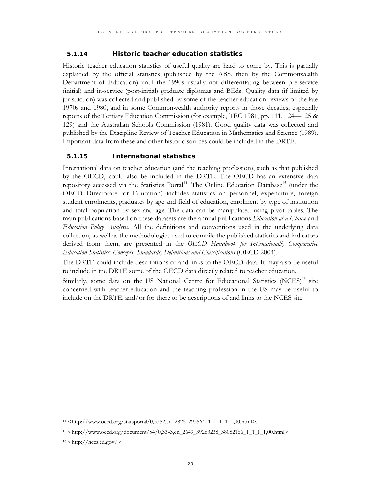#### **5.1.14 Historic teacher education statistics**

Historic teacher education statistics of useful quality are hard to come by. This is partially explained by the official statistics (published by the ABS, then by the Commonwealth Department of Education) until the 1990s usually not differentiating between pre-service (initial) and in-service (post-initial) graduate diplomas and BEds. Quality data (if limited by jurisdiction) was collected and published by some of the teacher education reviews of the late 1970s and 1980, and in some Commonwealth authority reports in those decades, especially reports of the Tertiary Education Commission (for example, TEC 1981, pp. 111, 124—125 & 129) and the Australian Schools Commission (1981). Good quality data was collected and published by the Discipline Review of Teacher Education in Mathematics and Science (1989). Important data from these and other historic sources could be included in the DRTE.

#### **5.1.15 International statistics**

International data on teacher education (and the teaching profession), such as that published by the OECD, could also be included in the DRTE. The OECD has an extensive data repository accessed via the Statistics Portal<sup>14</sup>. The Online Education Database<sup>15</sup> (under the OECD Directorate for Education) includes statistics on personnel, expenditure, foreign student enrolments, graduates by age and field of education, enrolment by type of institution and total population by sex and age. The data can be manipulated using pivot tables. The main publications based on these datasets are the annual publications *Education at a Glance* and *Education Policy Analysis*. All the definitions and conventions used in the underlying data collection, as well as the methodologies used to compile the published statistics and indicators derived from them, are presented in the *OECD Handbook for Internationally Comparative Education Statistics: Concepts, Standards, Definitions and Classifications* (OECD 2004).

The DRTE could include descriptions of and links to the OECD data. It may also be useful to include in the DRTE some of the OECD data directly related to teacher education.

Similarly, some data on the US National Centre for Educational Statistics  $(NCES)^{16}$  site concerned with teacher education and the teaching profession in the US may be useful to include on the DRTE, and/or for there to be descriptions of and links to the NCES site.

 $\overline{a}$ 

<sup>14 &</sup>lt;http://www.oecd.org/statsportal/0,3352,en\_2825\_293564\_1\_1\_1\_1\_1,00.html>.

<sup>15 &</sup>lt;http://www.oecd.org/document/54/0,3343,en\_2649\_39263238\_38082166\_1\_1\_1\_1,00.html>

 $16$  <http://nces.ed.gov/>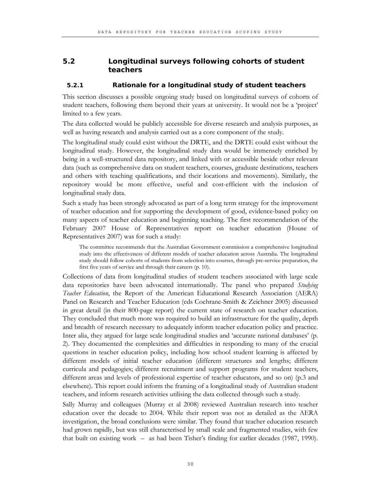# **5.2 Longitudinal surveys following cohorts of student teachers**

#### **5.2.1 Rationale for a longitudinal study of student teachers**

This section discusses a possible ongoing study based on longitudinal surveys of cohorts of student teachers, following them beyond their years at university. It would not be a 'project' limited to a few years.

The data collected would be publicly accessible for diverse research and analysis purposes, as well as having research and analysis carried out as a core component of the study.

The longitudinal study could exist without the DRTE, and the DRTE could exist without the longitudinal study. However, the longitudinal study data would be immensely enriched by being in a well-structured data repository, and linked with or accessible beside other relevant data (such as comprehensive data on student teachers, courses, graduate destinations, teachers and others with teaching qualifications, and their locations and movements). Similarly, the repository would be more effective, useful and cost-efficient with the inclusion of longitudinal study data.

Such a study has been strongly advocated as part of a long term strategy for the improvement of teacher education and for supporting the development of good, evidence-based policy on many aspects of teacher education and beginning teaching. The first recommendation of the February 2007 House of Representatives report on teacher education (House of Representatives 2007) was for such a study:

The committee recommends that the Australian Government commission a comprehensive longitudinal study into the effectiveness of different models of teacher education across Australia. The longitudinal study should follow cohorts of students from selection into courses, through pre-service preparation, the first five years of service and through their careers (p. 10).

Collections of data from longitudinal studies of student teachers associated with large scale data repositories have been advocated internationally. The panel who prepared *Studying Teacher Education*, the Report of the American Educational Research Association (AERA) Panel on Research and Teacher Education (eds Cochrane-Smith & Zeichner 2005) discussed in great detail (in their 800-page report) the current state of research on teacher education. They concluded that much more was required to build an infrastructure for the quality, depth and breadth of research necessary to adequately inform teacher education policy and practice. Inter alia, they argued for large scale longitudinal studies and 'accurate national databases' (p. 2). They documented the complexities and difficulties in responding to many of the crucial questions in teacher education policy, including how school student learning is affected by different models of initial teacher education (different structures and lengths; different curricula and pedagogies; different recruitment and support programs for student teachers, different areas and levels of professional expertise of teacher educators, and so on) (p.3 and elsewhere). This report could inform the framing of a longitudinal study of Australian student teachers, and inform research activities utilising the data collected through such a study.

Sally Murray and colleagues (Murray et al 2008) reviewed Australian research into teacher education over the decade to 2004. While their report was not as detailed as the AERA investigation, the broad conclusions were similar. They found that teacher education research had grown rapidly, but was still characterised by small scale and fragmented studies, with few that built on existing work – as had been Tisher's finding for earlier decades (1987, 1990).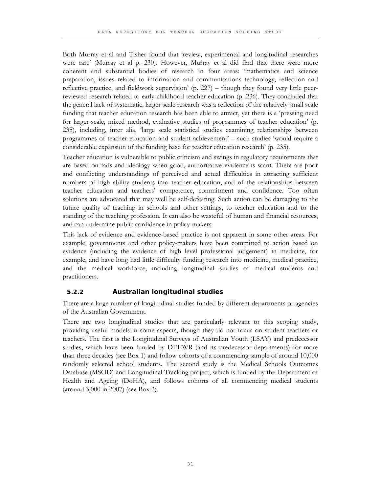Both Murray et al and Tisher found that 'review, experimental and longitudinal researches were rare' (Murray et al p. 230). However, Murray et al did find that there were more coherent and substantial bodies of research in four areas: 'mathematics and science preparation, issues related to information and communications technology, reflection and reflective practice, and fieldwork supervision' (p. 227) – though they found very little peerreviewed research related to early childhood teacher education (p. 236). They concluded that the general lack of systematic, larger scale research was a reflection of the relatively small scale funding that teacher education research has been able to attract, yet there is a 'pressing need for larger-scale, mixed method, evaluative studies of programmes of teacher education' (p. 235), including, inter alia, 'large scale statistical studies examining relationships between programmes of teacher education and student achievement' – such studies 'would require a considerable expansion of the funding base for teacher education research' (p. 235).

Teacher education is vulnerable to public criticism and swings in regulatory requirements that are based on fads and ideology when good, authoritative evidence is scant. There are poor and conflicting understandings of perceived and actual difficulties in attracting sufficient numbers of high ability students into teacher education, and of the relationships between teacher education and teachers' competence, commitment and confidence. Too often solutions are advocated that may well be self-defeating. Such action can be damaging to the future quality of teaching in schools and other settings, to teacher education and to the standing of the teaching profession. It can also be wasteful of human and financial resources, and can undermine public confidence in policy-makers.

This lack of evidence and evidence-based practice is not apparent in some other areas. For example, governments and other policy-makers have been committed to action based on evidence (including the evidence of high level professional judgement) in medicine, for example, and have long had little difficulty funding research into medicine, medical practice, and the medical workforce, including longitudinal studies of medical students and practitioners.

#### **5.2.2 Australian longitudinal studies**

There are a large number of longitudinal studies funded by different departments or agencies of the Australian Government.

There are two longitudinal studies that are particularly relevant to this scoping study, providing useful models in some aspects, though they do not focus on student teachers or teachers. The first is the Longitudinal Surveys of Australian Youth (LSAY) and predecessor studies, which have been funded by DEEWR (and its predecessor departments) for more than three decades (see Box 1) and follow cohorts of a commencing sample of around 10,000 randomly selected school students. The second study is the Medical Schools Outcomes Database (MSOD) and Longitudinal Tracking project, which is funded by the Department of Health and Ageing (DoHA), and follows cohorts of all commencing medical students (around 3,000 in 2007) (see Box 2).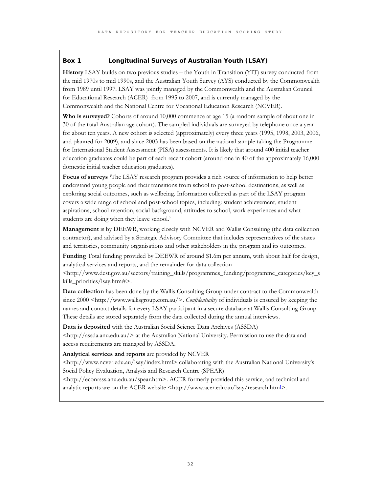#### **Box 1 Longitudinal Surveys of Australian Youth (LSAY)**

**History** LSAY builds on two previous studies – the Youth in Transition (YIT) survey conducted from the mid 1970s to mid 1990s, and the Australian Youth Survey (AYS) conducted by the Commonwealth from 1989 until 1997. LSAY was jointly managed by the Commonwealth and the Australian Council for Educational Research (ACER) from 1995 to 2007, and is currently managed by the Commonwealth and the National Centre for Vocational Education Research (NCVER).

**Who is surveyed?** Cohorts of around 10,000 commence at age 15 (a random sample of about one in 30 of the total Australian age cohort). The sampled individuals are surveyed by telephone once a year for about ten years. A new cohort is selected (approximately) every three years (1995, 1998, 2003, 2006, and planned for 2009), and since 2003 has been based on the national sample taking the Programme for International Student Assessment (PISA) assessments. It is likely that around 400 initial teacher education graduates could be part of each recent cohort (around one in 40 of the approximately 16,000 domestic initial teacher education graduates).

**Focus of surveys '**The LSAY research program provides a rich source of information to help better understand young people and their transitions from school to post-school destinations, as well as exploring social outcomes, such as wellbeing. Information collected as part of the LSAY program covers a wide range of school and post-school topics, including: student achievement, student aspirations, school retention, social background, attitudes to school, work experiences and what students are doing when they leave school.'

**Management** is by DEEWR, working closely with NCVER and Wallis Consulting (the data collection contractor), and advised by a Strategic Advisory Committee that includes representatives of the states and territories, community organisations and other stakeholders in the program and its outcomes.

**Funding** Total funding provided by DEEWR of around \$1.6m per annum, with about half for design, analytical services and reports, and the remainder for data collection

<http://www.dest.gov.au/sectors/training\_skills/programmes\_funding/programme\_categories/key\_s kills\_priorities/lsay.htm#>.

**Data collection** has been done by the Wallis Consulting Group under contract to the Commonwealth since 2000 <http://www.wallisgroup.com.au/>. *Confidentiality* of individuals is ensured by keeping the names and contact details for every LSAY participant in a secure database at Wallis Consulting Group. These details are stored separately from the data collected during the annual interviews.

**Data is deposited** with the Australian Social Science Data Archives (ASSDA)

<http://assda.anu.edu.au/> at the Australian National University. Permission to use the data and access requirements are managed by ASSDA.

**Analytical services and reports** are provided by NCVER

<http://www.ncver.edu.au/lsay/index.html> collaborating with the Australian National University's Social Policy Evaluation, Analysis and Research Centre (SPEAR)

<http://econrsss.anu.edu.au/spear.htm>. ACER formerly provided this service, and technical and analytic reports are on the ACER website  $\langle \text{http://www.acer.edu.au/lsay/research.html}\rangle$ .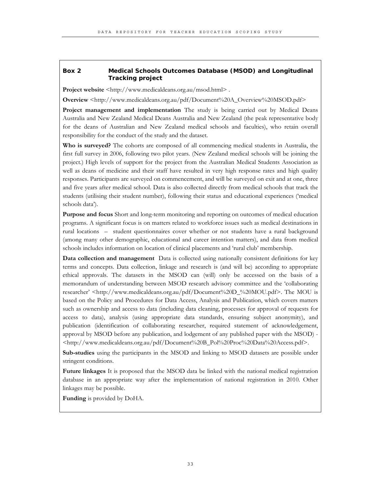#### **Box 2 Medical Schools Outcomes Database (MSOD) and Longitudinal Tracking project**

**Project website** <http://www.medicaldeans.org.au/msod.html>.

**Overview** <http://www.medicaldeans.org.au/pdf/Document%20A\_Overview%20MSOD.pdf>

**Project management and implementation** The study is being carried out by Medical Deans Australia and New Zealand Medical Deans Australia and New Zealand (the peak representative body for the deans of Australian and New Zealand medical schools and faculties), who retain overall responsibility for the conduct of the study and the dataset.

**Who is surveyed?** The cohorts are composed of all commencing medical students in Australia, the first full survey in 2006, following two pilot years. (New Zealand medical schools will be joining the project.) High levels of support for the project from the Australian Medical Students Association as well as deans of medicine and their staff have resulted in very high response rates and high quality responses. Participants are surveyed on commencement, and will be surveyed on exit and at one, three and five years after medical school. Data is also collected directly from medical schools that track the students (utilising their student number), following their status and educational experiences ('medical schools data').

**Purpose and focus** Short and long-term monitoring and reporting on outcomes of medical education programs. A significant focus is on matters related to workforce issues such as medical destinations in rural locations – student questionnaires cover whether or not students have a rural background (among many other demographic, educational and career intention matters), and data from medical schools includes information on location of clinical placements and 'rural club' membership.

**Data collection and management** Data is collected using nationally consistent definitions for key terms and concepts. Data collection, linkage and research is (and will be) according to appropriate ethical approvals. The datasets in the MSOD can (will) only be accessed on the basis of a memorandum of understanding between MSOD research advisory committee and the 'collaborating researcher' <http://www.medicaldeans.org.au/pdf/Document%20D\_%20MOU.pdf>. The MOU is based on the Policy and Procedures for Data Access, Analysis and Publication, which covers matters such as ownership and access to data (including data cleaning, processes for approval of requests for access to data), analysis (using appropriate data standards, ensuring subject anonymity), and publication (identification of collaborating researcher, required statement of acknowledgement, approval by MSOD before any publication, and lodgement of any published paper with the MSOD) - <http://www.medicaldeans.org.au/pdf/Document%20B\_Pol%20Proc%20Data%20Access.pdf>.

**Sub-studies** using the participants in the MSOD and linking to MSOD datasets are possible under stringent conditions.

**Future linkages** It is proposed that the MSOD data be linked with the national medical registration database in an appropriate way after the implementation of national registration in 2010. Other linkages may be possible.

**Funding** is provided by DoHA.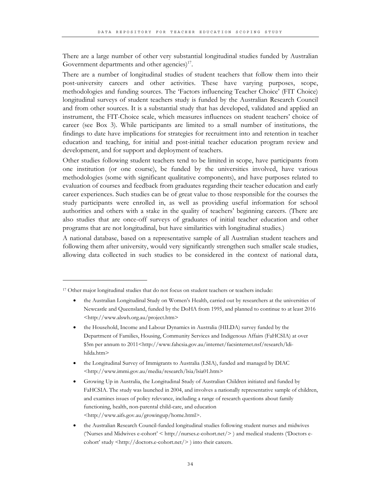There are a large number of other very substantial longitudinal studies funded by Australian Government departments and other agencies) $17$ .

There are a number of longitudinal studies of student teachers that follow them into their post-university careers and other activities. These have varying purposes, scope, methodologies and funding sources. The 'Factors influencing Teacher Choice' (FIT Choice) longitudinal surveys of student teachers study is funded by the Australian Research Council and from other sources. It is a substantial study that has developed, validated and applied an instrument, the FIT-Choice scale, which measures influences on student teachers' choice of career (see Box 3). While participants are limited to a small number of institutions, the findings to date have implications for strategies for recruitment into and retention in teacher education and teaching, for initial and post-initial teacher education program review and development, and for support and deployment of teachers.

Other studies following student teachers tend to be limited in scope, have participants from one institution (or one course), be funded by the universities involved, have various methodologies (some with significant qualitative components), and have purposes related to evaluation of courses and feedback from graduates regarding their teacher education and early career experiences. Such studies can be of great value to those responsible for the courses the study participants were enrolled in, as well as providing useful information for school authorities and others with a stake in the quality of teachers' beginning careers. (There are also studies that are once-off surveys of graduates of initial teacher education and other programs that are not longitudinal, but have similarities with longitudinal studies.)

A national database, based on a representative sample of all Australian student teachers and following them after university, would very significantly strengthen such smaller scale studies, allowing data collected in such studies to be considered in the context of national data,

 $\ddot{\phantom{a}}$ 

- the Australian Longitudinal Study on Women's Health, carried out by researchers at the universities of Newcastle and Queensland, funded by the DoHA from 1995, and planned to continue to at least 2016 <http://www.alswh.org.au/project.htm>
- the Household, Income and Labour Dynamics in Australia (HILDA) survey funded by the Department of Families, Housing, Community Services and Indigenous Affairs (FaHCSIA) at over \$5m per annum to 2011<http://www.fahcsia.gov.au/internet/facsinternet.nsf/research/ldihilda.htm>
- the Longitudinal Survey of Immigrants to Australia (LSIA), funded and managed by DIAC <http://www.immi.gov.au/media/research/lsia/lsia01.htm>
- Growing Up in Australia, the Longitudinal Study of Australian Children initiated and funded by FaHCSIA. The study was launched in 2004, and involves a nationally representative sample of children, and examines issues of policy relevance, including a range of research questions about family functioning, health, non-parental child-care, and education <http://www.aifs.gov.au/growingup/home.html>.
- the Australian Research Council-funded longitudinal studies following student nurses and midwives ('Nurses and Midwives e-cohort' < http://nurses.e-cohort.net/> ) and medical students ('Doctors ecohort' study <http://doctors.e-cohort.net/> ) into their careers.

<sup>&</sup>lt;sup>17</sup> Other major longitudinal studies that do not focus on student teachers or teachers include: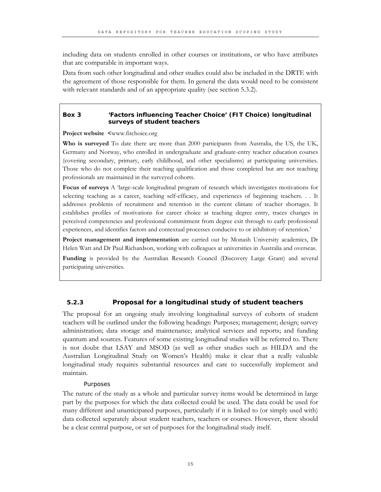including data on students enrolled in other courses or institutions, or who have attributes that are comparable in important ways.

Data from such other longitudinal and other studies could also be included in the DRTE with the agreement of those responsible for them. In general the data would need to be consistent with relevant standards and of an appropriate quality (see section 5.3.2).

### **Box 3 'Factors influencing Teacher Choice' (FIT Choice) longitudinal surveys of student teachers**

**Project website <**www.fitchoice.org

**Who is surveyed** To date there are more than 2000 participants from Australia, the US, the UK, Germany and Norway, who enrolled in undergraduate and graduate-entry teacher education courses (covering secondary, primary, early childhood, and other specialisms) at participating universities. Those who do not complete their teaching qualification and those completed but are not teaching professionals are maintained in the surveyed cohorts.

**Focus of surveys** A 'large-scale longitudinal program of research which investigates motivations for selecting teaching as a career, teaching self-efficacy, and experiences of beginning teachers. . . It addresses problems of recruitment and retention in the current climate of teacher shortages. It establishes profiles of motivations for career choice at teaching degree entry, traces changes in perceived competencies and professional commitment from degree exit through to early professional experiences, and identifies factors and contextual processes conducive to or inhibitory of retention.'

**Project management and implementation** are carried out by Monash University academics, Dr Helen Watt and Dr Paul Richardson, working with colleagues at universities in Australia and overseas.

**Funding** is provided by the Australian Research Council (Discovery Large Grant) and several participating universities.

# **5.2.3 Proposal for a longitudinal study of student teachers**

The proposal for an ongoing study involving longitudinal surveys of cohorts of student teachers will be outlined under the following headings: Purposes; management; design; survey administration; data storage and maintenance; analytical services and reports; and funding quantum and sources. Features of some existing longitudinal studies will be referred to. There is not doubt that LSAY and MSOD (as well as other studies such as HILDA and the Australian Longitudinal Study on Women's Health) make it clear that a really valuable longitudinal study requires substantial resources and care to successfully implement and maintain.

#### Purposes

The nature of the study as a whole and particular survey items would be determined in large part by the purposes for which the data collected could be used. The data could be used for many different and unanticipated purposes, particularly if it is linked to (or simply used with) data collected separately about student teachers, teachers or courses. However, there should be a clear central purpose, or set of purposes for the longitudinal study itself.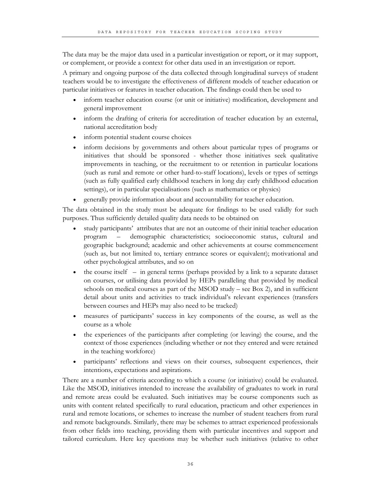The data may be the major data used in a particular investigation or report, or it may support, or complement, or provide a context for other data used in an investigation or report.

A primary and ongoing purpose of the data collected through longitudinal surveys of student teachers would be to investigate the effectiveness of different models of teacher education or particular initiatives or features in teacher education. The findings could then be used to

- inform teacher education course (or unit or initiative) modification, development and general improvement
- inform the drafting of criteria for accreditation of teacher education by an external, national accreditation body
- inform potential student course choices
- inform decisions by governments and others about particular types of programs or initiatives that should be sponsored - whether those initiatives seek qualitative improvements in teaching, or the recruitment to or retention in particular locations (such as rural and remote or other hard-to-staff locations), levels or types of settings (such as fully qualified early childhood teachers in long day early childhood education settings), or in particular specialisations (such as mathematics or physics)
- generally provide information about and accountability for teacher education.

The data obtained in the study must be adequate for findings to be used validly for such purposes. Thus sufficiently detailed quality data needs to be obtained on

- study participants' attributes that are not an outcome of their initial teacher education program – demographic characteristics; socioeconomic status, cultural and geographic background; academic and other achievements at course commencement (such as, but not limited to, tertiary entrance scores or equivalent); motivational and other psychological attributes, and so on
- the course itself  $-$  in general terms (perhaps provided by a link to a separate dataset on courses, or utilising data provided by HEPs paralleling that provided by medical schools on medical courses as part of the MSOD study – see Box 2), and in sufficient detail about units and activities to track individual's relevant experiences (transfers between courses and HEPs may also need to be tracked)
- measures of participants' success in key components of the course, as well as the course as a whole
- the experiences of the participants after completing (or leaving) the course, and the context of those experiences (including whether or not they entered and were retained in the teaching workforce)
- participants' reflections and views on their courses, subsequent experiences, their intentions, expectations and aspirations.

There are a number of criteria according to which a course (or initiative) could be evaluated. Like the MSOD, initiatives intended to increase the availability of graduates to work in rural and remote areas could be evaluated. Such initiatives may be course components such as units with content related specifically to rural education, practicum and other experiences in rural and remote locations, or schemes to increase the number of student teachers from rural and remote backgrounds. Similarly, there may be schemes to attract experienced professionals from other fields into teaching, providing them with particular incentives and support and tailored curriculum. Here key questions may be whether such initiatives (relative to other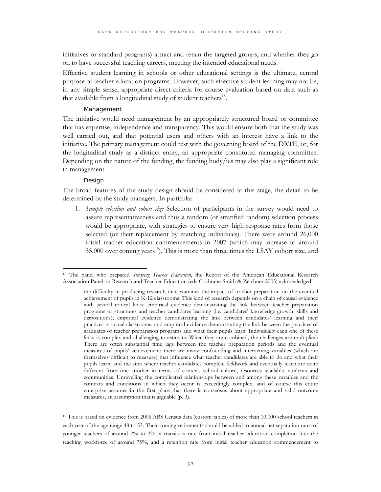initiatives or standard programs) attract and retain the targeted groups, and whether they go on to have successful teaching careers, meeting the intended educational needs.

Effective student learning in schools or other educational settings is the ultimate, central purpose of teacher education programs. However, such effective student learning may not be, in any simple sense, appropriate direct criteria for course evaluation based on data such as that available from a longitudinal study of student teachers $^{18}$ .

#### Management

The initiative would need management by an appropriately structured board or committee that has expertise, independence and transparency. This would ensure both that the study was well carried out, and that potential users and others with an interest have a link to the initiative. The primary management could rest with the governing board of the DRTE, or, for the longitudinal study as a distinct entity, an appropriate constituted managing committee. Depending on the nature of the funding, the funding body/ies may also play a significant role in management.

#### Design

The broad features of the study design should be considered at this stage, the detail to be determined by the study managers. In particular

1. *Sample selection and cohort size* Selection of participants in the survey would need to assure representativeness and thus a random (or stratified random) selection process would be appropriate, with strategies to ensure very high response rates from those selected (or their replacement by matching individuals). There were around 26,000 initial teacher education commencements in 2007 (which may increase to around  $35,000$  over coming years<sup>19</sup>). This is more than three times the LSAY cohort size, and

<sup>19</sup> This is based on evidence from 2006 ABS Census data (custom tables) of more than 10,000 school teachers in each year of the age range 48 to 53. Their coming retirements should be added to annual net separation rates of younger teachers of around 2% to 3%, a transition rate from initial teacher education completion into the teaching workforce of around 75%, and a retention rate from initial teacher education commencement to

 $\overline{a}$ 18 The panel who prepared *Studying Teacher Education*, the Report of the American Educational Research Association Panel on Research and Teacher Education (eds Cochrane-Smith & Zeichner 2005) acknowledged

the difficulty in producing research that examines the impact of teacher preparation on the eventual achievement of pupils in K-12 classrooms. This kind of research depends on a chain of causal evidence with several critical links: empirical evidence demonstrating the link between teacher preparation programs or structures and teacher candidates learning (i.e. candidates' knowledge growth, skills and dispositions); empirical evidence demonstrating the link between candidates' learning and their practices in actual classrooms; and empirical evidence demonstrating the link between the practices of graduates of teacher preparation programs and what their pupils learn. Individually each one of these links is complex and challenging to estimate. When they are combined, the challenges are multiplied: There are often substantial time lags between the teacher preparation periods and the eventual measures of pupils' achievement; there are many confounding and intervening variables (which are themselves difficult to measure) that influence what teacher candidates are able to do and what their pupils learn; and the sites where teacher candidates complete fieldwork and eventually teach are quite different from one another in terms of context, school culture, resources available, students and communities. Unravelling the complicated relationships between and among these variables and the contexts and conditions in which they occur is exceedingly complex, and of course this entire enterprise assumes in the first place that there is consensus about appropriate and valid outcome measures, an assumption that is arguable (p. 3).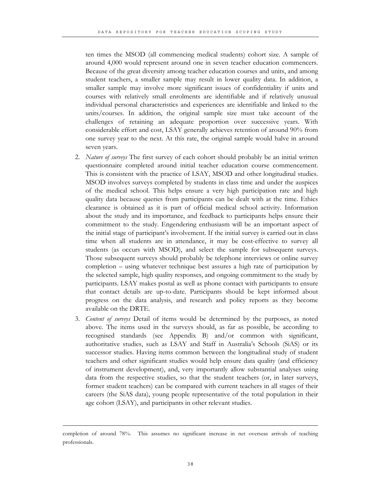ten times the MSOD (all commencing medical students) cohort size. A sample of around 4,000 would represent around one in seven teacher education commencers. Because of the great diversity among teacher education courses and units, and among student teachers, a smaller sample may result in lower quality data. In addition, a smaller sample may involve more significant issues of confidentiality if units and courses with relatively small enrolments are identifiable and if relatively unusual individual personal characteristics and experiences are identifiable and linked to the units/courses. In addition, the original sample size must take account of the challenges of retaining an adequate proportion over successive years. With considerable effort and cost, LSAY generally achieves retention of around 90% from one survey year to the next. At this rate, the original sample would halve in around seven years.

- 2. *Nature of surveys* The first survey of each cohort should probably be an initial written questionnaire completed around initial teacher education course commencement. This is consistent with the practice of LSAY, MSOD and other longitudinal studies. MSOD involves surveys completed by students in class time and under the auspices of the medical school. This helps ensure a very high participation rate and high quality data because queries from participants can be dealt with at the time. Ethics clearance is obtained as it is part of official medical school activity. Information about the study and its importance, and feedback to participants helps ensure their commitment to the study. Engendering enthusiasm will be an important aspect of the initial stage of participant's involvement. If the initial survey is carried out in class time when all students are in attendance, it may be cost-effective to survey all students (as occurs with MSOD), and select the sample for subsequent surveys. Those subsequent surveys should probably be telephone interviews or online survey completion – using whatever technique best assures a high rate of participation by the selected sample, high quality responses, and ongoing commitment to the study by participants. LSAY makes postal as well as phone contact with participants to ensure that contact details are up-to-date. Participants should be kept informed about progress on the data analysis, and research and policy reports as they become available on the DRTE.
- 3. *Content of surveys* Detail of items would be determined by the purposes, as noted above. The items used in the surveys should, as far as possible, be according to recognised standards (see Appendix B) and/or common with significant, authoritative studies, such as LSAY and Staff in Australia's Schools (SiAS) or its successor studies. Having items common between the longitudinal study of student teachers and other significant studies would help ensure data quality (and efficiency of instrument development), and, very importantly allow substantial analyses using data from the respective studies, so that the student teachers (or, in later surveys, former student teachers) can be compared with current teachers in all stages of their careers (the SiAS data), young people representative of the total population in their age cohort (LSAY), and participants in other relevant studies.

-

completion of around 78%. This assumes no significant increase in net overseas arrivals of teaching professionals.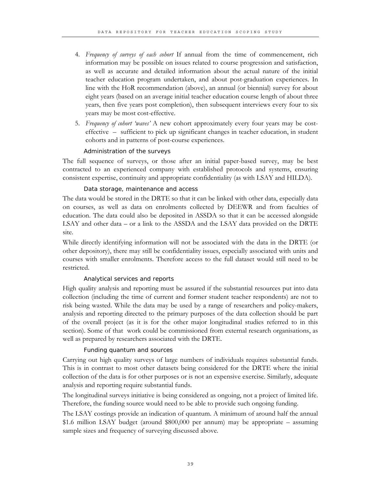- 4. *Frequency of surveys of each cohort* If annual from the time of commencement, rich information may be possible on issues related to course progression and satisfaction, as well as accurate and detailed information about the actual nature of the initial teacher education program undertaken, and about post-graduation experiences. In line with the HoR recommendation (above), an annual (or biennial) survey for about eight years (based on an average initial teacher education course length of about three years, then five years post completion), then subsequent interviews every four to six years may be most cost-effective.
- 5. *Frequency of cohort 'waves'* A new cohort approximately every four years may be costeffective – sufficient to pick up significant changes in teacher education, in student cohorts and in patterns of post-course experiences.

# Administration of the surveys

The full sequence of surveys, or those after an initial paper-based survey, may be best contracted to an experienced company with established protocols and systems, ensuring consistent expertise, continuity and appropriate confidentiality (as with LSAY and HILDA).

### Data storage, maintenance and access

The data would be stored in the DRTE so that it can be linked with other data, especially data on courses, as well as data on enrolments collected by DEEWR and from faculties of education. The data could also be deposited in ASSDA so that it can be accessed alongside LSAY and other data – or a link to the ASSDA and the LSAY data provided on the DRTE site.

While directly identifying information will not be associated with the data in the DRTE (or other depository), there may still be confidentiality issues, especially associated with units and courses with smaller enrolments. Therefore access to the full dataset would still need to be restricted.

#### Analytical services and reports

High quality analysis and reporting must be assured if the substantial resources put into data collection (including the time of current and former student teacher respondents) are not to risk being wasted. While the data may be used by a range of researchers and policy-makers, analysis and reporting directed to the primary purposes of the data collection should be part of the overall project (as it is for the other major longitudinal studies referred to in this section). Some of that work could be commissioned from external research organisations, as well as prepared by researchers associated with the DRTE.

#### Funding quantum and sources

Carrying out high quality surveys of large numbers of individuals requires substantial funds. This is in contrast to most other datasets being considered for the DRTE where the initial collection of the data is for other purposes or is not an expensive exercise. Similarly, adequate analysis and reporting require substantial funds.

The longitudinal surveys initiative is being considered as ongoing, not a project of limited life. Therefore, the funding source would need to be able to provide such ongoing funding.

The LSAY costings provide an indication of quantum. A minimum of around half the annual \$1.6 million LSAY budget (around \$800,000 per annum) may be appropriate – assuming sample sizes and frequency of surveying discussed above.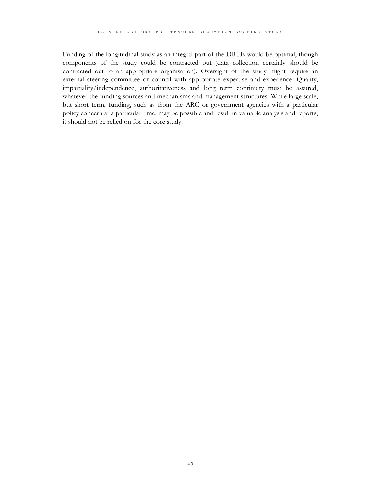Funding of the longitudinal study as an integral part of the DRTE would be optimal, though components of the study could be contracted out (data collection certainly should be contracted out to an appropriate organisation). Oversight of the study might require an external steering committee or council with appropriate expertise and experience. Quality, impartiality/independence, authoritativeness and long term continuity must be assured, whatever the funding sources and mechanisms and management structures. While large scale, but short term, funding, such as from the ARC or government agencies with a particular policy concern at a particular time, may be possible and result in valuable analysis and reports, it should not be relied on for the core study.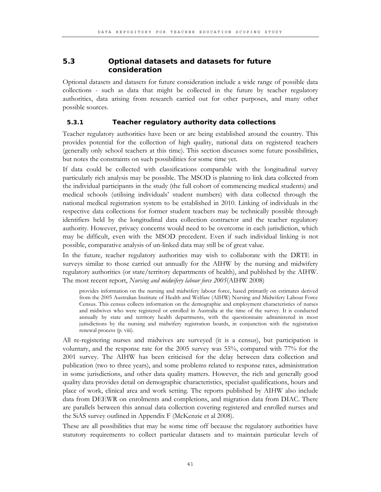# **5.3 Optional datasets and datasets for future consideration**

Optional datasets and datasets for future consideration include a wide range of possible data collections - such as data that might be collected in the future by teacher regulatory authorities, data arising from research carried out for other purposes, and many other possible sources.

### **5.3.1 Teacher regulatory authority data collections**

Teacher regulatory authorities have been or are being established around the country. This provides potential for the collection of high quality, national data on registered teachers (generally only school teachers at this time). This section discusses some future possibilities, but notes the constraints on such possibilities for some time yet.

If data could be collected with classifications comparable with the longitudinal survey particularly rich analysis may be possible. The MSOD is planning to link data collected from the individual participants in the study (the full cohort of commencing medical students) and medical schools (utilising individuals' student numbers) with data collected through the national medical registration system to be established in 2010. Linking of individuals in the respective data collections for former student teachers may be technically possible through identifiers held by the longitudinal data collection contractor and the teacher regulatory authority. However, privacy concerns would need to be overcome in each jurisdiction, which may be difficult, even with the MSOD precedent. Even if such individual linking is not possible, comparative analysis of un-linked data may still be of great value.

In the future, teacher regulatory authorities may wish to collaborate with the DRTE in surveys similar to those carried out annually for the AIHW by the nursing and midwifery regulatory authorities (or state/territory departments of health), and published by the AIHW. The most recent report, *Nursing and midwifery labour force 2005*(AIHW 2008)

provides information on the nursing and midwifery labour force, based primarily on estimates derived from the 2005 Australian Institute of Health and Welfare (AIHW) Nursing and Midwifery Labour Force Census. This census collects information on the demographic and employment characteristics of nurses and midwives who were registered or enrolled in Australia at the time of the survey. It is conducted annually by state and territory health departments, with the questionnaire administered in most jurisdictions by the nursing and midwifery registration boards, in conjunction with the registration renewal process (p. viii).

All re-registering nurses and midwives are surveyed (it is a census), but participation is voluntary, and the response rate for the 2005 survey was 55%, compared with 77% for the 2001 survey. The AIHW has been criticised for the delay between data collection and publication (two to three years), and some problems related to response rates, administration in some jurisdictions, and other data quality matters. However, the rich and generally good quality data provides detail on demographic characteristics, specialist qualifications, hours and place of work, clinical area and work setting. The reports published by AIHW also include data from DEEWR on enrolments and completions, and migration data from DIAC. There are parallels between this annual data collection covering registered and enrolled nurses and the SiAS survey outlined in Appendix F (McKenzie et al 2008).

These are all possibilities that may be some time off because the regulatory authorities have statutory requirements to collect particular datasets and to maintain particular levels of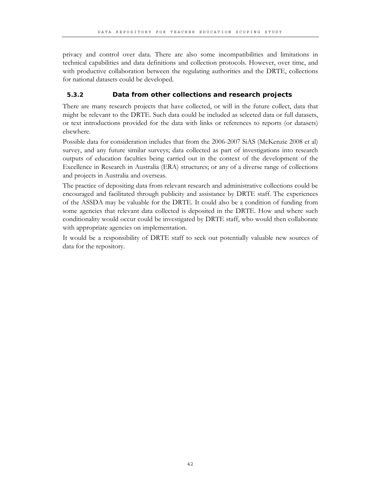privacy and control over data. There are also some incompatibilities and limitations in technical capabilities and data definitions and collection protocols. However, over time, and with productive collaboration between the regulating authorities and the DRTE, collections for national datasets could be developed.

# **5.3.2 Data from other collections and research projects**

There are many research projects that have collected, or will in the future collect, data that might be relevant to the DRTE. Such data could be included as selected data or full datasets, or text introductions provided for the data with links or references to reports (or datasets) elsewhere.

Possible data for consideration includes that from the 2006-2007 SiAS (McKenzie 2008 et al) survey, and any future similar surveys; data collected as part of investigations into research outputs of education faculties being carried out in the context of the development of the Excellence in Research in Australia (ERA) structures; or any of a diverse range of collections and projects in Australia and overseas.

The practice of depositing data from relevant research and administrative collections could be encouraged and facilitated through publicity and assistance by DRTE staff. The experiences of the ASSDA may be valuable for the DRTE. It could also be a condition of funding from some agencies that relevant data collected is deposited in the DRTE. How and where such conditionality would occur could be investigated by DRTE staff, who would then collaborate with appropriate agencies on implementation.

It would be a responsibility of DRTE staff to seek out potentially valuable new sources of data for the repository.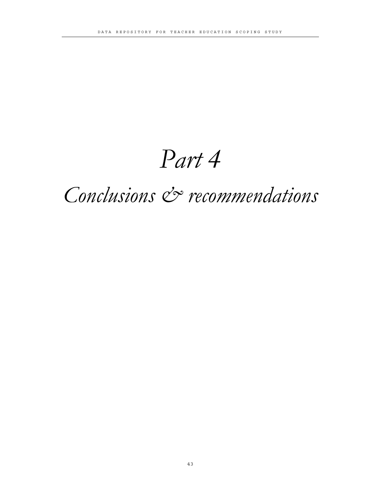# *Part 4*

# *Conclusions & recommendations*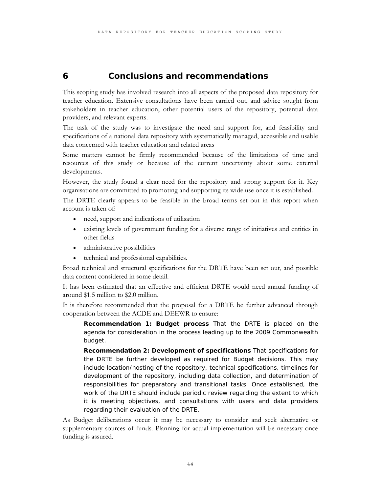# **6 Conclusions and recommendations**

This scoping study has involved research into all aspects of the proposed data repository for teacher education. Extensive consultations have been carried out, and advice sought from stakeholders in teacher education, other potential users of the repository, potential data providers, and relevant experts.

The task of the study was to investigate the need and support for, and feasibility and specifications of a national data repository with systematically managed, accessible and usable data concerned with teacher education and related areas

Some matters cannot be firmly recommended because of the limitations of time and resources of this study or because of the current uncertainty about some external developments.

However, the study found a clear need for the repository and strong support for it. Key organisations are committed to promoting and supporting its wide use once it is established.

The DRTE clearly appears to be feasible in the broad terms set out in this report when account is taken of:

- need, support and indications of utilisation
- existing levels of government funding for a diverse range of initiatives and entities in other fields
- administrative possibilities
- technical and professional capabilities.

Broad technical and structural specifications for the DRTE have been set out, and possible data content considered in some detail.

It has been estimated that an effective and efficient DRTE would need annual funding of around \$1.5 million to \$2.0 million.

It is therefore recommended that the proposal for a DRTE be further advanced through cooperation between the ACDE and DEEWR to ensure:

**Recommendation 1: Budget process** That the DRTE is placed on the agenda for consideration in the process leading up to the 2009 Commonwealth budget.

**Recommendation 2: Development of specifications** That specifications for the DRTE be further developed as required for Budget decisions. This may include location/hosting of the repository, technical specifications, timelines for development of the repository, including data collection, and determination of responsibilities for preparatory and transitional tasks. Once established, the work of the DRTE should include periodic review regarding the extent to which it is meeting objectives, and consultations with users and data providers regarding their evaluation of the DRTE.

As Budget deliberations occur it may be necessary to consider and seek alternative or supplementary sources of funds. Planning for actual implementation will be necessary once funding is assured.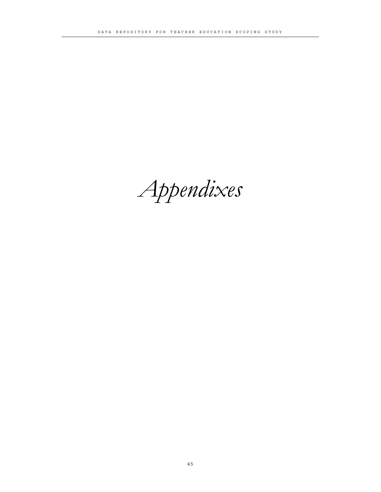*Appendixes*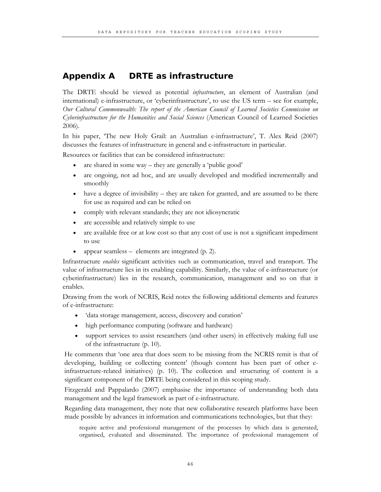# **Appendix A DRTE as infrastructure**

The DRTE should be viewed as potential *infrastructure*, an element of Australian (and international) e-infrastructure, or 'cyberinfrastructure', to use the US term – see for example, *Our Cultural Commonwealth: The report of the American Council of Learned Societies Commission on Cyberinfrastructure for the Humanities and Social Sciences* (American Council of Learned Societies 2006).

In his paper, 'The new Holy Grail: an Australian e-infrastructure', T. Alex Reid (2007) discusses the features of infrastructure in general and e-infrastructure in particular.

Resources or facilities that can be considered infrastructure:

- are shared in some way they are generally a 'public good'
- are ongoing, not ad hoc, and are usually developed and modified incrementally and smoothly
- have a degree of invisibility they are taken for granted, and are assumed to be there for use as required and can be relied on
- comply with relevant standards; they are not idiosyncratic
- are accessible and relatively simple to use
- are available free or at low cost so that any cost of use is not a significant impediment to use
- appear seamless elements are integrated (p. 2).

Infrastructure *enables* significant activities such as communication, travel and transport. The value of infrastructure lies in its enabling capability. Similarly, the value of e-infrastructure (or cyberinfrastructure) lies in the research, communication, management and so on that it enables.

Drawing from the work of NCRIS, Reid notes the following additional elements and features of e-infrastructure:

- 'data storage management, access, discovery and curation'
- high performance computing (software and hardware)
- support services to assist researchers (and other users) in effectively making full use of the infrastructure (p. 10).

He comments that 'one area that does seem to be missing from the NCRIS remit is that of developing, building or collecting content' (though content has been part of other einfrastructure-related initiatives) (p. 10). The collection and structuring of content is a significant component of the DRTE being considered in this scoping study.

Fitzgerald and Pappalardo (2007) emphasise the importance of understanding both data management and the legal framework as part of e-infrastructure.

Regarding data management, they note that new collaborative research platforms have been made possible by advances in information and communications technologies, but that they:

require active and professional management of the processes by which data is generated, organised, evaluated and disseminated. The importance of professional management of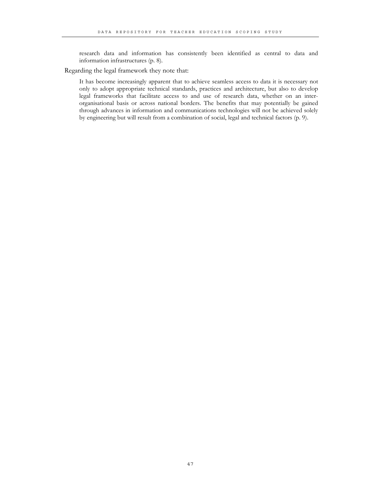research data and information has consistently been identified as central to data and information infrastructures (p. 8).

Regarding the legal framework they note that:

It has become increasingly apparent that to achieve seamless access to data it is necessary not only to adopt appropriate technical standards, practices and architecture, but also to develop legal frameworks that facilitate access to and use of research data, whether on an interorganisational basis or across national borders. The benefits that may potentially be gained through advances in information and communications technologies will not be achieved solely by engineering but will result from a combination of social, legal and technical factors (p. 9).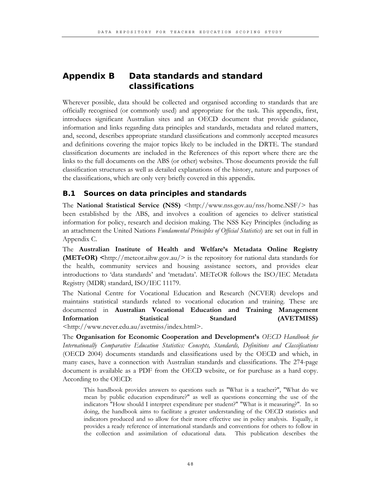# **Appendix B Data standards and standard classifications**

Wherever possible, data should be collected and organised according to standards that are officially recognised (or commonly used) and appropriate for the task. This appendix, first, introduces significant Australian sites and an OECD document that provide guidance, information and links regarding data principles and standards, metadata and related matters, and, second, describes appropriate standard classifications and commonly accepted measures and definitions covering the major topics likely to be included in the DRTE. The standard classification documents are included in the References of this report where there are the links to the full documents on the ABS (or other) websites. Those documents provide the full classification structures as well as detailed explanations of the history, nature and purposes of the classifications, which are only very briefly covered in this appendix.

# **B.1 Sources on data principles and standards**

The **National Statistical Service (NSS)** <http://www.nss.gov.au/nss/home.NSF/> has been established by the ABS, and involves a coalition of agencies to deliver statistical information for policy, research and decision making. The NSS Key Principles (including as an attachment the United Nations *Fundamental Principles of Official Statistics*) are set out in full in Appendix C.

The **Australian Institute of Health and Welfare's Metadata Online Registry (METeOR)**  $\langle$ http://meteor.aihw.gov.au/> is the repository for national data standards for the health, community services and housing assistance sectors, and provides clear introductions to 'data standards' and 'metadata'. METeOR follows the ISO/IEC Metadata Registry (MDR) standard, ISO/IEC 11179.

The National Centre for Vocational Education and Research (NCVER) develops and maintains statistical standards related to vocational education and training. These are documented in **Australian Vocational Education and Training Management Information Statistical Standard (AVETMISS)** <http://www.ncver.edu.au/avetmiss/index.html>.

The **Organisation for Economic Cooperation and Development's** *OECD Handbook for Internationally Comparative Education Statistics: Concepts, Standards, Definitions and Classifications* (OECD 2004) documents standards and classifications used by the OECD and which, in many cases, have a connection with Australian standards and classifications. The 274-page document is available as a PDF from the OECD website, or for purchase as a hard copy. According to the OECD:

This handbook provides answers to questions such as "What is a teacher?", "What do we mean by public education expenditure?" as well as questions concerning the use of the indicators "How should I interpret expenditure per student?" "What is it measuring?". In so doing, the handbook aims to facilitate a greater understanding of the OECD statistics and indicators produced and so allow for their more effective use in policy analysis. Equally, it provides a ready reference of international standards and conventions for others to follow in the collection and assimilation of educational data. This publication describes the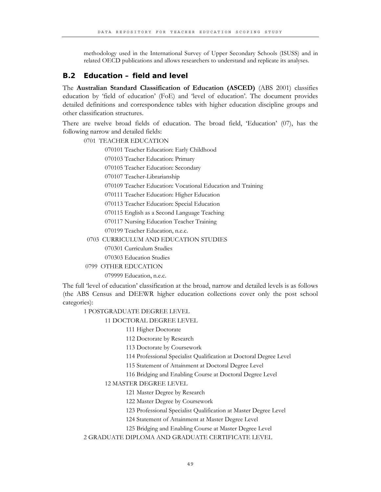methodology used in the International Survey of Upper Secondary Schools (ISUSS) and in related OECD publications and allows researchers to understand and replicate its analyses.

# **B.2 Education – field and level**

The **Australian Standard Classification of Education (ASCED)** (ABS 2001) classifies education by 'field of education' (FoE) and 'level of education'. The document provides detailed definitions and correspondence tables with higher education discipline groups and other classification structures.

There are twelve broad fields of education. The broad field, 'Education' (07), has the following narrow and detailed fields:

0701 TEACHER EDUCATION

070101 Teacher Education: Early Childhood

070103 Teacher Education: Primary

070105 Teacher Education: Secondary

070107 Teacher-Librarianship

070109 Teacher Education: Vocational Education and Training

070111 Teacher Education: Higher Education

070113 Teacher Education: Special Education

070115 English as a Second Language Teaching

070117 Nursing Education Teacher Training

070199 Teacher Education, n.e.c.

#### 0703 CURRICULUM AND EDUCATION STUDIES

070301 Curriculum Studies

070303 Education Studies

0799 OTHER EDUCATION

079999 Education, n.e.c.

The full 'level of education' classification at the broad, narrow and detailed levels is as follows (the ABS Census and DEEWR higher education collections cover only the post school categories):

#### 1 POSTGRADUATE DEGREE LEVEL

11 DOCTORAL DEGREE LEVEL

111 Higher Doctorate

112 Doctorate by Research

113 Doctorate by Coursework

114 Professional Specialist Qualification at Doctoral Degree Level

115 Statement of Attainment at Doctoral Degree Level

116 Bridging and Enabling Course at Doctoral Degree Level

#### 12 MASTER DEGREE LEVEL

121 Master Degree by Research

122 Master Degree by Coursework

123 Professional Specialist Qualification at Master Degree Level

124 Statement of Attainment at Master Degree Level

125 Bridging and Enabling Course at Master Degree Level

2 GRADUATE DIPLOMA AND GRADUATE CERTIFICATE LEVEL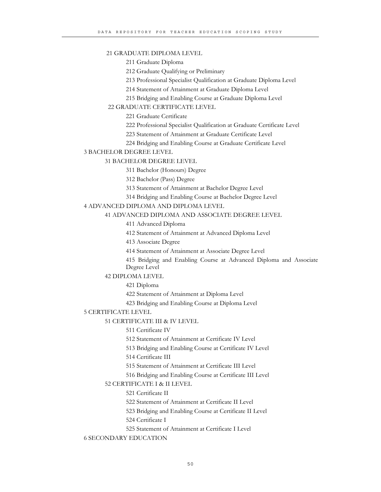#### 21 GRADUATE DIPLOMA LEVEL

211 Graduate Diploma

212 Graduate Qualifying or Preliminary

213 Professional Specialist Qualification at Graduate Diploma Level

214 Statement of Attainment at Graduate Diploma Level

215 Bridging and Enabling Course at Graduate Diploma Level

22 GRADUATE CERTIFICATE LEVEL

221 Graduate Certificate

222 Professional Specialist Qualification at Graduate Certificate Level

223 Statement of Attainment at Graduate Certificate Level

224 Bridging and Enabling Course at Graduate Certificate Level

#### 3 BACHELOR DEGREE LEVEL

31 BACHELOR DEGREE LEVEL

311 Bachelor (Honours) Degree

312 Bachelor (Pass) Degree

313 Statement of Attainment at Bachelor Degree Level

314 Bridging and Enabling Course at Bachelor Degree Level

#### 4 ADVANCED DIPLOMA AND DIPLOMA LEVEL

41 ADVANCED DIPLOMA AND ASSOCIATE DEGREE LEVEL

411 Advanced Diploma

412 Statement of Attainment at Advanced Diploma Level

413 Associate Degree

414 Statement of Attainment at Associate Degree Level

415 Bridging and Enabling Course at Advanced Diploma and Associate Degree Level

42 DIPLOMA LEVEL

421 Diploma

422 Statement of Attainment at Diploma Level

423 Bridging and Enabling Course at Diploma Level

#### 5 CERTIFICATE LEVEL

51 CERTIFICATE III & IV LEVEL

511 Certificate IV

512 Statement of Attainment at Certificate IV Level

513 Bridging and Enabling Course at Certificate IV Level

514 Certificate III

515 Statement of Attainment at Certificate III Level

516 Bridging and Enabling Course at Certificate III Level

### 52 CERTIFICATE I & II LEVEL

521 Certificate II

522 Statement of Attainment at Certificate II Level

523 Bridging and Enabling Course at Certificate II Level

524 Certificate I

525 Statement of Attainment at Certificate I Level

6 SECONDARY EDUCATION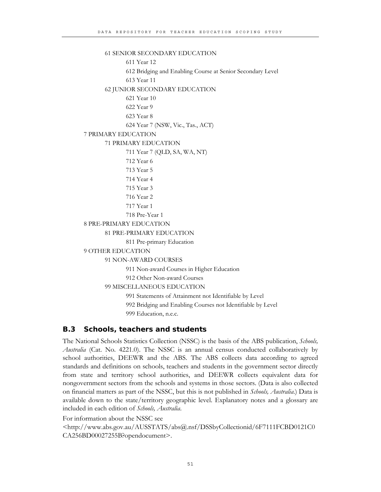```
61 SENIOR SECONDARY EDUCATION 
              611 Year 12 
              612 Bridging and Enabling Course at Senior Secondary Level 
              613 Year 11 
       62 JUNIOR SECONDARY EDUCATION 
              621 Year 10 
              622 Year 9 
              623 Year 8 
              624 Year 7 (NSW, Vic., Tas., ACT) 
7 PRIMARY EDUCATION 
       71 PRIMARY EDUCATION 
              711 Year 7 (QLD, SA, WA, NT) 
              712 Year 6 
              713 Year 5 
              714 Year 4 
              715 Year 3 
              716 Year 2 
              717 Year 1 
              718 Pre-Year 1 
8 PRE-PRIMARY EDUCATION 
       81 PRE-PRIMARY EDUCATION 
              811 Pre-primary Education 
9 OTHER EDUCATION 
       91 NON-AWARD COURSES 
              911 Non-award Courses in Higher Education 
              912 Other Non-award Courses 
       99 MISCELLANEOUS EDUCATION 
              991 Statements of Attainment not Identifiable by Level 
              992 Bridging and Enabling Courses not Identifiable by Level
```
999 Education, n.e.c.

# **B.3 Schools, teachers and students**

The National Schools Statistics Collection (NSSC) is the basis of the ABS publication, *Schools, Australia* (Cat. No. 4221.0). The NSSC is an annual census conducted collaboratively by school authorities, DEEWR and the ABS. The ABS collects data according to agreed standards and definitions on schools, teachers and students in the government sector directly from state and territory school authorities, and DEEWR collects equivalent data for nongovernment sectors from the schools and systems in those sectors. (Data is also collected on financial matters as part of the NSSC, but this is not published in *Schools, Australia*.) Data is available down to the state/territory geographic level. Explanatory notes and a glossary are included in each edition of *Schools, Australia*.

For information about the NSSC see <http://www.abs.gov.au/AUSSTATS/abs@.nsf/DSSbyCollectionid/6F7111FCBD0121C0 CA256BD00027255B?opendocument>.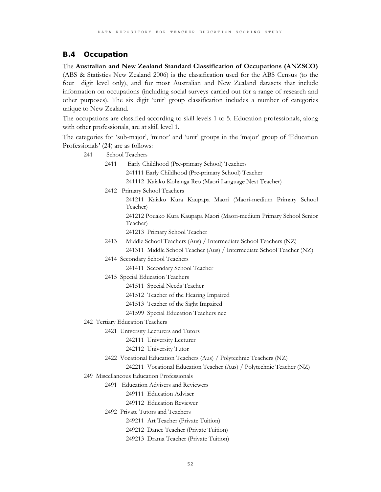# **B.4 Occupation**

The **Australian and New Zealand Standard Classification of Occupations (ANZSCO)** (ABS & Statistics New Zealand 2006) is the classification used for the ABS Census (to the four digit level only), and for most Australian and New Zealand datasets that include information on occupations (including social surveys carried out for a range of research and other purposes). The six digit 'unit' group classification includes a number of categories unique to New Zealand.

The occupations are classified according to skill levels 1 to 5. Education professionals, along with other professionals, are at skill level 1.

The categories for 'sub-major', 'minor' and 'unit' groups in the 'major' group of 'Education Professionals' (24) are as follows:

| 241 |      | School Teachers                                                                  |
|-----|------|----------------------------------------------------------------------------------|
|     | 2411 | Early Childhood (Pre-primary School) Teachers                                    |
|     |      | 241111 Early Childhood (Pre-primary School) Teacher                              |
|     |      | 241112 Kaiako Kohanga Reo (Maori Language Nest Teacher)                          |
|     |      | 2412 Primary School Teachers                                                     |
|     |      | 241211 Kaiako Kura Kaupapa Maori (Maori-medium Primary School<br>Teacher)        |
|     |      | 241212 Pouako Kura Kaupapa Maori (Maori-medium Primary School Senior<br>Teacher) |
|     |      | 241213 Primary School Teacher                                                    |
|     | 2413 | Middle School Teachers (Aus) / Intermediate School Teachers (NZ)                 |
|     |      | 241311 Middle School Teacher (Aus) / Intermediate School Teacher (NZ)            |
|     |      | 2414 Secondary School Teachers                                                   |
|     |      | 241411 Secondary School Teacher                                                  |
|     |      | 2415 Special Education Teachers                                                  |
|     |      | 241511 Special Needs Teacher                                                     |
|     |      | 241512 Teacher of the Hearing Impaired                                           |
|     |      | 241513 Teacher of the Sight Impaired                                             |
|     |      | 241599 Special Education Teachers nec                                            |
|     |      | 242 Tertiary Education Teachers                                                  |
|     |      | 2421 University Lecturers and Tutors                                             |
|     |      | 242111 University Lecturer                                                       |
|     |      | 242112 University Tutor                                                          |
|     |      | 2422 Vocational Education Teachers (Aus) / Polytechnic Teachers (NZ)             |
|     |      | 242211 Vocational Education Teacher (Aus) / Polytechnic Teacher (NZ)             |
|     |      | 249 Miscellaneous Education Professionals                                        |
|     |      | 2491 Education Advisers and Reviewers                                            |
|     |      | 249111 Education Adviser                                                         |
|     |      | 249112 Education Reviewer                                                        |
|     |      | 2492 Private Tutors and Teachers                                                 |
|     |      | 249211 Art Teacher (Private Tuition)                                             |
|     |      | 249212 Dance Teacher (Private Tuition)                                           |
|     |      | 249213 Drama Teacher (Private Tuition)                                           |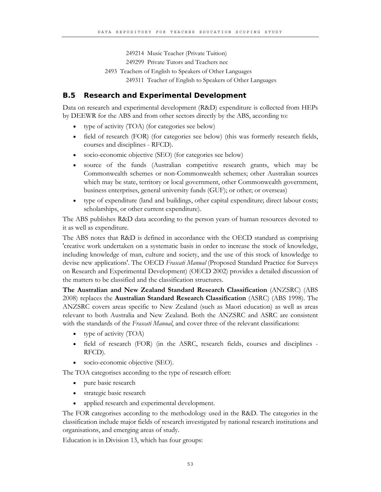249214 Music Teacher (Private Tuition)

249299 Private Tutors and Teachers nec

2493 Teachers of English to Speakers of Other Languages

249311 Teacher of English to Speakers of Other Languages

### **B.5 Research and Experimental Development**

Data on research and experimental development (R&D) expenditure is collected from HEPs by DEEWR for the ABS and from other sectors directly by the ABS, according to:

- type of activity (TOA) (for categories see below)
- field of research (FOR) (for categories see below) (this was formerly research fields, courses and disciplines - RFCD).
- socio-economic objective (SEO) (for categories see below)
- source of the funds (Australian competitive research grants, which may be Commonwealth schemes or non-Commonwealth schemes; other Australian sources which may be state, territory or local government, other Commonwealth government, business enterprises, general university funds (GUF); or other; or overseas)
- type of expenditure (land and buildings, other capital expenditure; direct labour costs; scholarships, or other current expenditure).

The ABS publishes R&D data according to the person years of human resources devoted to it as well as expenditure.

The ABS notes that R&D is defined in accordance with the OECD standard as comprising 'creative work undertaken on a systematic basis in order to increase the stock of knowledge, including knowledge of man, culture and society, and the use of this stock of knowledge to devise new applications'. The OECD *Frascati Manual* (Proposed Standard Practice for Surveys on Research and Experimental Development) (OECD 2002) provides a detailed discussion of the matters to be classified and the classification structures.

**The Australian and New Zealand Standard Research Classification** (ANZSRC) (ABS 2008) replaces the **Australian Standard Research Classification** (ASRC) (ABS 1998). The ANZSRC covers areas specific to New Zealand (such as Maori education) as well as areas relevant to both Australia and New Zealand. Both the ANZSRC and ASRC are consistent with the standards of the *Frascati Manual*, and cover three of the relevant classifications:

- type of activity (TOA)
- field of research (FOR) (in the ASRC, research fields, courses and disciplines RFCD).
- socio-economic objective (SEO).

The TOA categorises according to the type of research effort:

- pure basic research
- strategic basic research
- applied research and experimental development.

The FOR categorises according to the methodology used in the R&D. The categories in the classification include major fields of research investigated by national research institutions and organisations, and emerging areas of study.

Education is in Division 13, which has four groups: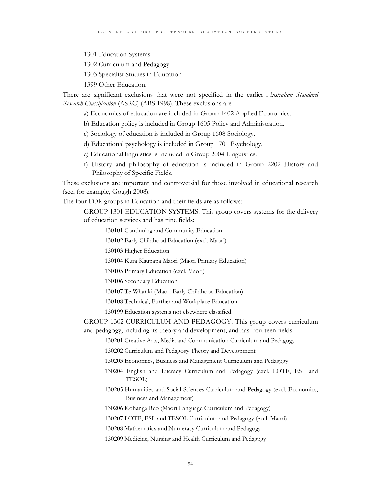1301 Education Systems

1302 Curriculum and Pedagogy

1303 Specialist Studies in Education

1399 Other Education.

There are significant exclusions that were not specified in the earlier *Australian Standard Research Classification* (ASRC) (ABS 1998). These exclusions are

a) Economics of education are included in Group 1402 Applied Economics.

b) Education policy is included in Group 1605 Policy and Administration.

c) Sociology of education is included in Group 1608 Sociology.

d) Educational psychology is included in Group 1701 Psychology.

e) Educational linguistics is included in Group 2004 Linguistics.

f) History and philosophy of education is included in Group 2202 History and Philosophy of Specific Fields.

These exclusions are important and controversial for those involved in educational research (see, for example, Gough 2008).

The four FOR groups in Education and their fields are as follows:

GROUP 1301 EDUCATION SYSTEMS. This group covers systems for the delivery of education services and has nine fields:

130101 Continuing and Community Education

130102 Early Childhood Education (excl. Maori)

130103 Higher Education

130104 Kura Kaupapa Maori (Maori Primary Education)

130105 Primary Education (excl. Maori)

130106 Secondary Education

130107 Te Whariki (Maori Early Childhood Education)

130108 Technical, Further and Workplace Education

130199 Education systems not elsewhere classified.

GROUP 1302 CURRICULUM AND PEDAGOGY. This group covers curriculum and pedagogy, including its theory and development, and has fourteen fields:

130201 Creative Arts, Media and Communication Curriculum and Pedagogy

130202 Curriculum and Pedagogy Theory and Development

130203 Economics, Business and Management Curriculum and Pedagogy

130204 English and Literacy Curriculum and Pedagogy (excl. LOTE, ESL and TESOL)

130205 Humanities and Social Sciences Curriculum and Pedagogy (excl. Economics, Business and Management)

130206 Kohanga Reo (Maori Language Curriculum and Pedagogy)

130207 LOTE, ESL and TESOL Curriculum and Pedagogy (excl. Maori)

130208 Mathematics and Numeracy Curriculum and Pedagogy

130209 Medicine, Nursing and Health Curriculum and Pedagogy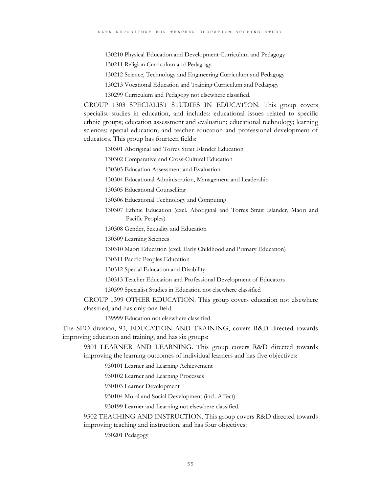130210 Physical Education and Development Curriculum and Pedagogy

130211 Religion Curriculum and Pedagogy

130212 Science, Technology and Engineering Curriculum and Pedagogy

130213 Vocational Education and Training Curriculum and Pedagogy

130299 Curriculum and Pedagogy not elsewhere classified.

GROUP 1303 SPECIALIST STUDIES IN EDUCATION. This group covers specialist studies in education, and includes: educational issues related to specific ethnic groups; education assessment and evaluation; educational technology; learning sciences; special education; and teacher education and professional development of educators. This group has fourteen fields:

130301 Aboriginal and Torres Strait Islander Education

130302 Comparative and Cross-Cultural Education

130303 Education Assessment and Evaluation

130304 Educational Administration, Management and Leadership

130305 Educational Counselling

130306 Educational Technology and Computing

130307 Ethnic Education (excl. Aboriginal and Torres Strait Islander, Maori and Pacific Peoples)

130308 Gender, Sexuality and Education

130309 Learning Sciences

130310 Maori Education (excl. Early Childhood and Primary Education)

130311 Pacific Peoples Education

130312 Special Education and Disability

130313 Teacher Education and Professional Development of Educators

130399 Specialist Studies in Education not elsewhere classified

GROUP 1399 OTHER EDUCATION. This group covers education not elsewhere classified, and has only one field:

139999 Education not elsewhere classified.

The SEO division, 93, EDUCATION AND TRAINING, covers R&D directed towards improving education and training, and has six groups:

9301 LEARNER AND LEARNING. This group covers R&D directed towards improving the learning outcomes of individual learners and has five objectives:

930101 Learner and Learning Achievement

930102 Learner and Learning Processes

930103 Learner Development

930104 Moral and Social Development (incl. Affect)

930199 Learner and Learning not elsewhere classified.

9302 TEACHING AND INSTRUCTION. This group covers R&D directed towards improving teaching and instruction, and has four objectives:

930201 Pedagogy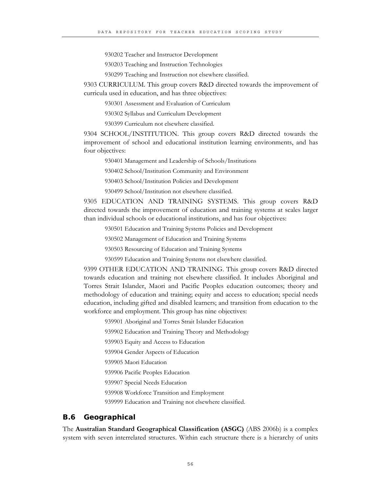930202 Teacher and Instructor Development

930203 Teaching and Instruction Technologies

930299 Teaching and Instruction not elsewhere classified.

9303 CURRICULUM. This group covers R&D directed towards the improvement of curricula used in education, and has three objectives:

930301 Assessment and Evaluation of Curriculum

930302 Syllabus and Curriculum Development

930399 Curriculum not elsewhere classified.

9304 SCHOOL/INSTITUTION. This group covers R&D directed towards the improvement of school and educational institution learning environments, and has four objectives:

930401 Management and Leadership of Schools/Institutions

930402 School/Institution Community and Environment

930403 School/Institution Policies and Development

930499 School/Institution not elsewhere classified.

9305 EDUCATION AND TRAINING SYSTEMS. This group covers R&D directed towards the improvement of education and training systems at scales larger than individual schools or educational institutions, and has four objectives:

930501 Education and Training Systems Policies and Development

930502 Management of Education and Training Systems

930503 Resourcing of Education and Training Systems

930599 Education and Training Systems not elsewhere classified.

9399 OTHER EDUCATION AND TRAINING. This group covers R&D directed towards education and training not elsewhere classified. It includes Aboriginal and Torres Strait Islander, Maori and Pacific Peoples education outcomes; theory and methodology of education and training; equity and access to education; special needs education, including gifted and disabled learners; and transition from education to the workforce and employment. This group has nine objectives:

939901 Aboriginal and Torres Strait Islander Education 939902 Education and Training Theory and Methodology 939903 Equity and Access to Education 939904 Gender Aspects of Education 939905 Maori Education 939906 Pacific Peoples Education 939907 Special Needs Education 939908 Workforce Transition and Employment

939999 Education and Training not elsewhere classified.

#### **B.6 Geographical**

The **Australian Standard Geographical Classification (ASGC)** (ABS 2006b) is a complex system with seven interrelated structures. Within each structure there is a hierarchy of units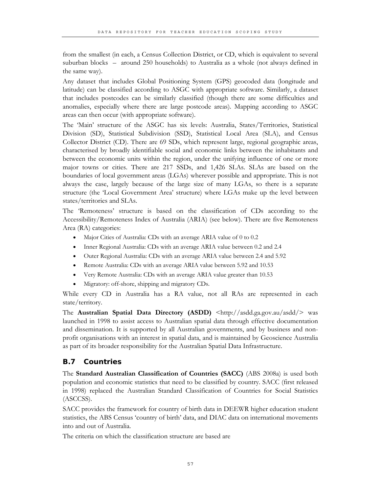from the smallest (in each, a Census Collection District, or CD, which is equivalent to several suburban blocks – around 250 households) to Australia as a whole (not always defined in the same way).

Any dataset that includes Global Positioning System (GPS) geocoded data (longitude and latitude) can be classified according to ASGC with appropriate software. Similarly, a dataset that includes postcodes can be similarly classified (though there are some difficulties and anomalies, especially where there are large postcode areas). Mapping according to ASGC areas can then occur (with appropriate software).

The 'Main' structure of the ASGC has six levels: Australia, States/Territories, Statistical Division (SD), Statistical Subdivision (SSD), Statistical Local Area (SLA), and Census Collector District (CD). There are 69 SDs, which represent large, regional geographic areas, characterised by broadly identifiable social and economic links between the inhabitants and between the economic units within the region, under the unifying influence of one or more major towns or cities. There are 217 SSDs, and 1,426 SLAs. SLAs are based on the boundaries of local government areas (LGAs) wherever possible and appropriate. This is not always the case, largely because of the large size of many LGAs, so there is a separate structure (the 'Local Government Area' structure) where LGAs make up the level between states/territories and SLAs.

The 'Remoteness' structure is based on the classification of CDs according to the Accessibility/Remoteness Index of Australia (ARIA) (see below). There are five Remoteness Area (RA) categories:

- Major Cities of Australia: CDs with an average ARIA value of 0 to 0.2
- Inner Regional Australia: CDs with an average ARIA value between 0.2 and 2.4
- Outer Regional Australia: CDs with an average ARIA value between 2.4 and 5.92
- Remote Australia: CDs with an average ARIA value between 5.92 and 10.53
- Very Remote Australia: CDs with an average ARIA value greater than 10.53
- Migratory: off-shore, shipping and migratory CDs.

While every CD in Australia has a RA value, not all RAs are represented in each state/territory.

The **Australian Spatial Data Directory (ASDD)** <http://asdd.ga.gov.au/asdd/> was launched in 1998 to assist access to Australian spatial data through effective documentation and dissemination. It is supported by all Australian governments, and by business and nonprofit organisations with an interest in spatial data, and is maintained by Geoscience Australia as part of its broader responsibility for the Australian Spatial Data Infrastructure.

# **B.7 Countries**

The **Standard Australian Classification of Countries (SACC)** (ABS 2008a) is used both population and economic statistics that need to be classified by country. SACC (first released in 1998) replaced the Australian Standard Classification of Countries for Social Statistics (ASCCSS).

SACC provides the framework for country of birth data in DEEWR higher education student statistics, the ABS Census 'country of birth' data, and DIAC data on international movements into and out of Australia.

The criteria on which the classification structure are based are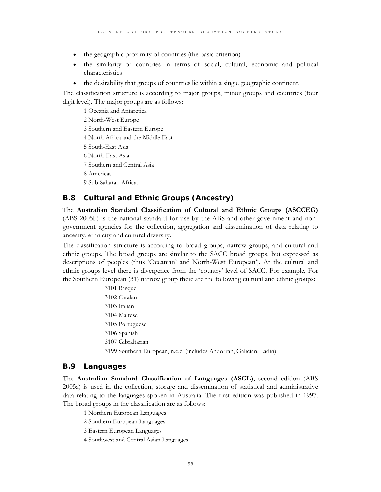- the geographic proximity of countries (the basic criterion)
- the similarity of countries in terms of social, cultural, economic and political characteristics
- the desirability that groups of countries lie within a single geographic continent.

The classification structure is according to major groups, minor groups and countries (four digit level). The major groups are as follows:

1 Oceania and Antarctica 2 North-West Europe 3 Southern and Eastern Europe 4 North Africa and the Middle East 5 South-East Asia 6 North-East Asia 7 Southern and Central Asia 8 Americas 9 Sub-Saharan Africa.

## **B.8 Cultural and Ethnic Groups (Ancestry)**

The **Australian Standard Classification of Cultural and Ethnic Groups (ASCCEG)** (ABS 2005b) is the national standard for use by the ABS and other government and nongovernment agencies for the collection, aggregation and dissemination of data relating to ancestry, ethnicity and cultural diversity.

The classification structure is according to broad groups, narrow groups, and cultural and ethnic groups. The broad groups are similar to the SACC broad groups, but expressed as descriptions of peoples (thus 'Oceanian' and North-West European'). At the cultural and ethnic groups level there is divergence from the 'country' level of SACC. For example, For the Southern European (31) narrow group there are the following cultural and ethnic groups:

3101 Basque 3102 Catalan 3103 Italian 3104 Maltese 3105 Portuguese 3106 Spanish 3107 Gibraltarian 3199 Southern European, n.e.c. (includes Andorran, Galician, Ladin)

## **B.9 Languages**

The **Australian Standard Classification of Languages (ASCL)**, second edition (ABS 2005a) is used in the collection, storage and dissemination of statistical and administrative data relating to the languages spoken in Australia. The first edition was published in 1997. The broad groups in the classification are as follows:

1 Northern European Languages

2 Southern European Languages

3 Eastern European Languages

4 Southwest and Central Asian Languages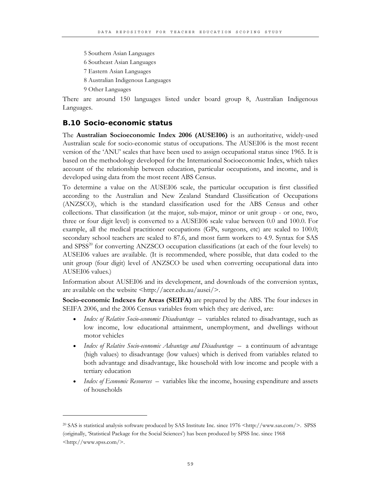5 Southern Asian Languages

6 Southeast Asian Languages

7 Eastern Asian Languages

8 Australian Indigenous Languages

9 Other Languages

 $\overline{a}$ 

There are around 150 languages listed under board group 8, Australian Indigenous Languages.

## **B.10 Socio-economic status**

The **Australian Socioeconomic Index 2006 (AUSEI06)** is an authoritative, widely-used Australian scale for socio-economic status of occupations. The AUSEI06 is the most recent version of the 'ANU' scales that have been used to assign occupational status since 1965. It is based on the methodology developed for the International Socioeconomic Index, which takes account of the relationship between education, particular occupations, and income, and is developed using data from the most recent ABS Census.

To determine a value on the AUSEI06 scale, the particular occupation is first classified according to the Australian and New Zealand Standard Classification of Occupations (ANZSCO), which is the standard classification used for the ABS Census and other collections. That classification (at the major, sub-major, minor or unit group - or one, two, three or four digit level) is converted to a AUSEI06 scale value between 0.0 and 100.0. For example, all the medical practitioner occupations (GPs, surgeons, etc) are scaled to 100.0; secondary school teachers are scaled to 87.6, and most farm workers to 4.9. Syntax for SAS and SPSS<sup>20</sup> for converting ANZSCO occupation classifications (at each of the four levels) to AUSEI06 values are available. (It is recommended, where possible, that data coded to the unit group (four digit) level of ANZSCO be used when converting occupational data into AUSEI06 values.)

Information about AUSEI06 and its development, and downloads of the conversion syntax, are available on the website <http://acer.edu.au/ausei/>.

**Socio-economic Indexes for Areas (SEIFA)** are prepared by the ABS. The four indexes in SEIFA 2006, and the 2006 Census variables from which they are derived, are:

- *Index of Relative Socio-economic Disadvantage* variables related to disadvantage, such as low income, low educational attainment, unemployment, and dwellings without motor vehicles
- *Index of Relative Socio-economic Advantage and Disadvantage* a continuum of advantage (high values) to disadvantage (low values) which is derived from variables related to both advantage and disadvantage, like household with low income and people with a tertiary education
- *Index of Economic Resources* variables like the income, housing expenditure and assets of households

<sup>20</sup> SAS is statistical analysis software produced by SAS Institute Inc. since 1976 <http://www.sas.com/>. SPSS (originally, 'Statistical Package for the Social Sciences') has been produced by SPSS Inc. since 1968 <http://www.spss.com/>.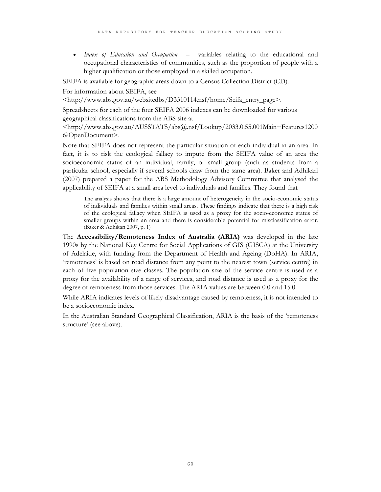• *Index of Education and Occupation* – variables relating to the educational and occupational characteristics of communities, such as the proportion of people with a higher qualification or those employed in a skilled occupation.

SEIFA is available for geographic areas down to a Census Collection District (CD).

For information about SEIFA, see

<http://www.abs.gov.au/websitedbs/D3310114.nsf/home/Seifa\_entry\_page>.

Spreadsheets for each of the four SEIFA 2006 indexes can be downloaded for various geographical classifications from the ABS site at

<http://www.abs.gov.au/AUSSTATS/abs@.nsf/Lookup/2033.0.55.001Main+Features1200 6?OpenDocument>.

Note that SEIFA does not represent the particular situation of each individual in an area. In fact, it is to risk the ecological fallacy to impute from the SEIFA value of an area the socioeconomic status of an individual, family, or small group (such as students from a particular school, especially if several schools draw from the same area). Baker and Adhikari (2007) prepared a paper for the ABS Methodology Advisory Committee that analysed the applicability of SEIFA at a small area level to individuals and families. They found that

The analysis shows that there is a large amount of heterogeneity in the socio-economic status of individuals and families within small areas. These findings indicate that there is a high risk of the ecological fallacy when SEIFA is used as a proxy for the socio-economic status of smaller groups within an area and there is considerable potential for misclassification error. (Baker & Adhikari 2007, p. 1)

The **Accessibility/Remoteness Index of Australia (ARIA)** was developed in the late 1990s by the National Key Centre for Social Applications of GIS (GISCA) at the University of Adelaide, with funding from the Department of Health and Ageing (DoHA). In ARIA, 'remoteness' is based on road distance from any point to the nearest town (service centre) in each of five population size classes. The population size of the service centre is used as a proxy for the availability of a range of services, and road distance is used as a proxy for the degree of remoteness from those services. The ARIA values are between 0.0 and 15.0.

While ARIA indicates levels of likely disadvantage caused by remoteness, it is not intended to be a socioeconomic index.

In the Australian Standard Geographical Classification, ARIA is the basis of the 'remoteness structure' (see above).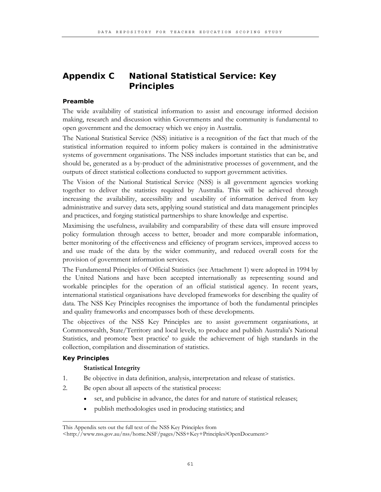# **Appendix C National Statistical Service: Key Principles**

## **Preamble**

The wide availability of statistical information to assist and encourage informed decision making, research and discussion within Governments and the community is fundamental to open government and the democracy which we enjoy in Australia.

The National Statistical Service (NSS) initiative is a recognition of the fact that much of the statistical information required to inform policy makers is contained in the administrative systems of government organisations. The NSS includes important statistics that can be, and should be, generated as a by-product of the administrative processes of government, and the outputs of direct statistical collections conducted to support government activities.

The Vision of the National Statistical Service (NSS) is all government agencies working together to deliver the statistics required by Australia. This will be achieved through increasing the availability, accessibility and useability of information derived from key administrative and survey data sets, applying sound statistical and data management principles and practices, and forging statistical partnerships to share knowledge and expertise.

Maximising the usefulness, availability and comparability of these data will ensure improved policy formulation through access to better, broader and more comparable information, better monitoring of the effectiveness and efficiency of program services, improved access to and use made of the data by the wider community, and reduced overall costs for the provision of government information services.

The Fundamental Principles of Official Statistics (see Attachment 1) were adopted in 1994 by the United Nations and have been accepted internationally as representing sound and workable principles for the operation of an official statistical agency. In recent years, international statistical organisations have developed frameworks for describing the quality of data. The NSS Key Principles recognises the importance of both the fundamental principles and quality frameworks and encompasses both of these developments.

The objectives of the NSS Key Principles are to assist government organisations, at Commonwealth, State/Territory and local levels, to produce and publish Australia's National Statistics, and promote 'best practice' to guide the achievement of high standards in the collection, compilation and dissemination of statistics.

## **Key Principles**

### **Statistical Integrity**

\_\_\_\_\_\_\_\_\_\_\_\_\_\_\_\_\_\_\_\_\_\_\_\_\_\_\_\_\_\_\_\_

- 1. Be objective in data definition, analysis, interpretation and release of statistics.
- 2. Be open about all aspects of the statistical process:
	- set, and publicise in advance, the dates for and nature of statistical releases;
	- publish methodologies used in producing statistics; and

This Appendix sets out the full text of the NSS Key Principles from

<sup>&</sup>lt;http://www.nss.gov.au/nss/home.NSF/pages/NSS+Key+Principles?OpenDocument>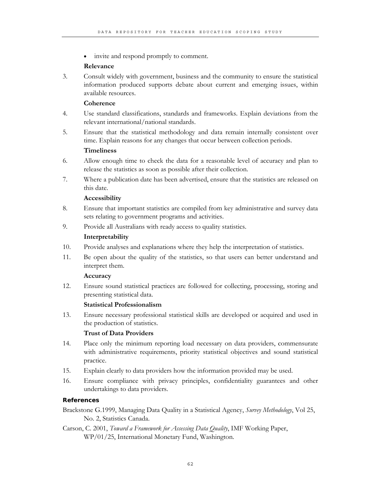invite and respond promptly to comment.

## **Relevance**

3. Consult widely with government, business and the community to ensure the statistical information produced supports debate about current and emerging issues, within available resources.

## **Coherence**

- 4. Use standard classifications, standards and frameworks. Explain deviations from the relevant international/national standards.
- 5. Ensure that the statistical methodology and data remain internally consistent over time. Explain reasons for any changes that occur between collection periods.

## **Timeliness**

- 6. Allow enough time to check the data for a reasonable level of accuracy and plan to release the statistics as soon as possible after their collection.
- 7. Where a publication date has been advertised, ensure that the statistics are released on this date.

## **Accessibility**

- 8. Ensure that important statistics are compiled from key administrative and survey data sets relating to government programs and activities.
- 9. Provide all Australians with ready access to quality statistics.

## **Interpretability**

- 10. Provide analyses and explanations where they help the interpretation of statistics.
- 11. Be open about the quality of the statistics, so that users can better understand and interpret them.

## **Accuracy**

12. Ensure sound statistical practices are followed for collecting, processing, storing and presenting statistical data.

## **Statistical Professionalism**

13. Ensure necessary professional statistical skills are developed or acquired and used in the production of statistics.

## **Trust of Data Providers**

- 14. Place only the minimum reporting load necessary on data providers, commensurate with administrative requirements, priority statistical objectives and sound statistical practice.
- 15. Explain clearly to data providers how the information provided may be used.
- 16. Ensure compliance with privacy principles, confidentiality guarantees and other undertakings to data providers.

## **References**

## Brackstone G.1999, Managing Data Quality in a Statistical Agency, *Survey Methodology*, Vol 25, No. 2, Statistics Canada.

Carson, C. 2001, *Toward a Framework for Assessing Data Quality*, IMF Working Paper, WP/01/25, International Monetary Fund, Washington.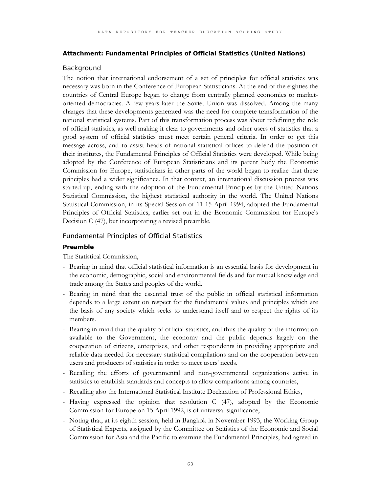### **Attachment: Fundamental Principles of Official Statistics (United Nations)**

### Background

The notion that international endorsement of a set of principles for official statistics was necessary was born in the Conference of European Statisticians. At the end of the eighties the countries of Central Europe began to change from centrally planned economies to marketoriented democracies. A few years later the Soviet Union was dissolved. Among the many changes that these developments generated was the need for complete transformation of the national statistical systems. Part of this transformation process was about redefining the role of official statistics, as well making it clear to governments and other users of statistics that a good system of official statistics must meet certain general criteria. In order to get this message across, and to assist heads of national statistical offices to defend the position of their institutes, the Fundamental Principles of Official Statistics were developed. While being adopted by the Conference of European Statisticians and its parent body the Economic Commission for Europe, statisticians in other parts of the world began to realize that these principles had a wider significance. In that context, an international discussion process was started up, ending with the adoption of the Fundamental Principles by the United Nations Statistical Commission, the highest statistical authority in the world. The United Nations Statistical Commission, in its Special Session of 11-15 April 1994, adopted the Fundamental Principles of Official Statistics, earlier set out in the Economic Commission for Europe's Decision C (47), but incorporating a revised preamble.

## Fundamental Principles of Official Statistics

### **Preamble**

The Statistical Commission,

- Bearing in mind that official statistical information is an essential basis for development in the economic, demographic, social and environmental fields and for mutual knowledge and trade among the States and peoples of the world.
- Bearing in mind that the essential trust of the public in official statistical information depends to a large extent on respect for the fundamental values and principles which are the basis of any society which seeks to understand itself and to respect the rights of its members.
- Bearing in mind that the quality of official statistics, and thus the quality of the information available to the Government, the economy and the public depends largely on the cooperation of citizens, enterprises, and other respondents in providing appropriate and reliable data needed for necessary statistical compilations and on the cooperation between users and producers of statistics in order to meet users' needs.
- Recalling the efforts of governmental and non-governmental organizations active in statistics to establish standards and concepts to allow comparisons among countries,
- Recalling also the International Statistical Institute Declaration of Professional Ethics,
- Having expressed the opinion that resolution C (47), adopted by the Economic Commission for Europe on 15 April 1992, is of universal significance,
- Noting that, at its eighth session, held in Bangkok in November 1993, the Working Group of Statistical Experts, assigned by the Committee on Statistics of the Economic and Social Commission for Asia and the Pacific to examine the Fundamental Principles, had agreed in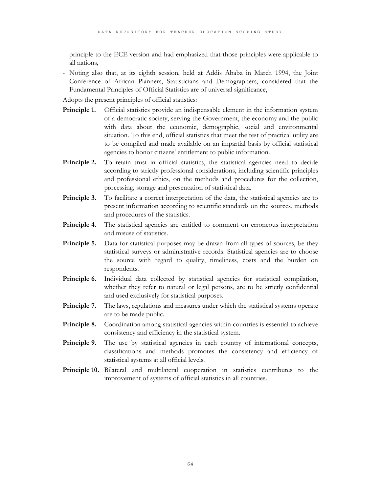principle to the ECE version and had emphasized that those principles were applicable to all nations,

- Noting also that, at its eighth session, held at Addis Ababa in March 1994, the Joint Conference of African Planners, Statisticians and Demographers, considered that the Fundamental Principles of Official Statistics are of universal significance,

Adopts the present principles of official statistics:

- **Principle 1.** Official statistics provide an indispensable element in the information system of a democratic society, serving the Government, the economy and the public with data about the economic, demographic, social and environmental situation. To this end, official statistics that meet the test of practical utility are to be compiled and made available on an impartial basis by official statistical agencies to honor citizens' entitlement to public information.
- **Principle 2.** To retain trust in official statistics, the statistical agencies need to decide according to strictly professional considerations, including scientific principles and professional ethics, on the methods and procedures for the collection, processing, storage and presentation of statistical data.
- **Principle 3.** To facilitate a correct interpretation of the data, the statistical agencies are to present information according to scientific standards on the sources, methods and procedures of the statistics.
- Principle 4. The statistical agencies are entitled to comment on erroneous interpretation and misuse of statistics.
- **Principle 5.** Data for statistical purposes may be drawn from all types of sources, be they statistical surveys or administrative records. Statistical agencies are to choose the source with regard to quality, timeliness, costs and the burden on respondents.
- **Principle 6.** Individual data collected by statistical agencies for statistical compilation, whether they refer to natural or legal persons, are to be strictly confidential and used exclusively for statistical purposes.
- **Principle 7.** The laws, regulations and measures under which the statistical systems operate are to be made public.
- **Principle 8.** Coordination among statistical agencies within countries is essential to achieve consistency and efficiency in the statistical system.
- **Principle 9.** The use by statistical agencies in each country of international concepts, classifications and methods promotes the consistency and efficiency of statistical systems at all official levels.
- **Principle 10.** Bilateral and multilateral cooperation in statistics contributes to the improvement of systems of official statistics in all countries.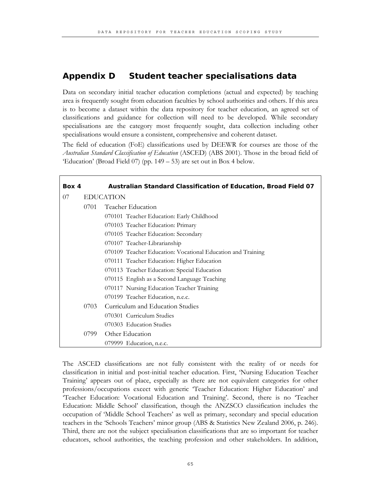# **Appendix D Student teacher specialisations data**

Data on secondary initial teacher education completions (actual and expected) by teaching area is frequently sought from education faculties by school authorities and others. If this area is to become a dataset within the data repository for teacher education, an agreed set of classifications and guidance for collection will need to be developed. While secondary specialisations are the category most frequently sought, data collection including other specialisations would ensure a consistent, comprehensive and coherent dataset.

The field of education (FoE) classifications used by DEEWR for courses are those of the *Australian Standard Classification of Education* (ASCED) (ABS 2001). Those in the broad field of 'Education' (Broad Field 07) (pp. 149 – 53) are set out in Box 4 below.

| Box 4 |                                          | Australian Standard Classification of Education, Broad Field 07 |  |
|-------|------------------------------------------|-----------------------------------------------------------------|--|
| 07    |                                          | <b>EDUCATION</b>                                                |  |
|       | 0701                                     | Teacher Education                                               |  |
|       |                                          | 070101 Teacher Education: Early Childhood                       |  |
|       |                                          | 070103 Teacher Education: Primary                               |  |
|       |                                          | 070105 Teacher Education: Secondary                             |  |
|       |                                          | 070107 Teacher-Librarianship                                    |  |
|       |                                          | 070109 Teacher Education: Vocational Education and Training     |  |
|       |                                          | 070111 Teacher Education: Higher Education                      |  |
|       |                                          | 070113 Teacher Education: Special Education                     |  |
|       |                                          | 070115 English as a Second Language Teaching                    |  |
|       |                                          | 070117 Nursing Education Teacher Training                       |  |
|       |                                          | 070199 Teacher Education, n.e.c.                                |  |
|       | Curriculum and Education Studies<br>0703 |                                                                 |  |
|       |                                          | 070301 Curriculum Studies                                       |  |
|       |                                          | 070303 Education Studies                                        |  |
|       | 0799                                     | Other Education                                                 |  |
|       |                                          | 079999 Education, n.e.c.                                        |  |

The ASCED classifications are not fully consistent with the reality of or needs for classification in initial and post-initial teacher education. First, 'Nursing Education Teacher Training' appears out of place, especially as there are not equivalent categories for other professions/occupations excect with generic 'Teacher Education: Higher Education' and 'Teacher Education: Vocational Education and Training'. Second, there is no 'Teacher Education: Middle School' classification, though the ANZSCO classification includes the occupation of 'Middle School Teachers' as well as primary, secondary and special education teachers in the 'Schools Teachers' minor group (ABS & Statistics New Zealand 2006, p. 246). Third, there are not the subject specialisation classifications that are so important for teacher educators, school authorities, the teaching profession and other stakeholders. In addition,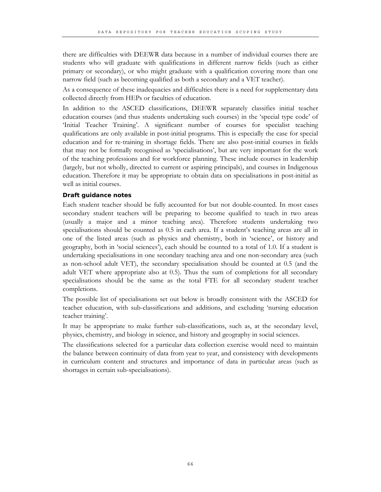there are difficulties with DEEWR data because in a number of individual courses there are students who will graduate with qualifications in different narrow fields (such as either primary or secondary), or who might graduate with a qualification covering more than one narrow field (such as becoming qualified as both a secondary and a VET teacher).

As a consequence of these inadequacies and difficulties there is a need for supplementary data collected directly from HEPs or faculties of education.

In addition to the ASCED classifications, DEEWR separately classifies initial teacher education courses (and thus students undertaking such courses) in the 'special type code' of 'Initial Teacher Training'. A significant number of courses for specialist teaching qualifications are only available in post-initial programs. This is especially the case for special education and for re-training in shortage fields. There are also post-initial courses in fields that may not be formally recognised as 'specialisations', but are very important for the work of the teaching professions and for workforce planning. These include courses in leadership (largely, but not wholly, directed to current or aspiring principals), and courses in Indigenous education. Therefore it may be appropriate to obtain data on specialisations in post-initial as well as initial courses.

#### **Draft guidance notes**

Each student teacher should be fully accounted for but not double-counted. In most cases secondary student teachers will be preparing to become qualified to teach in two areas (usually a major and a minor teaching area). Therefore students undertaking two specialisations should be counted as 0.5 in each area. If a student's teaching areas are all in one of the listed areas (such as physics and chemistry, both in 'science', or history and geography, both in 'social sciences'), each should be counted to a total of 1.0. If a student is undertaking specialisations in one secondary teaching area and one non-secondary area (such as non-school adult VET), the secondary specialisation should be counted at 0.5 (and the adult VET where appropriate also at 0.5). Thus the sum of completions for all secondary specialisations should be the same as the total FTE for all secondary student teacher completions.

The possible list of specialisations set out below is broadly consistent with the ASCED for teacher education, with sub-classifications and additions, and excluding 'nursing education teacher training'.

It may be appropriate to make further sub-classifications, such as, at the secondary level, physics, chemistry, and biology in science, and history and geography in social sciences.

The classifications selected for a particular data collection exercise would need to maintain the balance between continuity of data from year to year, and consistency with developments in curriculum content and structures and importance of data in particular areas (such as shortages in certain sub-specialisations).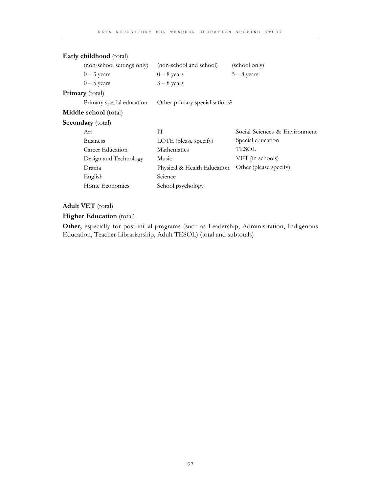| Early childhood (total)    |                                |                               |  |  |
|----------------------------|--------------------------------|-------------------------------|--|--|
| (non-school settings only) | (non-school and school)        | (school only)                 |  |  |
| $0 - 3$ years              | $0-8$ years                    | $5 - 8$ years                 |  |  |
| $0-5$ years                | $3 - 8$ years                  |                               |  |  |
| <b>Primary</b> (total)     |                                |                               |  |  |
| Primary special education  | Other primary specialisations? |                               |  |  |
| Middle school (total)      |                                |                               |  |  |
| <b>Secondary</b> (total)   |                                |                               |  |  |
| Art                        | TТ                             | Social Sciences & Environment |  |  |
| <b>Business</b>            | LOTE (please specify)          | Special education             |  |  |
| Career Education           | Mathematics                    | TESOL                         |  |  |
| Design and Technology      | Music                          | VET (in schools)              |  |  |
| Drama                      | Physical & Health Education    | Other (please specify)        |  |  |
| English                    | Science                        |                               |  |  |
| Home Economics             | School psychology              |                               |  |  |

# **Adult VET** (total)

# **Higher Education** (total)

Other, especially for post-initial programs (such as Leadership, Administration, Indigenous Education, Teacher Librarianship, Adult TESOL) (total and subtotals)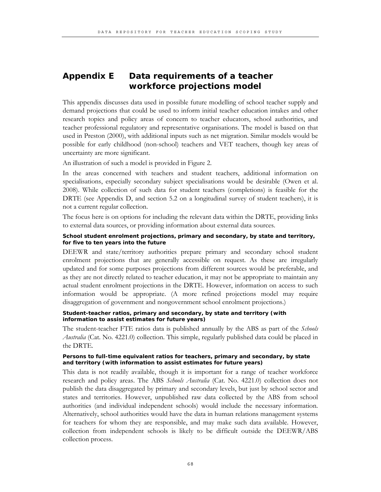# **Appendix E Data requirements of a teacher workforce projections model**

This appendix discusses data used in possible future modelling of school teacher supply and demand projections that could be used to inform initial teacher education intakes and other research topics and policy areas of concern to teacher educators, school authorities, and teacher professional regulatory and representative organisations. The model is based on that used in Preston (2000), with additional inputs such as net migration. Similar models would be possible for early childhood (non-school) teachers and VET teachers, though key areas of uncertainty are more significant.

An illustration of such a model is provided in Figure 2.

In the areas concerned with teachers and student teachers, additional information on specialisations, especially secondary subject specialisations would be desirable (Owen et al. 2008). While collection of such data for student teachers (completions) is feasible for the DRTE (see Appendix D, and section 5.2 on a longitudinal survey of student teachers), it is not a current regular collection.

The focus here is on options for including the relevant data within the DRTE, providing links to external data sources, or providing information about external data sources.

### **School student enrolment projections, primary and secondary, by state and territory, for five to ten years into the future**

DEEWR and state/territory authorities prepare primary and secondary school student enrolment projections that are generally accessible on request. As these are irregularly updated and for some purposes projections from different sources would be preferable, and as they are not directly related to teacher education, it may not be appropriate to maintain any actual student enrolment projections in the DRTE. However, information on access to such information would be appropriate. (A more refined projections model may require disaggregation of government and nongovernment school enrolment projections.)

### **Student-teacher ratios, primary and secondary, by state and territory (with information to assist estimates for future years)**

The student-teacher FTE ratios data is published annually by the ABS as part of the *Schools Australia* (Cat. No. 4221.0) collection. This simple, regularly published data could be placed in the DRTE.

### **Persons to full-time equivalent ratios for teachers, primary and secondary, by state and territory (with information to assist estimates for future years)**

This data is not readily available, though it is important for a range of teacher workforce research and policy areas. The ABS *Schools Australia* (Cat. No. 4221.0) collection does not publish the data disaggregated by primary and secondary levels, but just by school sector and states and territories. However, unpublished raw data collected by the ABS from school authorities (and individual independent schools) would include the necessary information. Alternatively, school authorities would have the data in human relations management systems for teachers for whom they are responsible, and may make such data available. However, collection from independent schools is likely to be difficult outside the DEEWR/ABS collection process.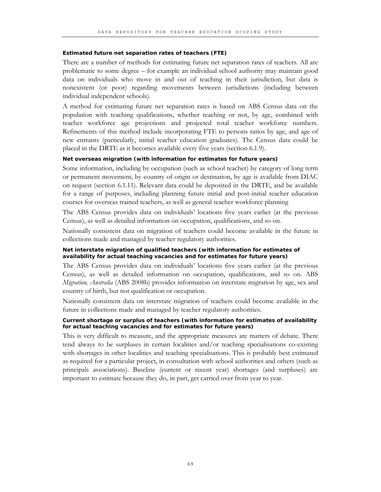### **Estimated future net separation rates of teachers (FTE)**

There are a number of methods for estimating future net separation rates of teachers. All are problematic to some degree – for example an individual school authority may maintain good data on individuals who move in and out of teaching in their jurisdiction, but data is nonexistent (or poor) regarding movements between jurisdictions (including between individual independent schools).

A method for estimating future net separation rates is based on ABS Census data on the population with teaching qualifications, whether teaching or not, by age, combined with teacher workforce age projections and projected total teacher workforce numbers. Refinements of this method include incorporating FTE to persons ratios by age, and age of new entrants (particularly, initial teacher education graduates). The Census data could be placed in the DRTE as it becomes available every five years (section 6.1.9).

### **Net overseas migration (with information for estimates for future years)**

Some information, including by occupation (such as school teacher) by category of long term or permanent movement, by country of origin or destination, by age is available from DIAC on request (section 6.1.11). Relevant data could be deposited in the DRTE, and be available for a range of purposes, including planning future initial and post-initial teacher education courses for overseas trained teachers, as well as general teacher workforce planning

The ABS Census provides data on individuals' locations five years earlier (at the previous Census), as well as detailed information on occupation, qualifications, and so on.

Nationally consistent data on migration of teachers could become available in the future in collections made and managed by teacher regulatory authorities.

### **Net interstate migration of qualified teachers (with information for estimates of availability for actual teaching vacancies and for estimates for future years)**

The ABS Census provides data on individuals' locations five years earlier (at the previous Census), as well as detailed information on occupation, qualifications, and so on. ABS *Migration, Australia* (ABS 2008b) provides information on interstate migration by age, sex and country of birth, but not qualification or occupation.

Nationally consistent data on interstate migration of teachers could become available in the future in collections made and managed by teacher regulatory authorities.

#### **Current shortage or surplus of teachers (with information for estimates of availability for actual teaching vacancies and for estimates for future years)**

This is very difficult to measure, and the appropriate measures are matters of debate. There tend always to be surpluses in certain localities and/or teaching specialisations co-existing with shortages in other localities and teaching specialisations. This is probably best estimated as required for a particular project, in consultation with school authorities and others (such as principals associations). Baseline (current or recent year) shortages (and surpluses) are important to estimate because they do, in part, get carried over from year to year.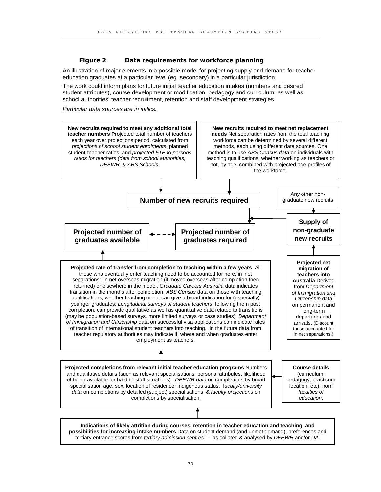## **Figure 2 Data requirements for workforce planning**

An illustration of major elements in a possible model for projecting supply and demand for teacher education graduates at a particular level (eg. secondary) in a particular jurisdiction.

The work could inform plans for future initial teacher education intakes (numbers and desired student attributes), course development or modification, pedagogy and curriculum, as well as school authorities' teacher recruitment, retention and staff development strategies.

*Particular data sources are in italics.* 

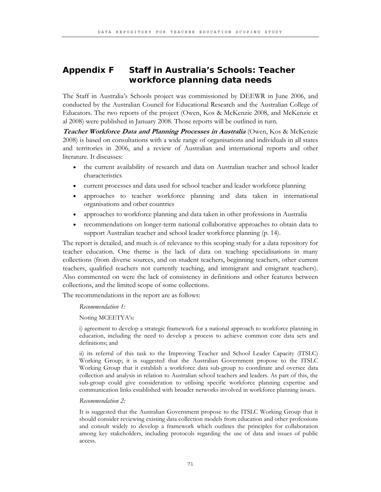# **Appendix F Staff in Australia's Schools: Teacher workforce planning data needs**

The Staff in Australia's Schools project was commissioned by DEEWR in June 2006, and conducted by the Australian Council for Educational Research and the Australian College of Educators. The two reports of the project (Owen, Kos & McKenzie 2008, and McKenzie et al 2008) were published in January 2008. Those reports will be outlined in turn.

**Teacher Workforce Data and Planning Processes in Australia** (Owen, Kos & McKenzie 2008) is based on consultations with a wide range of organisations and individuals in all states and territories in 2006, and a review of Australian and international reports and other literature. It discusses:

- the current availability of research and data on Australian teacher and school leader characteristics
- current processes and data used for school teacher and leader workforce planning
- approaches to teacher workforce planning and data taken in international organisations and other countries
- approaches to workforce planning and data taken in other professions in Australia
- recommendations on longer-term national collaborative approaches to obtain data to support Australian teacher and school leader workforce planning (p. 14).

The report is detailed, and much is of relevance to this scoping study for a data repository for teacher education. One theme is the lack of data on teaching specialisations in many collections (from diverse sources, and on student teachers, beginning teachers, other current teachers, qualified teachers not currently teaching, and immigrant and emigrant teachers). Also commented on were the lack of consistency in definitions and other features between collections, and the limited scope of some collections.

The recommendations in the report are as follows:

#### *Recommendation 1:*

Noting MCEETYA's:

i) agreement to develop a strategic framework for a national approach to workforce planning in education, including the need to develop a process to achieve common core data sets and definitions; and

ii) its referral of this task to the Improving Teacher and School Leader Capacity (ITSLC) Working Group; it is suggested that the Australian Government propose to the ITSLC Working Group that it establish a workforce data sub-group to coordinate and oversee data collection and analysis in relation to Australian school teachers and leaders. As part of this, the sub-group could give consideration to utilising specific workforce planning expertise and communication links established with broader networks involved in workforce planning issues.

#### *Recommendation 2:*

It is suggested that the Australian Government propose to the ITSLC Working Group that it should consider reviewing existing data collection models from education and other professions and consult widely to develop a framework which outlines the principles for collaboration among key stakeholders, including protocols regarding the use of data and issues of public access.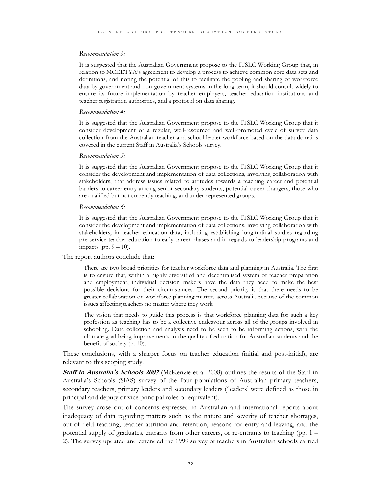#### *Recommendation 3:*

It is suggested that the Australian Government propose to the ITSLC Working Group that, in relation to MCEETYA's agreement to develop a process to achieve common core data sets and definitions, and noting the potential of this to facilitate the pooling and sharing of workforce data by government and non-government systems in the long-term, it should consult widely to ensure its future implementation by teacher employers, teacher education institutions and teacher registration authorities, and a protocol on data sharing.

### *Recommendation 4:*

It is suggested that the Australian Government propose to the ITSLC Working Group that it consider development of a regular, well-resourced and well-promoted cycle of survey data collection from the Australian teacher and school leader workforce based on the data domains covered in the current Staff in Australia's Schools survey.

#### *Recommendation 5:*

It is suggested that the Australian Government propose to the ITSLC Working Group that it consider the development and implementation of data collections, involving collaboration with stakeholders, that address issues related to attitudes towards a teaching career and potential barriers to career entry among senior secondary students, potential career changers, those who are qualified but not currently teaching, and under-represented groups.

#### *Recommendation 6:*

It is suggested that the Australian Government propose to the ITSLC Working Group that it consider the development and implementation of data collections, involving collaboration with stakeholders, in teacher education data, including establishing longitudinal studies regarding pre-service teacher education to early career phases and in regards to leadership programs and impacts (pp.  $9 - 10$ ).

The report authors conclude that:

There are two broad priorities for teacher workforce data and planning in Australia. The first is to ensure that, within a highly diversified and decentralised system of teacher preparation and employment, individual decision makers have the data they need to make the best possible decisions for their circumstances. The second priority is that there needs to be greater collaboration on workforce planning matters across Australia because of the common issues affecting teachers no matter where they work.

The vision that needs to guide this process is that workforce planning data for such a key profession as teaching has to be a collective endeavour across all of the groups involved in schooling. Data collection and analysis need to be seen to be informing actions, with the ultimate goal being improvements in the quality of education for Australian students and the benefit of society (p. 10).

These conclusions, with a sharper focus on teacher education (initial and post-initial), are relevant to this scoping study.

**Staff in Australia's Schools 2007** (McKenzie et al 2008) outlines the results of the Staff in Australia's Schools (SiAS) survey of the four populations of Australian primary teachers, secondary teachers, primary leaders and secondary leaders ('leaders' were defined as those in principal and deputy or vice principal roles or equivalent).

The survey arose out of concerns expressed in Australian and international reports about inadequacy of data regarding matters such as the nature and severity of teacher shortages, out-of-field teaching, teacher attrition and retention, reasons for entry and leaving, and the potential supply of graduates, entrants from other careers, or re-entrants to teaching (pp. 1 – 2). The survey updated and extended the 1999 survey of teachers in Australian schools carried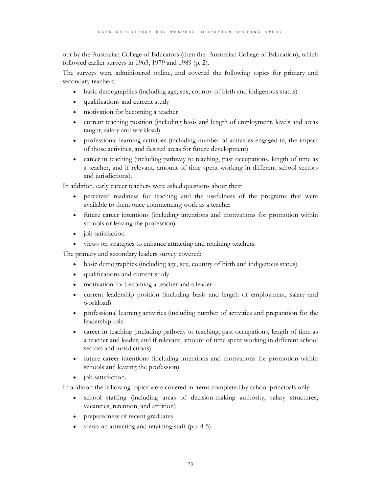out by the Australian College of Educators (then the Australian College of Education), which followed earlier surveys in 1963, 1979 and 1989 (p. 2).

The surveys were administered online, and covered the following topics for primary and secondary teachers:

- basic demographics (including age, sex, country of birth and indigenous status)
- qualifications and current study
- motivation for becoming a teacher
- current teaching position (including basis and length of employment, levels and areas taught, salary and workload)
- professional learning activities (including number of activities engaged in, the impact of those activities, and desired areas for future development)
- career in teaching (including pathway to teaching, past occupations, length of time as a teacher, and if relevant, amount of time spent working in different school sectors and jurisdictions).

In addition, early career teachers were asked questions about their:

- perceived readiness for teaching and the usefulness of the programs that were available to them once commencing work as a teacher
- future career intentions (including intentions and motivations for promotion within schools or leaving the profession)
- job satisfaction
- views on strategies to enhance attracting and retaining teachers.

The primary and secondary leaders survey covered:

- basic demographics (including age, sex, country of birth and indigenous status)
- qualifications and current study
- motivation for becoming a teacher and a leader
- current leadership position (including basis and length of employment, salary and workload)
- professional learning activities (including number of activities and preparation for the leadership role
- career in teaching (including pathway to teaching, past occupations, length of time as a teacher and leader, and if relevant, amount of time spent working in different school sectors and jurisdictions)
- future career intentions (including intentions and motivations for promotion within schools and leaving the profession)
- job satisfaction.

In addition the following topics were covered in items completed by school principals only:

- school staffing (including areas of decision-making authority, salary structures, vacancies, retention, and attrition)
- preparedness of recent graduates
- views on attracting and retaining staff (pp. 4-5).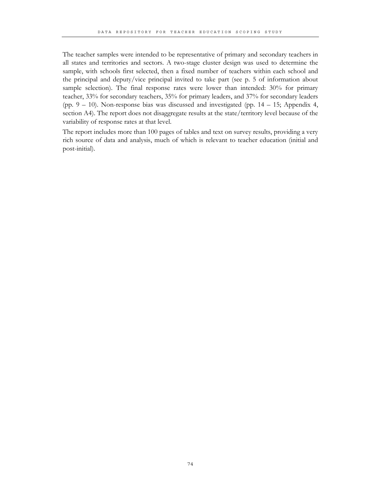The teacher samples were intended to be representative of primary and secondary teachers in all states and territories and sectors. A two-stage cluster design was used to determine the sample, with schools first selected, then a fixed number of teachers within each school and the principal and deputy/vice principal invited to take part (see p. 5 of information about sample selection). The final response rates were lower than intended: 30% for primary teacher, 33% for secondary teachers, 35% for primary leaders, and 37% for secondary leaders (pp.  $9 - 10$ ). Non-response bias was discussed and investigated (pp.  $14 - 15$ ; Appendix 4, section A4). The report does not disaggregate results at the state/territory level because of the variability of response rates at that level.

The report includes more than 100 pages of tables and text on survey results, providing a very rich source of data and analysis, much of which is relevant to teacher education (initial and post-initial).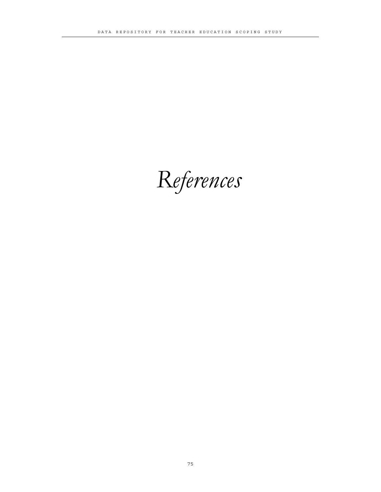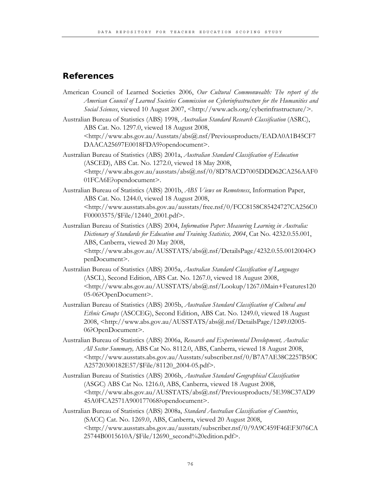# **References**

- American Council of Learned Societies 2006, *Our Cultural Commonwealth: The report of the American Council of Learned Societies Commission on Cyberinfrastructure for the Humanities and Social Sciences*, viewed 10 August 2007, <http://www.acls.org/cyberinfrastructure/>.
- Australian Bureau of Statistics (ABS) 1998, *Australian Standard Research Classification* (ASRC), ABS Cat. No. 1297.0, viewed 18 August 2008, <http://www.abs.gov.au/Ausstats/abs@.nsf/Previousproducts/EADA0A1B45CF7 DAACA25697E0018FDA9?opendocument>.
- Australian Bureau of Statistics (ABS) 2001a, *Australian Standard Classification of Education* (ASCED), ABS Cat. No. 1272.0, viewed 18 May 2008,  $\lt$ http://www.abs.gov.au/ausstats/abs@.nsf/0/8D78ACD7005DDD62CA256AAF0 01FCA6E?opendocument>.
- Australian Bureau of Statistics (ABS) 2001b, *ABS Views on Remoteness*, Information Paper, ABS Cat. No. 1244.0, viewed 18 August 2008, <http://www.ausstats.abs.gov.au/ausstats/free.nsf/0/FCC8158C85424727CA256C0 F00003575/\$File/12440\_2001.pdf>.
- Australian Bureau of Statistics (ABS) 2004, *Information Paper: Measuring Learning in Australia: Dictionary of Standards for Education and Training Statistics, 2004*, Cat No. 4232.0.55.001, ABS, Canberra, viewed 20 May 2008, <http://www.abs.gov.au/AUSSTATS/abs@.nsf/DetailsPage/4232.0.55.0012004?O penDocument>.
- Australian Bureau of Statistics (ABS) 2005a, *Australian Standard Classification of Languages* (ASCL), Second Edition, ABS Cat. No. 1267.0, viewed 18 August 2008, <http://www.abs.gov.au/AUSSTATS/abs@.nsf/Lookup/1267.0Main+Features120 05-06?OpenDocument>.
- Australian Bureau of Statistics (ABS) 2005b, *Australian Standard Classification of Cultural and Ethnic Groups* (ASCCEG), Second Edition, ABS Cat. No. 1249.0, viewed 18 August 2008, <http://www.abs.gov.au/AUSSTATS/abs@.nsf/DetailsPage/1249.02005- 06?OpenDocument>.
- Australian Bureau of Statistics (ABS) 2006a, *Research and Experimental Development, Australia: All Sector Summary,* ABS Cat No. 8112.0, ABS, Canberra, viewed 18 August 2008, <http://www.ausstats.abs.gov.au/Ausstats/subscriber.nsf/0/B7A7AE38C2257B50C A25720300182E57/\$File/81120\_2004-05.pdf>.
- Australian Bureau of Statistics (ABS) 2006b, *Australian Standard Geographical Classification* (ASGC) ABS Cat No. 1216.0, ABS, Canberra, viewed 18 August 2008, <http://www.abs.gov.au/AUSSTATS/abs@.nsf/Previousproducts/5E398C37AD9 45A0FCA2571A900177068?opendocument>.
- Australian Bureau of Statistics (ABS) 2008a, *Standard Australian Classification of Countries*, (SACC) Cat. No. 1269.0, ABS, Canberra, viewed 20 August 2008, <http://www.ausstats.abs.gov.au/ausstats/subscriber.nsf/0/9A9C459F46EF3076CA 25744B0015610A/\$File/12690\_second%20edition.pdf>.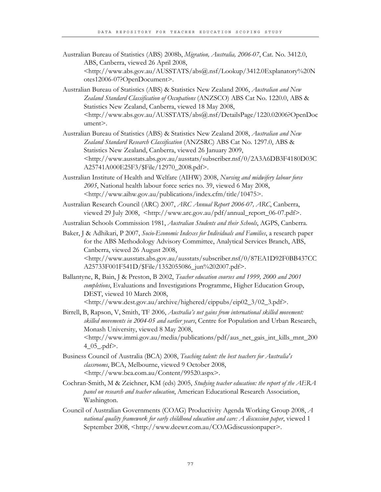- Australian Bureau of Statistics (ABS) 2008b, *Migration, Australia, 2006-07*, Cat. No. 3412.0, ABS, Canberra, viewed 26 April 2008, <http://www.abs.gov.au/AUSSTATS/abs@.nsf/Lookup/3412.0Explanatory%20N otes12006-07?OpenDocument>.
- Australian Bureau of Statistics (ABS) & Statistics New Zealand 2006, *Australian and New Zealand Standard Classification of Occupations* (ANZSCO) ABS Cat No. 1220.0, ABS & Statistics New Zealand, Canberra, viewed 18 May 2008, <http://www.abs.gov.au/AUSSTATS/abs@.nsf/DetailsPage/1220.02006?OpenDoc ument>.
- Australian Bureau of Statistics (ABS) & Statistics New Zealand 2008, *Australian and New Zealand Standard Research Classification* (ANZSRC) ABS Cat No. 1297.0, ABS & Statistics New Zealand, Canberra, viewed 26 January 2009, <http://www.ausstats.abs.gov.au/ausstats/subscriber.nsf/0/2A3A6DB3F4180D03C A25741A000E25F3/\$File/12970\_2008.pdf>.
- Australian Institute of Health and Welfare (AIHW) 2008, *Nursing and midwifery labour force 2005*, National health labour force series no. 39, viewed 6 May 2008, <http://www.aihw.gov.au/publications/index.cfm/title/10475>.
- Australian Research Council (ARC) 2007, *ARC Annual Report 2006-07, ARC*, Canberra, viewed 29 July 2008, <http://www.arc.gov.au/pdf/annual\_report\_06-07.pdf>.
- Australian Schools Commission 1981, *Australian Students and their Schools*, AGPS, Canberra.
- Baker, J & Adhikari, P 2007, *Socio-Economic Indexes for Individuals and Families*, a research paper for the ABS Methodology Advisory Committee, Analytical Services Branch, ABS, Canberra, viewed 26 August 2008, <http://www.ausstats.abs.gov.au/ausstats/subscriber.nsf/0/87EA1D92F0BB437CC A25733F001F541D/\$File/1352055086\_jun%202007.pdf>.
- Ballantyne, R, Bain, J & Preston, B 2002, *Teacher education courses and 1999, 2000 and 2001 completions*, Evaluations and Investigations Programme, Higher Education Group, DEST, viewed 10 March 2008, <http://www.dest.gov.au/archive/highered/eippubs/eip02\_3/02\_3.pdf>.
- Birrell, B, Rapson, V, Smith, TF 2006, *Australia's net gains from international skilled movement: skilled movements in 2004-05 and earlier years*, Centre for Population and Urban Research, Monash University, viewed 8 May 2008, <http://www.immi.gov.au/media/publications/pdf/aus\_net\_gais\_int\_kills\_mnt\_200 4\_05\_.pdf>.
- Business Council of Australia (BCA) 2008, *Teaching talent: the best teachers for Australia's classrooms*, BCA, Melbourne, viewed 9 October 2008, <http://www.bca.com.au/Content/99520.aspx>.
- Cochran-Smith, M & Zeichner, KM (eds) 2005, *Studying teacher education: the report of the AERA panel on research and teacher education*, American Educational Research Association, Washington.
- Council of Australian Governments (COAG) Productivity Agenda Working Group 2008, *A national quality framework for early childhood education and care: A discussion paper*, viewed 1 September 2008, <http://www.deewr.com.au/COAGdiscussionpaper>.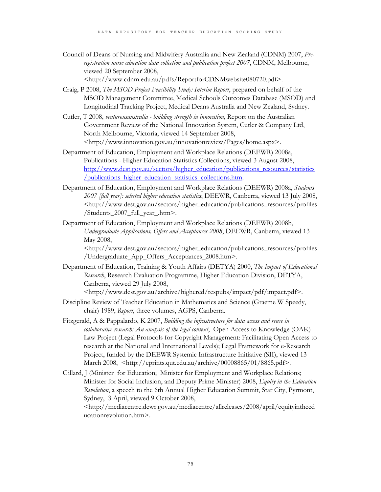Council of Deans of Nursing and Midwifery Australia and New Zealand (CDNM) 2007, *Preregistration nurse education data collection and publication project 2007*, CDNM, Melbourne, viewed 20 September 2008,

<http://www.cdnm.edu.au/pdfs/ReportforCDNMwebsite080720.pdf>.

- Craig, P 2008, *The MSOD Project Feasibility Study: Interim Report*, prepared on behalf of the MSOD Management Committee, Medical Schools Outcomes Database (MSOD) and Longitudinal Tracking Project, Medical Deans Australia and New Zealand, Sydney.
- Cutler, T 2008, *venturousaustralia building strength in innovation*, Report on the Australian Government Review of the National Innovation System, Cutler & Company Ltd, North Melbourne, Victoria, viewed 14 September 2008, <http://www.innovation.gov.au/innovationreview/Pages/home.aspx>.
- Department of Education, Employment and Workplace Relations (DEEWR) 2008a, Publications - Higher Education Statistics Collections, viewed 3 August 2008, http://www.dest.gov.au/sectors/higher\_education/publications\_resources/statistics /publications\_higher\_education\_statistics\_collections.htm.
- Department of Education, Employment and Workplace Relations (DEEWR) 2008a, *Students 2007 [full year]: selected higher education statistics*, DEEWR, Canberra, viewed 13 July 2008, <http://www.dest.gov.au/sectors/higher\_education/publications\_resources/profiles /Students\_2007\_full\_year\_.htm>.
- Department of Education, Employment and Workplace Relations (DEEWR) 2008b, *Undergraduate Applications, Offers and Acceptances 2008*, DEEWR, Canberra, viewed 13 May 2008,

<http://www.dest.gov.au/sectors/higher\_education/publications\_resources/profiles /Undergraduate\_App\_Offers\_Acceptances\_2008.htm>.

- Department of Education, Training & Youth Affairs (DETYA) 2000, *The Impact of Educational Research*, Research Evaluation Programme, Higher Education Division, DETYA, Canberra, viewed 29 July 2008, <http://www.dest.gov.au/archive/highered/respubs/impact/pdf/impact.pdf>.
- Discipline Review of Teacher Education in Mathematics and Science (Graeme W Speedy, chair) 1989, *Report*, three volumes, AGPS, Canberra.
- Fitzgerald, A & Pappalardo, K 2007, *Building the infrastructure for data access and reuse in collaborative research: An analysis of the legal context*, Open Access to Knowledge (OAK) Law Project (Legal Protocols for Copyright Management: Facilitating Open Access to research at the National and International Levels); Legal Framework for e-Research Project, funded by the DEEWR Systemic Infrastructure Initiative (SII), viewed 13 March 2008, <http://eprints.qut.edu.au/archive/00008865/01/8865.pdf>.
- Gillard, J (Minister for Education; Minister for Employment and Workplace Relations; Minister for Social Inclusion, and Deputy Prime Minister) 2008, *Equity in the Education Revolution*, a speech to the 6th Annual Higher Education Summit, Star City, Pyrmont, Sydney, 3 April, viewed 9 October 2008,

<http://mediacentre.dewr.gov.au/mediacentre/allreleases/2008/april/equityintheed ucationrevolution.htm>.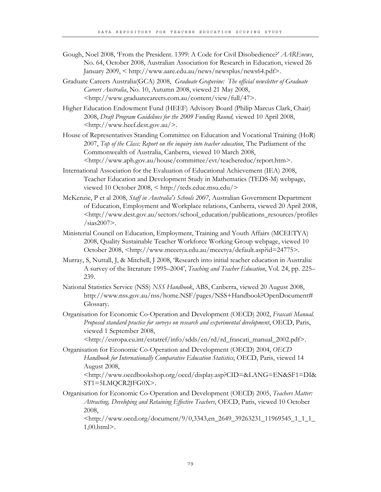- Gough, Noel 2008, 'From the President. 1399: A Code for Civil Disobedience?' *AAREnews*, No. 64, October 2008, Australian Association for Research in Education, viewed 26 January 2009, < http://www.aare.edu.au/news/newsplus/news64.pdf>.
- Graduate Careers Australia(GCA) 2008, *Graduate Grapevine: The official newsletter of Graduate Careers Australia*, No. 10, Autumn 2008, viewed 21 May 2008, <http://www.graduatecareers.com.au/content/view/full/47>.
- Higher Education Endowment Fund (HEEF) Advisory Board (Philip Marcus Clark, Chair) 2008, *Draft Program Guidelines for the 2009 Funding Round,* viewed 10 April 2008, <http://www.heef.dest.gov.au/>.
- House of Representatives Standing Committee on Education and Vocational Training (HoR) 2007, *Top of the Class: Report on the inquiry into teacher education*, The Parliament of the Commonwealth of Australia, Canberra, viewed 10 March 2008, <http://www.aph.gov.au/house/committee/evt/teachereduc/report.htm>.
- International Association for the Evaluation of Educational Achievement (IEA) 2008, Teacher Education and Development Study in Mathematics (TEDS-M) webpage, viewed 10 October 2008, < http://teds.educ.msu.edu/>
- McKenzie, P et al 2008, *Staff in Australia's Schools 2007*, Australian Government Department of Education, Employment and Workplace relations, Canberra, viewed 20 April 2008, <http://www.dest.gov.au/sectors/school\_education/publications\_resources/profiles /sias2007>.
- Ministerial Council on Education, Employment, Training and Youth Affairs (MCEETYA) 2008, Quality Sustainable Teacher Workforce Working Group webpage, viewed 10 October 2008, <http://www.mceetya.edu.au/mceetya/default.asp?id=24775>.
- Murray, S, Nuttall, J, & Mitchell, J 2008, 'Research into initial teacher education in Australia: A survey of the literature 1995–2004', *Teaching and Teacher Education*, Vol. 24, pp. 225– 239.
- National Statistics Service (NSS) *NSS Handbook*, ABS, Canberra, viewed 20 August 2008, http://www.nss.gov.au/nss/home.NSF/pages/NSS+Handbook?OpenDocument# Glossary.
- Organisation for Economic Co-Operation and Development (OECD) 2002, *Frascati Manual. Proposed standard practice for surveys on research and experimental development*, OECD, Paris, viewed 1 September 2008,
	- <http://europa.eu.int/estatref/info/sdds/en/rd/rd\_frascati\_manual\_2002.pdf>.
- Organisation for Economic Co-Operation and Development (OECD) 2004, *OECD Handbook for Internationally Comparative Education Statistics*, OECD, Paris, viewed 14 August 2008, <http://www.oecdbookshop.org/oecd/display.asp?CID=&LANG=EN&SF1=DI&

ST1=5LMQCR2JFG0X>.

Organisation for Economic Co-Operation and Development (OECD) 2005, *Teachers Matter: Attracting, Developing and Retaining Effective Teachers*, OECD, Paris, viewed 10 October 2008,

<http://www.oecd.org/document/9/0,3343,en\_2649\_39263231\_11969545\_1\_1\_1\_ 1,00.html>.